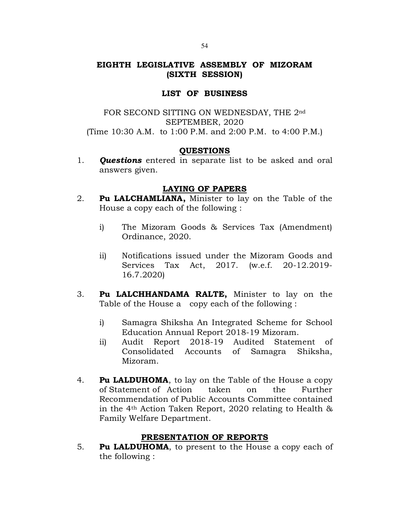# EIGHTH LEGISLATIVE ASSEMBLY OF MIZORAM (SIXTH SESSION)

## LIST OF BUSINESS

# FOR SECOND SITTING ON WEDNESDAY, THE 2nd SEPTEMBER, 2020 (Time 10:30 A.M. to 1:00 P.M. and 2:00 P.M. to 4:00 P.M.)

# QUESTIONS

1. **Questions** entered in separate list to be asked and oral answers given.

# LAYING OF PAPERS

- 2. Pu LALCHAMLIANA, Minister to lay on the Table of the House a copy each of the following :
	- i) The Mizoram Goods & Services Tax (Amendment) Ordinance, 2020.
	- ii) Notifications issued under the Mizoram Goods and Services Tax Act, 2017. (w.e.f. 20-12.2019- 16.7.2020)
- 3. Pu LALCHHANDAMA RALTE, Minister to lay on the Table of the House a copy each of the following :
	- i) Samagra Shiksha An Integrated Scheme for School Education Annual Report 2018-19 Mizoram.
	- ii) Audit Report 2018-19 Audited Statement of Consolidated Accounts of Samagra Shiksha, Mizoram.
- 4. **Pu LALDUHOMA**, to lay on the Table of the House a copy of Statement of Action taken on the Further Recommendation of Public Accounts Committee contained in the 4th Action Taken Report, 2020 relating to Health & Family Welfare Department.

# PRESENTATION OF REPORTS

5. **Pu LALDUHOMA**, to present to the House a copy each of the following :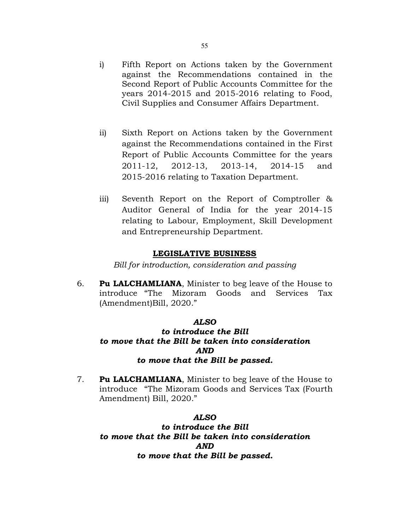- i) Fifth Report on Actions taken by the Government against the Recommendations contained in the Second Report of Public Accounts Committee for the years 2014-2015 and 2015-2016 relating to Food, Civil Supplies and Consumer Affairs Department.
- ii) Sixth Report on Actions taken by the Government against the Recommendations contained in the First Report of Public Accounts Committee for the years 2011-12, 2012-13, 2013-14, 2014-15 and 2015-2016 relating to Taxation Department.
- iii) Seventh Report on the Report of Comptroller & Auditor General of India for the year 2014-15 relating to Labour, Employment, Skill Development and Entrepreneurship Department.

## LEGISLATIVE BUSINESS

Bill for introduction, consideration and passing

6. Pu LALCHAMLIANA, Minister to beg leave of the House to introduce "The Mizoram Goods and Services Tax (Amendment)Bill, 2020."

### ALSO

# to introduce the Bill to move that the Bill be taken into consideration AND to move that the Bill be passed.

7. Pu LALCHAMLIANA, Minister to beg leave of the House to introduce "The Mizoram Goods and Services Tax (Fourth Amendment) Bill, 2020."

#### ALSO

to introduce the Bill to move that the Bill be taken into consideration AND to move that the Bill be passed.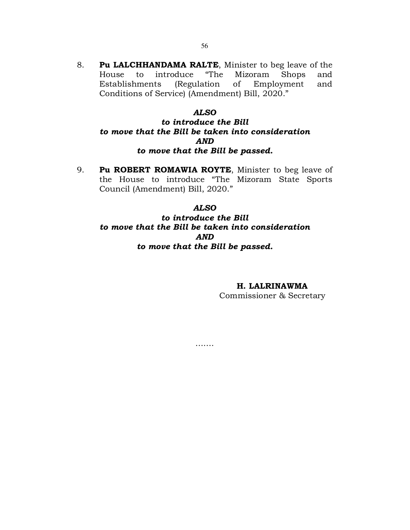## ALSO

Conditions of Service) (Amendment) Bill, 2020."

# to introduce the Bill to move that the Bill be taken into consideration AND to move that the Bill be passed.

9. Pu ROBERT ROMAWIA ROYTE, Minister to beg leave of the House to introduce "The Mizoram State Sports Council (Amendment) Bill, 2020."

#### ALSO

# to introduce the Bill to move that the Bill be taken into consideration AND to move that the Bill be passed.

…….

# H. LALRINAWMA

Commissioner & Secretary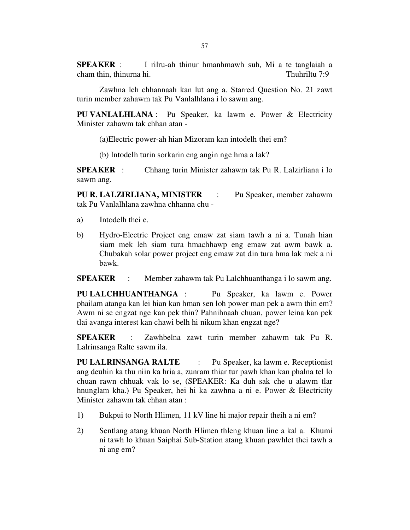**SPEAKER** : I rilru-ah thinur hmanhmawh suh, Mi a te tanglaiah a cham thin, thinurna hi. Thuhriltu 7:9 cham thin, thinurna hi.

 Zawhna leh chhannaah kan lut ang a. Starred Question No. 21 zawt turin member zahawm tak Pu Vanlalhlana i lo sawm ang.

PU VANLALHLANA : Pu Speaker, ka lawm e. Power & Electricity Minister zahawm tak chhan atan -

(a)Electric power-ah hian Mizoram kan intodelh thei em?

(b) Intodelh turin sorkarin eng angin nge hma a lak?

SPEAKER : Chhang turin Minister zahawm tak Pu R. Lalzirliana i lo sawm ang.

PU R. LALZIRLIANA, MINISTER : Pu Speaker, member zahawm tak Pu Vanlalhlana zawhna chhanna chu -

- a) Intodelh thei e.
- b) Hydro-Electric Project eng emaw zat siam tawh a ni a. Tunah hian siam mek leh siam tura hmachhawp eng emaw zat awm bawk a. Chubakah solar power project eng emaw zat din tura hma lak mek a ni bawk.

SPEAKER : Member zahawm tak Pu Lalchhuanthanga i lo sawm ang.

PU LALCHHUANTHANGA : Pu Speaker, ka lawm e. Power phailam atanga kan lei hian kan hman sen loh power man pek a awm thin em? Awm ni se engzat nge kan pek thin? Pahnihnaah chuan, power leina kan pek tlai avanga interest kan chawi belh hi nikum khan engzat nge?

SPEAKER : Zawhbelna zawt turin member zahawm tak Pu R. Lalrinsanga Ralte sawm ila.

PU LALRINSANGA RALTE : Pu Speaker, ka lawm e. Receptionist ang deuhin ka thu niin ka hria a, zunram thiar tur pawh khan kan phalna tel lo chuan rawn chhuak vak lo se, (SPEAKER: Ka duh sak che u alawm tlar hnunglam kha.) Pu Speaker, hei hi ka zawhna a ni e. Power & Electricity Minister zahawm tak chhan atan :

- 1) Bukpui to North Hlimen, 11 kV line hi major repair theih a ni em?
- 2) Sentlang atang khuan North Hlimen thleng khuan line a kal a. Khumi ni tawh lo khuan Saiphai Sub-Station atang khuan pawhlet thei tawh a ni ang em?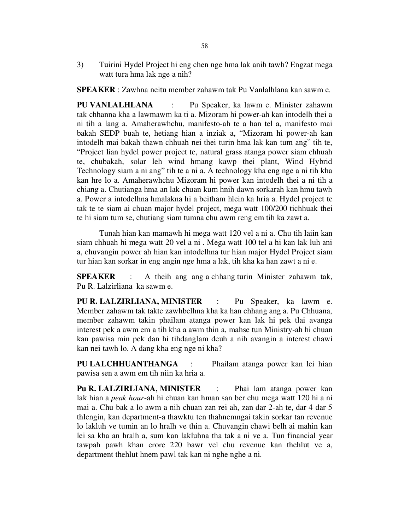3) Tuirini Hydel Project hi eng chen nge hma lak anih tawh? Engzat mega watt tura hma lak nge a nih?

SPEAKER : Zawhna neitu member zahawm tak Pu Vanlalhlana kan sawm e.

PU VANLALHLANA : Pu Speaker, ka lawm e. Minister zahawm tak chhanna kha a lawmawm ka ti a. Mizoram hi power-ah kan intodelh thei a ni tih a lang a. Amaherawhchu, manifesto-ah te a han tel a, manifesto mai bakah SEDP buah te, hetiang hian a inziak a, "Mizoram hi power-ah kan intodelh mai bakah thawn chhuah nei thei turin hma lak kan tum ang" tih te, "Project lian hydel power project te, natural grass atanga power siam chhuah te, chubakah, solar leh wind hmang kawp thei plant, Wind Hybrid Technology siam a ni ang" tih te a ni a. A technology kha eng nge a ni tih kha kan hre lo a. Amaherawhchu Mizoram hi power kan intodelh thei a ni tih a chiang a. Chutianga hma an lak chuan kum hnih dawn sorkarah kan hmu tawh a. Power a intodelhna hmalakna hi a beitham hlein ka hria a. Hydel project te tak te te siam ai chuan major hydel project, mega watt 100/200 tichhuak thei te hi siam tum se, chutiang siam tumna chu awm reng em tih ka zawt a.

 Tunah hian kan mamawh hi mega watt 120 vel a ni a. Chu tih laiin kan siam chhuah hi mega watt 20 vel a ni . Mega watt 100 tel a hi kan lak luh ani a, chuvangin power ah hian kan intodelhna tur hian major Hydel Project siam tur hian kan sorkar in eng angin nge hma a lak, tih kha ka han zawt a ni e.

**SPEAKER** : A theih ang ang a chhang turin Minister zahawm tak, Pu R. Lalzirliana ka sawm e.

PU R. LALZIRLIANA, MINISTER : Pu Speaker, ka lawm e. Member zahawm tak takte zawhbelhna kha ka han chhang ang a. Pu Chhuana, member zahawm takin phailam atanga power kan lak hi pek tlai avanga interest pek a awm em a tih kha a awm thin a, mahse tun Ministry-ah hi chuan kan pawisa min pek dan hi tihdanglam deuh a nih avangin a interest chawi kan nei tawh lo. A dang kha eng nge ni kha?

PU LALCHHUANTHANGA : Phailam atanga power kan lei hian pawisa sen a awm em tih niin ka hria a.

Pu R. LALZIRLIANA, MINISTER : Phai lam atanga power kan lak hian a peak hour-ah hi chuan kan hman san ber chu mega watt 120 hi a ni mai a. Chu bak a lo awm a nih chuan zan rei ah, zan dar 2-ah te, dar 4 dar 5 thlengin, kan department-a thawktu ten thahnemngai takin sorkar tan revenue lo lakluh ve tumin an lo hralh ve thin a. Chuvangin chawi belh ai mahin kan lei sa kha an hralh a, sum kan lakluhna tha tak a ni ve a. Tun financial year tawpah pawh khan crore 220 bawr vel chu revenue kan thehlut ve a, department thehlut hnem pawl tak kan ni nghe nghe a ni.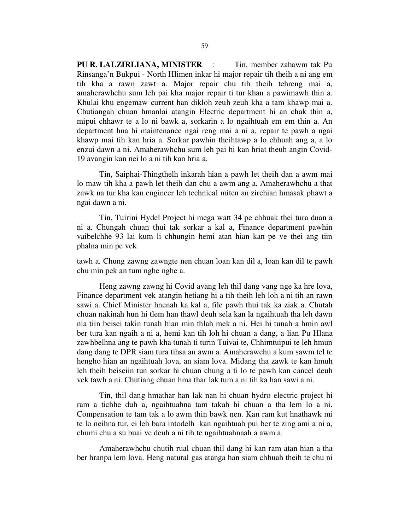PU R. LALZIRLIANA, MINISTER : Tin, member zahawm tak Pu Rinsanga'n Bukpui - North Hlimen inkar hi major repair tih theih a ni ang em tih kha a rawn zawt a. Major repair chu tih theih tehreng mai a, amaherawhchu sum leh pai kha major repair ti tur khan a pawimawh thin a. Khulai khu engemaw current han dikloh zeuh zeuh kha a tam khawp mai a. Chutiangah chuan hmanlai atangin Electric department hi an chak thin a, mipui chhawr te a lo ni bawk a, sorkarin a lo ngaihtuah em em thin a. An department hna hi maintenance ngai reng mai a ni a, repair te pawh a ngai khawp mai tih kan hria a. Sorkar pawhin theihtawp a lo chhuah ang a, a lo enzui dawn a ni. Amaherawhchu sum leh pai hi kan hriat theuh angin Covid-19 avangin kan nei lo a ni tih kan hria a.

 Tin, Saiphai-Thingthelh inkarah hian a pawh let theih dan a awm mai lo maw tih kha a pawh let theih dan chu a awm ang a. Amaherawhchu a that zawk na tur kha kan engineer leh technical miten an zirchian hmasak phawt a ngai dawn a ni.

 Tin, Tuirini Hydel Project hi mega watt 34 pe chhuak thei tura duan a ni a. Chungah chuan thui tak sorkar a kal a, Finance department pawhin vaibelchhe 93 lai kum li chhungin hemi atan hian kan pe ve thei ang tiin phalna min pe vek

tawh a. Chung zawng zawngte nen chuan loan kan dil a, loan kan dil te pawh chu min pek an tum nghe nghe a.

 Heng zawng zawng hi Covid avang leh thil dang vang nge ka hre lova, Finance department vek atangin hetiang hi a tih theih leh loh a ni tih an rawn sawi a. Chief Minister hnenah ka kal a, file pawh thui tak ka ziak a. Chutah chuan nakinah hun hi tlem han thawl deuh sela kan la ngaihtuah tha leh dawn nia tiin beisei takin tunah hian min thlah mek a ni. Hei hi tunah a hmin awl ber tura kan ngaih a ni a, hemi kan tih loh hi chuan a dang, a lian Pu Hlana zawhbelhna ang te pawh kha tunah ti turin Tuivai te, Chhimtuipui te leh hmun dang dang te DPR siam tura tihsa an awm a. Amaherawchu a kum sawm tel te hengho hian an ngaihtuah lova, an siam lova. Midang tha zawk te kan hmuh leh theih beiseiin tun sorkar hi chuan chung a ti lo te pawh kan cancel deuh vek tawh a ni. Chutiang chuan hma thar lak tum a ni tih ka han sawi a ni.

 Tin, thil dang hmathar han lak nan hi chuan hydro electric project hi ram a tichhe duh a, ngaihtuahna tam takah hi chuan a tha lem lo a ni. Compensation te tam tak a lo awm thin bawk nen. Kan ram kut hnathawk mi te lo neihna tur, ei leh bara intodelh kan ngaihtuah pui ber te zing ami a ni a, chumi chu a su buai ve deuh a ni tih te ngaihtuahnaah a awm a.

 Amaherawhchu chutih rual chuan thil dang hi kan ram atan hian a tha ber hranpa lem lova. Heng natural gas atanga han siam chhuah theih te chu ni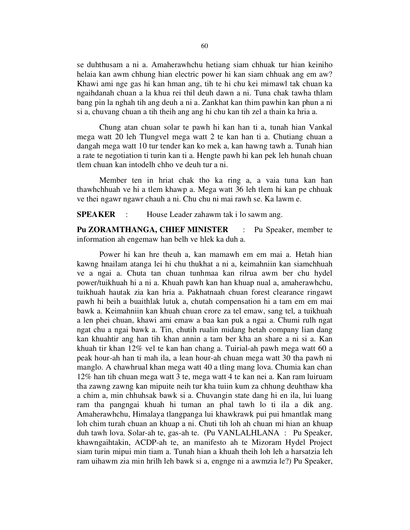se duhthusam a ni a. Amaherawhchu hetiang siam chhuak tur hian keiniho helaia kan awm chhung hian electric power hi kan siam chhuak ang em aw? Khawi ami nge gas hi kan hman ang, tih te hi chu kei mimawl tak chuan ka ngaihdanah chuan a la khua rei thil deuh dawn a ni. Tuna chak tawha thlam bang pin la nghah tih ang deuh a ni a. Zankhat kan thim pawhin kan phun a ni si a, chuvang chuan a tih theih ang ang hi chu kan tih zel a thain ka hria a.

 Chung atan chuan solar te pawh hi kan han ti a, tunah hian Vankal mega watt 20 leh Tlungvel mega watt 2 te kan han ti a. Chutiang chuan a dangah mega watt 10 tur tender kan ko mek a, kan hawng tawh a. Tunah hian a rate te negotiation ti turin kan ti a. Hengte pawh hi kan pek leh hunah chuan tlem chuan kan intodelh chho ve deuh tur a ni.

 Member ten in hriat chak tho ka ring a, a vaia tuna kan han thawhchhuah ve hi a tlem khawp a. Mega watt 36 leh tlem hi kan pe chhuak ve thei ngawr ngawr chauh a ni. Chu chu ni mai rawh se. Ka lawm e.

SPEAKER : House Leader zahawm tak i lo sawm ang.

Pu ZORAMTHANGA, CHIEF MINISTER : Pu Speaker, member te information ah engemaw han belh ve hlek ka duh a.

 Power hi kan hre theuh a, kan mamawh em em mai a. Hetah hian kawng hnailam atanga lei hi chu thukhat a ni a, keimahniin kan siamchhuah ve a ngai a. Chuta tan chuan tunhmaa kan rilrua awm ber chu hydel power/tuikhuah hi a ni a. Khuah pawh kan han khuap nual a, amaherawhchu, tuikhuah hautak zia kan hria a. Pakhatnaah chuan forest clearance ringawt pawh hi beih a buaithlak lutuk a, chutah compensation hi a tam em em mai bawk a. Keimahniin kan khuah chuan crore za tel emaw, sang tel, a tuikhuah a len phei chuan, khawi ami emaw a baa kan puk a ngai a. Chumi rulh ngat ngat chu a ngai bawk a. Tin, chutih rualin midang hetah company lian dang kan khuahtir ang han tih khan annin a tam ber kha an share a ni si a. Kan khuah tir khan 12% vel te kan han chang a. Tuirial-ah pawh mega watt 60 a peak hour-ah han ti mah ila, a lean hour-ah chuan mega watt 30 tha pawh ni manglo. A chawhrual khan mega watt 40 a tling mang lova. Chumia kan chan 12% han tih chuan mega watt 3 te, mega watt 4 te kan nei a. Kan ram luiruam tha zawng zawng kan mipuite neih tur kha tuiin kum za chhung deuhthaw kha a chim a, min chhuhsak bawk si a. Chuvangin state dang hi en ila, lui luang ram tha pangngai khuah hi tuman an phal tawh lo ti ila a dik ang. Amaherawhchu, Himalaya tlangpanga lui khawkrawk pui pui hmantlak mang loh chim turah chuan an khuap a ni. Chuti tih loh ah chuan mi hian an khuap duh tawh lova. Solar-ah te, gas-ah te. (Pu VANLALHLANA : Pu Speaker, khawngaihtakin, ACDP-ah te, an manifesto ah te Mizoram Hydel Project siam turin mipui min tiam a. Tunah hian a khuah theih loh leh a harsatzia leh ram uihawm zia min hrilh leh bawk si a, engnge ni a awmzia le?) Pu Speaker,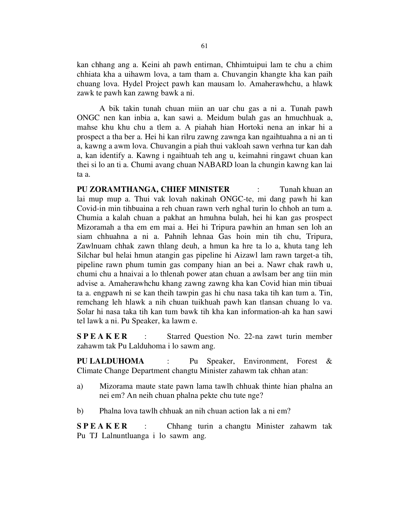kan chhang ang a. Keini ah pawh entirnan, Chhimtuipui lam te chu a chim chhiata kha a uihawm lova, a tam tham a. Chuvangin khangte kha kan paih chuang lova. Hydel Project pawh kan mausam lo. Amaherawhchu, a hlawk zawk te pawh kan zawng bawk a ni.

 A bik takin tunah chuan miin an uar chu gas a ni a. Tunah pawh ONGC nen kan inbia a, kan sawi a. Meidum bulah gas an hmuchhuak a, mahse khu khu chu a tlem a. A piahah hian Hortoki nena an inkar hi a prospect a tha ber a. Hei hi kan rilru zawng zawnga kan ngaihtuahna a ni an ti a, kawng a awm lova. Chuvangin a piah thui vakloah sawn verhna tur kan dah a, kan identify a. Kawng i ngaihtuah teh ang u, keimahni ringawt chuan kan thei si lo an ti a. Chumi avang chuan NABARD loan la chungin kawng kan lai ta a.

PU ZORAMTHANGA, CHIEF MINISTER : Tunah khuan an lai mup mup a. Thui vak lovah nakinah ONGC-te, mi dang pawh hi kan Covid-in min tihbuaina a reh chuan rawn verh nghal turin lo chhoh an tum a. Chumia a kalah chuan a pakhat an hmuhna bulah, hei hi kan gas prospect Mizoramah a tha em em mai a. Hei hi Tripura pawhin an hman sen loh an siam chhuahna a ni a. Pahnih lehnaa Gas hoin min tih chu, Tripura, Zawlnuam chhak zawn thlang deuh, a hmun ka hre ta lo a, khuta tang leh Silchar bul helai hmun atangin gas pipeline hi Aizawl lam rawn target-a tih, pipeline rawn phum tumin gas company hian an bei a. Nawr chak rawh u, chumi chu a hnaivai a lo thlenah power atan chuan a awlsam ber ang tiin min advise a. Amaherawhchu khang zawng zawng kha kan Covid hian min tibuai ta a. engpawh ni se kan theih tawpin gas hi chu nasa taka tih kan tum a. Tin, remchang leh hlawk a nih chuan tuikhuah pawh kan tlansan chuang lo va. Solar hi nasa taka tih kan tum bawk tih kha kan information-ah ka han sawi tel lawk a ni. Pu Speaker, ka lawm e.

**SPEAKER** : Starred Question No. 22-na zawt turin member zahawm tak Pu Lalduhoma i lo sawm ang.

PU LALDUHOMA : Pu Speaker, Environment, Forest & Climate Change Department changtu Minister zahawm tak chhan atan:

- a) Mizorama maute state pawn lama tawlh chhuak thinte hian phalna an nei em? An neih chuan phalna pekte chu tute nge?
- b) Phalna lova tawlh chhuak an nih chuan action lak a ni em?

S P E A K E R : Chhang turin a changtu Minister zahawm tak Pu TJ Lalnuntluanga i lo sawm ang.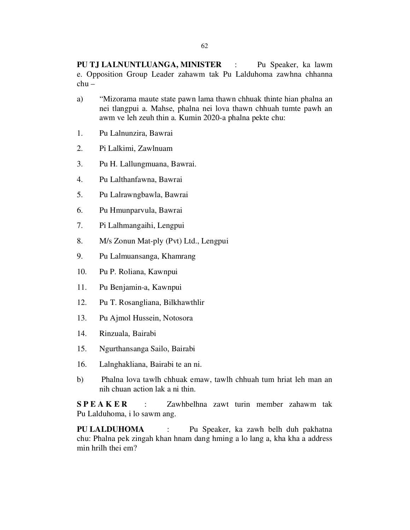- a) "Mizorama maute state pawn lama thawn chhuak thinte hian phalna an nei tlangpui a. Mahse, phalna nei lova thawn chhuah tumte pawh an awm ve leh zeuh thin a. Kumin 2020-a phalna pekte chu:
- 1. Pu Lalnunzira, Bawrai

chu –

- 2. Pi Lalkimi, Zawlnuam
- 3. Pu H. Lallungmuana, Bawrai.
- 4. Pu Lalthanfawna, Bawrai
- 5. Pu Lalrawngbawla, Bawrai
- 6. Pu Hmunparvula, Bawrai
- 7. Pi Lalhmangaihi, Lengpui
- 8. M/s Zonun Mat-ply (Pvt) Ltd., Lengpui
- 9. Pu Lalmuansanga, Khamrang
- 10. Pu P. Roliana, Kawnpui
- 11. Pu Benjamin-a, Kawnpui
- 12. Pu T. Rosangliana, Bilkhawthlir
- 13. Pu Ajmol Hussein, Notosora
- 14. Rinzuala, Bairabi
- 15. Ngurthansanga Sailo, Bairabi
- 16. Lalnghakliana, Bairabi te an ni.
- b) Phalna lova tawlh chhuak emaw, tawlh chhuah tum hriat leh man an nih chuan action lak a ni thin.

S P E A K E R : Zawhbelhna zawt turin member zahawm tak Pu Lalduhoma, i lo sawm ang.

PU LALDUHOMA : Pu Speaker, ka zawh belh duh pakhatna chu: Phalna pek zingah khan hnam dang hming a lo lang a, kha kha a address min hrilh thei em?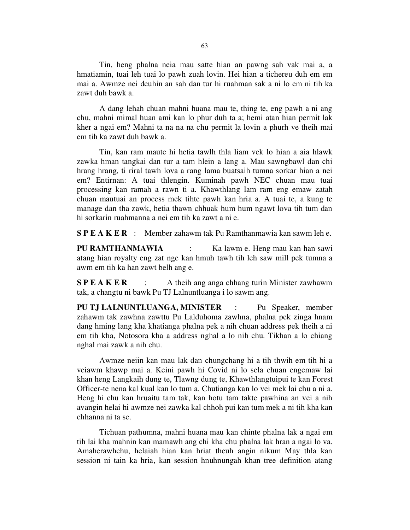Tin, heng phalna neia mau satte hian an pawng sah vak mai a, a hmatiamin, tuai leh tuai lo pawh zuah lovin. Hei hian a tichereu duh em em mai a. Awmze nei deuhin an sah dan tur hi ruahman sak a ni lo em ni tih ka zawt duh bawk a.

 A dang lehah chuan mahni huana mau te, thing te, eng pawh a ni ang chu, mahni mimal huan ami kan lo phur duh ta a; hemi atan hian permit lak kher a ngai em? Mahni ta na na na chu permit la lovin a phurh ve theih mai em tih ka zawt duh bawk a.

 Tin, kan ram maute hi hetia tawlh thla liam vek lo hian a aia hlawk zawka hman tangkai dan tur a tam hlein a lang a. Mau sawngbawl dan chi hrang hrang, ti riral tawh lova a rang lama buatsaih tumna sorkar hian a nei em? Entirnan: A tuai thlengin. Kuminah pawh NEC chuan mau tuai processing kan ramah a rawn ti a. Khawthlang lam ram eng emaw zatah chuan mautuai an process mek tihte pawh kan hria a. A tuai te, a kung te manage dan tha zawk, hetia thawn chhuak hum hum ngawt lova tih tum dan hi sorkarin ruahmanna a nei em tih ka zawt a ni e.

S P E A K E R : Member zahawm tak Pu Ramthanmawia kan sawm leh e.

PU RAMTHANMAWIA : Ka lawm e. Heng mau kan han sawi atang hian royalty eng zat nge kan hmuh tawh tih leh saw mill pek tumna a awm em tih ka han zawt belh ang e.

S P E A K E R : A theih ang anga chhang turin Minister zawhawm tak, a changtu ni bawk Pu TJ Lalnuntluanga i lo sawm ang.

PU TJ LALNUNTLUANGA, MINISTER : Pu Speaker, member zahawm tak zawhna zawttu Pu Lalduhoma zawhna, phalna pek zinga hnam dang hming lang kha khatianga phalna pek a nih chuan address pek theih a ni em tih kha, Notosora kha a address nghal a lo nih chu. Tikhan a lo chiang nghal mai zawk a nih chu.

 Awmze neiin kan mau lak dan chungchang hi a tih thwih em tih hi a veiawm khawp mai a. Keini pawh hi Covid ni lo sela chuan engemaw lai khan heng Langkaih dung te, Tlawng dung te, Khawthlangtuipui te kan Forest Officer-te nena kal kual kan lo tum a. Chutianga kan lo vei mek lai chu a ni a. Heng hi chu kan hruaitu tam tak, kan hotu tam takte pawhina an vei a nih avangin helai hi awmze nei zawka kal chhoh pui kan tum mek a ni tih kha kan chhanna ni ta se.

 Tichuan pathumna, mahni huana mau kan chinte phalna lak a ngai em tih lai kha mahnin kan mamawh ang chi kha chu phalna lak hran a ngai lo va. Amaherawhchu, helaiah hian kan hriat theuh angin nikum May thla kan session ni tain ka hria, kan session hnuhnungah khan tree definition atang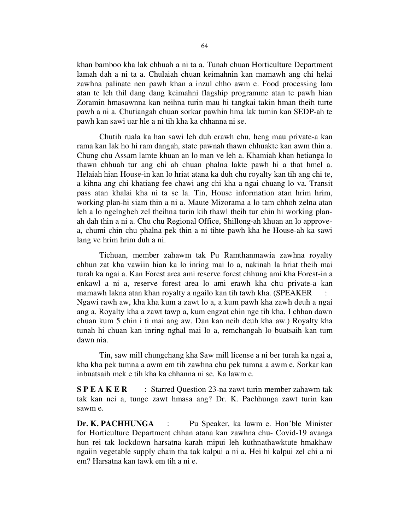khan bamboo kha lak chhuah a ni ta a. Tunah chuan Horticulture Department lamah dah a ni ta a. Chulaiah chuan keimahnin kan mamawh ang chi helai zawhna palinate nen pawh khan a inzul chho awm e. Food processing lam atan te leh thil dang dang keimahni flagship programme atan te pawh hian Zoramin hmasawnna kan neihna turin mau hi tangkai takin hman theih turte pawh a ni a. Chutiangah chuan sorkar pawhin hma lak tumin kan SEDP-ah te pawh kan sawi uar hle a ni tih kha ka chhanna ni se.

 Chutih ruala ka han sawi leh duh erawh chu, heng mau private-a kan rama kan lak ho hi ram dangah, state pawnah thawn chhuakte kan awm thin a. Chung chu Assam lamte khuan an lo man ve leh a. Khamiah khan hetianga lo thawn chhuah tur ang chi ah chuan phalna lakte pawh hi a that hmel a. Helaiah hian House-in kan lo hriat atana ka duh chu royalty kan tih ang chi te, a kihna ang chi khatiang fee chawi ang chi kha a ngai chuang lo va. Transit pass atan khalai kha ni ta se la. Tin, House information atan hrim hrim, working plan-hi siam thin a ni a. Maute Mizorama a lo tam chhoh zelna atan leh a lo ngelngheh zel theihna turin kih thawl theih tur chin hi working planah dah thin a ni a. Chu chu Regional Office, Shillong-ah khuan an lo approvea, chumi chin chu phalna pek thin a ni tihte pawh kha he House-ah ka sawi lang ve hrim hrim duh a ni.

 Tichuan, member zahawm tak Pu Ramthanmawia zawhna royalty chhun zat kha vawiin hian ka lo inring mai lo a, nakinah la hriat theih mai turah ka ngai a. Kan Forest area ami reserve forest chhung ami kha Forest-in a enkawl a ni a, reserve forest area lo ami erawh kha chu private-a kan mamawh lakna atan khan royalty a ngailo kan tih tawh kha. (SPEAKER : Ngawi rawh aw, kha kha kum a zawt lo a, a kum pawh kha zawh deuh a ngai ang a. Royalty kha a zawt tawp a, kum engzat chin nge tih kha. I chhan dawn chuan kum 5 chin i ti mai ang aw. Dan kan neih deuh kha aw.) Royalty kha tunah hi chuan kan inring nghal mai lo a, remchangah lo buatsaih kan tum dawn nia.

 Tin, saw mill chungchang kha Saw mill license a ni ber turah ka ngai a, kha kha pek tumna a awm em tih zawhna chu pek tumna a awm e. Sorkar kan inbuatsaih mek e tih kha ka chhanna ni se. Ka lawm e.

S P E A K E R : Starred Question 23-na zawt turin member zahawm tak tak kan nei a, tunge zawt hmasa ang? Dr. K. Pachhunga zawt turin kan sawm e.

Dr. K. PACHHUNGA : Pu Speaker, ka lawm e. Hon'ble Minister for Horticulture Department chhan atana kan zawhna chu- Covid-19 avanga hun rei tak lockdown harsatna karah mipui leh kuthnathawktute hmakhaw ngaiin vegetable supply chain tha tak kalpui a ni a. Hei hi kalpui zel chi a ni em? Harsatna kan tawk em tih a ni e.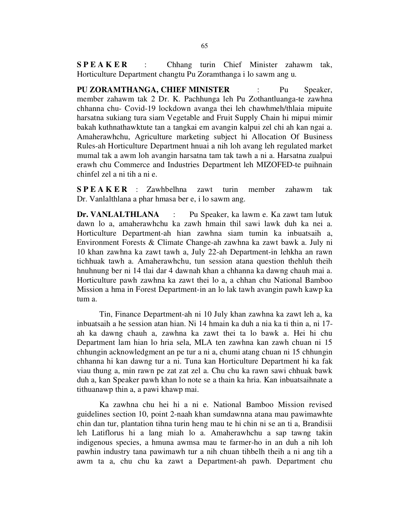SPEAKER : Chhang turin Chief Minister zahawm tak, Horticulture Department changtu Pu Zoramthanga i lo sawm ang u.

PU ZORAMTHANGA, CHIEF MINISTER : Pu Speaker, member zahawm tak 2 Dr. K. Pachhunga leh Pu Zothantluanga-te zawhna chhanna chu- Covid-19 lockdown avanga thei leh chawhmeh/thlaia mipuite harsatna sukiang tura siam Vegetable and Fruit Supply Chain hi mipui mimir bakah kuthnathawktute tan a tangkai em avangin kalpui zel chi ah kan ngai a. Amaherawhchu, Agriculture marketing subject hi Allocation Of Business Rules-ah Horticulture Department hnuai a nih loh avang leh regulated market mumal tak a awm loh avangin harsatna tam tak tawh a ni a. Harsatna zualpui erawh chu Commerce and Industries Department leh MIZOFED-te puihnain chinfel zel a ni tih a ni e.

S P E A K E R : Zawhbelhna zawt turin member zahawm tak Dr. Vanlalthlana a phar hmasa ber e, i lo sawm ang.

Dr. VANLALTHLANA : Pu Speaker, ka lawm e. Ka zawt tam lutuk dawn lo a, amaherawhchu ka zawh hmain thil sawi lawk duh ka nei a. Horticulture Department-ah hian zawhna siam tumin ka inbuatsaih a, Environment Forests & Climate Change-ah zawhna ka zawt bawk a. July ni 10 khan zawhna ka zawt tawh a, July 22-ah Department-in lehkha an rawn tichhuak tawh a. Amaherawhchu, tun session atana question thehluh theih hnuhnung ber ni 14 tlai dar 4 dawnah khan a chhanna ka dawng chauh mai a. Horticulture pawh zawhna ka zawt thei lo a, a chhan chu National Bamboo Mission a hma in Forest Department-in an lo lak tawh avangin pawh kawp ka tum a.

 Tin, Finance Department-ah ni 10 July khan zawhna ka zawt leh a, ka inbuatsaih a he session atan hian. Ni 14 hmain ka duh a nia ka ti thin a, ni 17 ah ka dawng chauh a, zawhna ka zawt thei ta lo bawk a. Hei hi chu Department lam hian lo hria sela, MLA ten zawhna kan zawh chuan ni 15 chhungin acknowledgment an pe tur a ni a, chumi atang chuan ni 15 chhungin chhanna hi kan dawng tur a ni. Tuna kan Horticulture Department hi ka fak viau thung a, min rawn pe zat zat zel a. Chu chu ka rawn sawi chhuak bawk duh a, kan Speaker pawh khan lo note se a thain ka hria. Kan inbuatsaihnate a tithuanawp thin a, a pawi khawp mai.

 Ka zawhna chu hei hi a ni e. National Bamboo Mission revised guidelines section 10, point 2-naah khan sumdawnna atana mau pawimawhte chin dan tur, plantation tihna turin heng mau te hi chin ni se an ti a, Brandisii leh Latiflorus hi a lang miah lo a. Amaherawhchu a sap tawng takin indigenous species, a hmuna awmsa mau te farmer-ho in an duh a nih loh pawhin industry tana pawimawh tur a nih chuan tihbelh theih a ni ang tih a awm ta a, chu chu ka zawt a Department-ah pawh. Department chu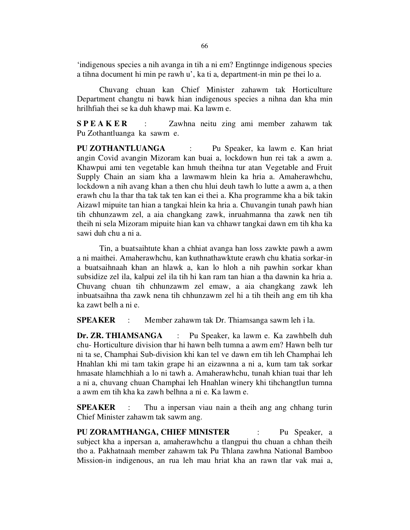'indigenous species a nih avanga in tih a ni em? Engtinnge indigenous species a tihna document hi min pe rawh u', ka ti a, department-in min pe thei lo a.

 Chuvang chuan kan Chief Minister zahawm tak Horticulture Department changtu ni bawk hian indigenous species a nihna dan kha min hrilhfiah thei se ka duh khawp mai. Ka lawm e.

S P E A K E R : Zawhna neitu zing ami member zahawm tak Pu Zothantluanga ka sawm e.

PU ZOTHANTLUANGA : Pu Speaker, ka lawm e. Kan hriat angin Covid avangin Mizoram kan buai a, lockdown hun rei tak a awm a. Khawpui ami ten vegetable kan hmuh theihna tur atan Vegetable and Fruit Supply Chain an siam kha a lawmawm hlein ka hria a. Amaherawhchu, lockdown a nih avang khan a then chu hlui deuh tawh lo lutte a awm a, a then erawh chu la thar tha tak tak ten kan ei thei a. Kha programme kha a bik takin Aizawl mipuite tan hian a tangkai hlein ka hria a. Chuvangin tunah pawh hian tih chhunzawm zel, a aia changkang zawk, inruahmanna tha zawk nen tih theih ni sela Mizoram mipuite hian kan va chhawr tangkai dawn em tih kha ka sawi duh chu a ni a.

 Tin, a buatsaihtute khan a chhiat avanga han loss zawkte pawh a awm a ni maithei. Amaherawhchu, kan kuthnathawktute erawh chu khatia sorkar-in a buatsaihnaah khan an hlawk a, kan lo hloh a nih pawhin sorkar khan subsidize zel ila, kalpui zel ila tih hi kan ram tan hian a tha dawnin ka hria a. Chuvang chuan tih chhunzawm zel emaw, a aia changkang zawk leh inbuatsaihna tha zawk nena tih chhunzawm zel hi a tih theih ang em tih kha ka zawt belh a ni e.

SPEAKER : Member zahawm tak Dr. Thiamsanga sawm leh i la.

Dr. ZR. THIAMSANGA : Pu Speaker, ka lawm e. Ka zawhbelh duh chu- Horticulture division thar hi hawn belh tumna a awm em? Hawn belh tur ni ta se, Champhai Sub-division khi kan tel ve dawn em tih leh Champhai leh Hnahlan khi mi tam takin grape hi an eizawnna a ni a, kum tam tak sorkar hmasate hlamchhiah a lo ni tawh a. Amaherawhchu, tunah khian tuai thar leh a ni a, chuvang chuan Champhai leh Hnahlan winery khi tihchangtlun tumna a awm em tih kha ka zawh belhna a ni e. Ka lawm e.

**SPEAKER** : Thu a inpersan viau nain a theih ang ang chhang turin Chief Minister zahawm tak sawm ang.

PU ZORAMTHANGA, CHIEF MINISTER : Pu Speaker, a subject kha a inpersan a, amaherawhchu a tlangpui thu chuan a chhan theih tho a. Pakhatnaah member zahawm tak Pu Thlana zawhna National Bamboo Mission-in indigenous, an rua leh mau hriat kha an rawn tlar vak mai a,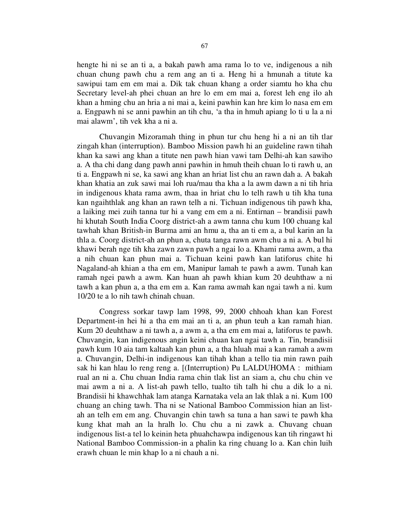hengte hi ni se an ti a, a bakah pawh ama rama lo to ve, indigenous a nih chuan chung pawh chu a rem ang an ti a. Heng hi a hmunah a titute ka sawipui tam em em mai a. Dik tak chuan khang a order siamtu ho kha chu Secretary level-ah phei chuan an hre lo em em mai a, forest leh eng ilo ah khan a hming chu an hria a ni mai a, keini pawhin kan hre kim lo nasa em em a. Engpawh ni se anni pawhin an tih chu, 'a tha in hmuh apiang lo ti u la a ni mai alawm', tih vek kha a ni a.

 Chuvangin Mizoramah thing in phun tur chu heng hi a ni an tih tlar zingah khan (interruption). Bamboo Mission pawh hi an guideline rawn tihah khan ka sawi ang khan a titute nen pawh hian vawi tam Delhi-ah kan sawiho a. A tha chi dang dang pawh anni pawhin in hmuh theih chuan lo ti rawh u, an ti a. Engpawh ni se, ka sawi ang khan an hriat list chu an rawn dah a. A bakah khan khatia an zuk sawi mai loh rua/mau tha kha a la awm dawn a ni tih hria in indigenous khata rama awm, thaa in hriat chu lo telh rawh u tih kha tuna kan ngaihthlak ang khan an rawn telh a ni. Tichuan indigenous tih pawh kha, a laiking mei zuih tanna tur hi a vang em em a ni. Entirnan – brandisii pawh hi khutah South India Coorg district-ah a awm tanna chu kum 100 chuang kal tawhah khan British-in Burma ami an hmu a, tha an ti em a, a bul karin an la thla a. Coorg district-ah an phun a, chuta tanga rawn awm chu a ni a. A bul hi khawi berah nge tih kha zawn zawn pawh a ngai lo a. Khami rama awm, a tha a nih chuan kan phun mai a. Tichuan keini pawh kan latiforus chite hi Nagaland-ah khian a tha em em, Manipur lamah te pawh a awm. Tunah kan ramah ngei pawh a awm. Kan huan ah pawh khian kum 20 deuhthaw a ni tawh a kan phun a, a tha em em a. Kan rama awmah kan ngai tawh a ni. kum 10/20 te a lo nih tawh chinah chuan.

 Congress sorkar tawp lam 1998, 99, 2000 chhoah khan kan Forest Department-in hei hi a tha em mai an ti a, an phun teuh a kan ramah hian. Kum 20 deuhthaw a ni tawh a, a awm a, a tha em em mai a, latiforus te pawh. Chuvangin, kan indigenous angin keini chuan kan ngai tawh a. Tin, brandisii pawh kum 10 aia tam kaltaah kan phun a, a tha hluah mai a kan ramah a awm a. Chuvangin, Delhi-in indigenous kan tihah khan a tello tia min rawn paih sak hi kan hlau lo reng reng a. [(Interruption) Pu LALDUHOMA : mithiam rual an ni a. Chu chuan India rama chin tlak list an siam a, chu chu chin ve mai awm a ni a. A list-ah pawh tello, tualto tih talh hi chu a dik lo a ni. Brandisii hi khawchhak lam atanga Karnataka vela an lak thlak a ni. Kum 100 chuang an ching tawh. Tha ni se National Bamboo Commission hian an listah an telh em em ang. Chuvangin chin tawh sa tuna a han sawi te pawh kha kung khat mah an la hralh lo. Chu chu a ni zawk a. Chuvang chuan indigenous list-a tel lo keinin heta phuahchawpa indigenous kan tih ringawt hi National Bamboo Commission-in a phalin ka ring chuang lo a. Kan chin luih erawh chuan le min khap lo a ni chauh a ni.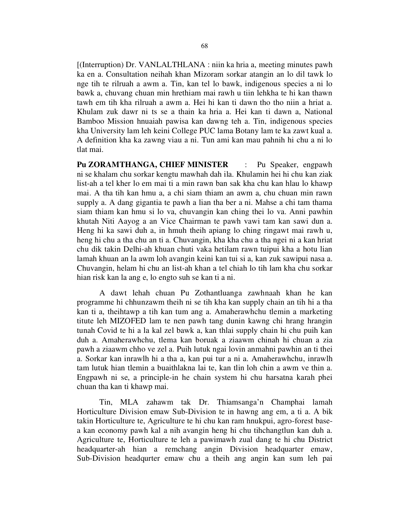[(Interruption) Dr. VANLALTHLANA : niin ka hria a, meeting minutes pawh ka en a. Consultation neihah khan Mizoram sorkar atangin an lo dil tawk lo nge tih te rilruah a awm a. Tin, kan tel lo bawk, indigenous species a ni lo bawk a, chuvang chuan min hrethiam mai rawh u tiin lehkha te hi kan thawn tawh em tih kha rilruah a awm a. Hei hi kan ti dawn tho tho niin a hriat a. Khulam zuk dawr ni ts se a thain ka hria a. Hei kan ti dawn a, National Bamboo Mission hnuaiah pawisa kan dawng teh a. Tin, indigenous species kha University lam leh keini College PUC lama Botany lam te ka zawt kual a. A definition kha ka zawng viau a ni. Tun ami kan mau pahnih hi chu a ni lo tlat mai.

Pu ZORAMTHANGA, CHIEF MINISTER : Pu Speaker, engpawh ni se khalam chu sorkar kengtu mawhah dah ila. Khulamin hei hi chu kan ziak list-ah a tel kher lo em mai ti a min rawn ban sak kha chu kan hlau lo khawp mai. A tha tih kan hmu a, a chi siam thiam an awm a, chu chuan min rawn supply a. A dang gigantia te pawh a lian tha ber a ni. Mahse a chi tam thama siam thiam kan hmu si lo va, chuvangin kan ching thei lo va. Anni pawhin khutah Niti Aayog a an Vice Chairman te pawh vawi tam kan sawi dun a. Heng hi ka sawi duh a, in hmuh theih apiang lo ching ringawt mai rawh u, heng hi chu a tha chu an ti a. Chuvangin, kha kha chu a tha ngei ni a kan hriat chu dik takin Delhi-ah khuan chuti vaka hetilam rawn tuipui kha a hotu lian lamah khuan an la awm loh avangin keini kan tui si a, kan zuk sawipui nasa a. Chuvangin, helam hi chu an list-ah khan a tel chiah lo tih lam kha chu sorkar hian risk kan la ang e, lo engto suh se kan ti a ni.

 A dawt lehah chuan Pu Zothantluanga zawhnaah khan he kan programme hi chhunzawm theih ni se tih kha kan supply chain an tih hi a tha kan ti a, theihtawp a tih kan tum ang a. Amaherawhchu tlemin a marketing titute leh MIZOFED lam te nen pawh tang dunin kawng chi hrang hrangin tunah Covid te hi a la kal zel bawk a, kan thlai supply chain hi chu puih kan duh a. Amaherawhchu, tlema kan boruak a ziaawm chinah hi chuan a zia pawh a ziaawm chho ve zel a. Puih lutuk ngai lovin anmahni pawhin an ti thei a. Sorkar kan inrawlh hi a tha a, kan pui tur a ni a. Amaherawhchu, inrawlh tam lutuk hian tlemin a buaithlakna lai te, kan tlin loh chin a awm ve thin a. Engpawh ni se, a principle-in he chain system hi chu harsatna karah phei chuan tha kan ti khawp mai.

 Tin, MLA zahawm tak Dr. Thiamsanga'n Champhai lamah Horticulture Division emaw Sub-Division te in hawng ang em, a ti a. A bik takin Horticulture te, Agriculture te hi chu kan ram hnukpui, agro-forest basea kan economy pawh kal a nih avangin heng hi chu tihchangtlun kan duh a. Agriculture te, Horticulture te leh a pawimawh zual dang te hi chu District headquarter-ah hian a remchang angin Division headquarter emaw, Sub-Division headqurter emaw chu a theih ang angin kan sum leh pai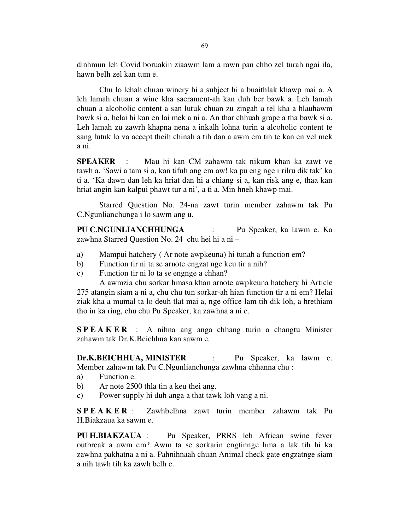dinhmun leh Covid boruakin ziaawm lam a rawn pan chho zel turah ngai ila, hawn belh zel kan tum e.

 Chu lo lehah chuan winery hi a subject hi a buaithlak khawp mai a. A leh lamah chuan a wine kha sacrament-ah kan duh ber bawk a. Leh lamah chuan a alcoholic content a san lutuk chuan zu zingah a tel kha a hlauhawm bawk si a, helai hi kan en lai mek a ni a. An thar chhuah grape a tha bawk si a. Leh lamah zu zawrh khapna nena a inkalh lohna turin a alcoholic content te sang lutuk lo va accept theih chinah a tih dan a awm em tih te kan en vel mek a ni.

SPEAKER : Mau hi kan CM zahawm tak nikum khan ka zawt ve tawh a. 'Sawi a tam si a, kan tifuh ang em aw! ka pu eng nge i rilru dik tak' ka ti a. 'Ka dawn dan leh ka hriat dan hi a chiang si a, kan risk ang e, thaa kan hriat angin kan kalpui phawt tur a ni', a ti a. Min hneh khawp mai.

 Starred Question No. 24-na zawt turin member zahawm tak Pu C.Ngunlianchunga i lo sawm ang u.

PU C.NGUNLIANCHHUNGA : Pu Speaker, ka lawm e. Ka zawhna Starred Question No. 24 chu hei hi a ni –

- a) Mampui hatchery ( Ar note awpkeuna) hi tunah a function em?
- b) Function tir ni ta se arnote engzat nge keu tir a nih?
- c) Function tir ni lo ta se engnge a chhan?

 A awmzia chu sorkar hmasa khan arnote awpkeuna hatchery hi Article 275 atangin siam a ni a, chu chu tun sorkar-ah hian function tir a ni em? Helai ziak kha a mumal ta lo deuh tlat mai a, nge office lam tih dik loh, a hrethiam tho in ka ring, chu chu Pu Speaker, ka zawhna a ni e.

S P E A K E R : A nihna ang anga chhang turin a changtu Minister zahawm tak Dr.K.Beichhua kan sawm e.

Dr.K.BEICHHUA, MINISTER : Pu Speaker, ka lawm e. Member zahawm tak Pu C.Ngunlianchunga zawhna chhanna chu :

- a) Function e.
- b) Ar note 2500 thla tin a keu thei ang.
- c) Power supply hi duh anga a that tawk loh vang a ni.

S P E A K E R : Zawhbelhna zawt turin member zahawm tak Pu H.Biakzaua ka sawm e.

PU H.BIAKZAUA : Pu Speaker, PRRS leh African swine fever outbreak a awm em? Awm ta se sorkarin engtinnge hma a lak tih hi ka zawhna pakhatna a ni a. Pahnihnaah chuan Animal check gate engzatnge siam a nih tawh tih ka zawh belh e.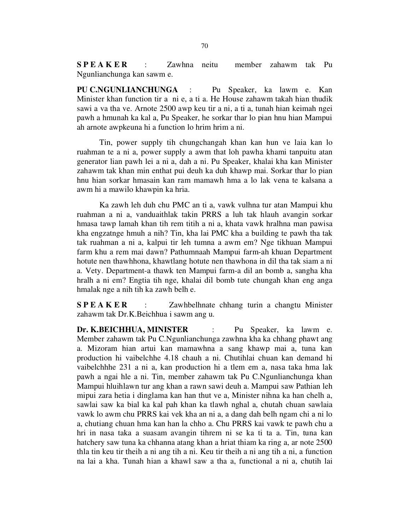S P E A K E R : Zawhna neitu member zahawm tak Pu Ngunlianchunga kan sawm e.

PU C.NGUNLIANCHUNGA : Pu Speaker, ka lawm e. Kan Minister khan function tir a ni e, a ti a. He House zahawm takah hian thudik sawi a va tha ve. Arnote 2500 awp keu tir a ni, a ti a, tunah hian keimah ngei pawh a hmunah ka kal a, Pu Speaker, he sorkar thar lo pian hnu hian Mampui ah arnote awpkeuna hi a function lo hrim hrim a ni.

 Tin, power supply tih chungchangah khan kan hun ve laia kan lo ruahman te a ni a, power supply a awm that loh pawha khami tanpuitu atan generator lian pawh lei a ni a, dah a ni. Pu Speaker, khalai kha kan Minister zahawm tak khan min enthat pui deuh ka duh khawp mai. Sorkar thar lo pian hnu hian sorkar hmasain kan ram mamawh hma a lo lak vena te kalsana a awm hi a mawilo khawpin ka hria.

 Ka zawh leh duh chu PMC an ti a, vawk vulhna tur atan Mampui khu ruahman a ni a, vanduaithlak takin PRRS a luh tak hlauh avangin sorkar hmasa tawp lamah khan tih rem titih a ni a, khata vawk hralhna man pawisa kha engzatnge hmuh a nih? Tin, kha lai PMC kha a building te pawh tha tak tak ruahman a ni a, kalpui tir leh tumna a awm em? Nge tikhuan Mampui farm khu a rem mai dawn? Pathumnaah Mampui farm-ah khuan Department hotute nen thawhhona, khawtlang hotute nen thawhona in dil tha tak siam a ni a. Vety. Department-a thawk ten Mampui farm-a dil an bomb a, sangha kha hralh a ni em? Engtia tih nge, khalai dil bomb tute chungah khan eng anga hmalak nge a nih tih ka zawh belh e.

S P E A K E R : Zawhbelhnate chhang turin a changtu Minister zahawm tak Dr.K.Beichhua i sawm ang u.

Dr. K.BEICHHUA, MINISTER : Pu Speaker, ka lawm e. Member zahawm tak Pu C.Ngunlianchunga zawhna kha ka chhang phawt ang a. Mizoram hian artui kan mamawhna a sang khawp mai a, tuna kan production hi vaibelchhe 4.18 chauh a ni. Chutihlai chuan kan demand hi vaibelchhhe 231 a ni a, kan production hi a tlem em a, nasa taka hma lak pawh a ngai hle a ni. Tin, member zahawm tak Pu C.Ngunlianchunga khan Mampui hluihlawn tur ang khan a rawn sawi deuh a. Mampui saw Pathian leh mipui zara hetia i dinglama kan han thut ve a, Minister nihna ka han chelh a, sawlai saw ka bial ka kal pah khan ka tlawh nghal a, chutah chuan sawlaia vawk lo awm chu PRRS kai vek kha an ni a, a dang dah belh ngam chi a ni lo a, chutiang chuan hma kan han la chho a. Chu PRRS kai vawk te pawh chu a hri in nasa taka a suasam avangin tihrem ni se ka ti ta a. Tin, tuna kan hatchery saw tuna ka chhanna atang khan a hriat thiam ka ring a, ar note 2500 thla tin keu tir theih a ni ang tih a ni. Keu tir theih a ni ang tih a ni, a function na lai a kha. Tunah hian a khawl saw a tha a, functional a ni a, chutih lai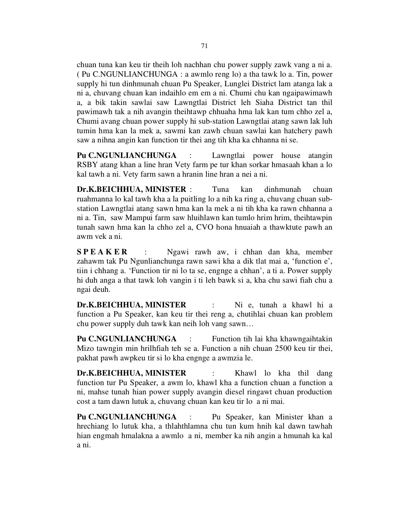chuan tuna kan keu tir theih loh nachhan chu power supply zawk vang a ni a. ( Pu C.NGUNLIANCHUNGA : a awmlo reng lo) a tha tawk lo a. Tin, power supply hi tun dinhmunah chuan Pu Speaker, Lunglei District lam atanga lak a ni a, chuvang chuan kan indaihlo em em a ni. Chumi chu kan ngaipawimawh a, a bik takin sawlai saw Lawngtlai District leh Siaha District tan thil pawimawh tak a nih avangin theihtawp chhuaha hma lak kan tum chho zel a, Chumi avang chuan power supply hi sub-station Lawngtlai atang sawn lak luh tumin hma kan la mek a, sawmi kan zawh chuan sawlai kan hatchery pawh saw a nihna angin kan function tir thei ang tih kha ka chhanna ni se.

Pu C.NGUNLIANCHUNGA : Lawngtlai power house atangin RSBY atang khan a line hran Vety farm pe tur khan sorkar hmasaah khan a lo kal tawh a ni. Vety farm sawn a hranin line hran a nei a ni.

Dr.K.BEICHHUA, MINISTER : Tuna kan dinhmunah chuan ruahmanna lo kal tawh kha a la puitling lo a nih ka ring a, chuvang chuan substation Lawngtlai atang sawn hma kan la mek a ni tih kha ka rawn chhanna a ni a. Tin, saw Mampui farm saw hluihlawn kan tumlo hrim hrim, theihtawpin tunah sawn hma kan la chho zel a, CVO hona hnuaiah a thawktute pawh an awm vek a ni.

**SPEAKER** : Ngawi rawh aw, i chhan dan kha, member zahawm tak Pu Ngunlianchunga rawn sawi kha a dik tlat mai a, 'function e', tiin i chhang a. 'Function tir ni lo ta se, engnge a chhan', a ti a. Power supply hi duh anga a that tawk loh vangin i ti leh bawk si a, kha chu sawi fiah chu a ngai deuh.

Dr.K.BEICHHUA, MINISTER : Ni e, tunah a khawl hi a function a Pu Speaker, kan keu tir thei reng a, chutihlai chuan kan problem chu power supply duh tawk kan neih loh vang sawn…

Pu C.NGUNLIANCHUNGA : Function tih lai kha khawngaihtakin Mizo tawngin min hrilhfiah teh se a. Function a nih chuan 2500 keu tir thei, pakhat pawh awpkeu tir si lo kha engnge a awmzia le.

Dr.K.BEICHHUA, MINISTER : Khawl lo kha thil dang function tur Pu Speaker, a awm lo, khawl kha a function chuan a function a ni, mahse tunah hian power supply avangin diesel ringawt chuan production cost a tam dawn lutuk a, chuvang chuan kan keu tir lo a ni mai.

Pu C.NGUNLIANCHUNGA : Pu Speaker, kan Minister khan a hrechiang lo lutuk kha, a thlahthlamna chu tun kum hnih kal dawn tawhah hian engmah hmalakna a awmlo a ni, member ka nih angin a hmunah ka kal a ni.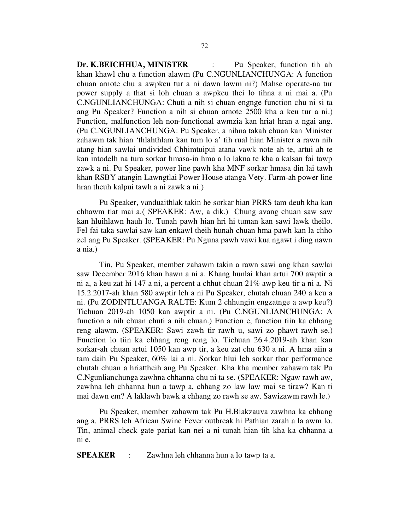Dr. K.BEICHHUA, MINISTER : Pu Speaker, function tih ah khan khawl chu a function alawm (Pu C.NGUNLIANCHUNGA: A function chuan arnote chu a awpkeu tur a ni dawn lawm ni?) Mahse operate-na tur power supply a that si loh chuan a awpkeu thei lo tihna a ni mai a. (Pu C.NGUNLIANCHUNGA: Chuti a nih si chuan engnge function chu ni si ta ang Pu Speaker? Function a nih si chuan arnote 2500 kha a keu tur a ni.) Function, malfunction leh non-functional awmzia kan hriat hran a ngai ang. (Pu C.NGUNLIANCHUNGA: Pu Speaker, a nihna takah chuan kan Minister zahawm tak hian 'thlahthlam kan tum lo a' tih rual hian Minister a rawn nih atang hian sawlai undivided Chhimtuipui atana vawk note ah te, artui ah te kan intodelh na tura sorkar hmasa-in hma a lo lakna te kha a kalsan fai tawp zawk a ni. Pu Speaker, power line pawh kha MNF sorkar hmasa din lai tawh khan RSBY atangin Lawngtlai Power House atanga Vety. Farm-ah power line hran theuh kalpui tawh a ni zawk a ni.)

 Pu Speaker, vanduaithlak takin he sorkar hian PRRS tam deuh kha kan chhawm tlat mai a.( SPEAKER: Aw, a dik.) Chung avang chuan saw saw kan hluihlawn hauh lo. Tunah pawh hian hri hi tuman kan sawi lawk theilo. Fel fai taka sawlai saw kan enkawl theih hunah chuan hma pawh kan la chho zel ang Pu Speaker. (SPEAKER: Pu Nguna pawh vawi kua ngawt i ding nawn a nia.)

 Tin, Pu Speaker, member zahawm takin a rawn sawi ang khan sawlai saw December 2016 khan hawn a ni a. Khang hunlai khan artui 700 awptir a ni a, a keu zat hi 147 a ni, a percent a chhut chuan 21% awp keu tir a ni a. Ni 15.2.2017-ah khan 580 awptir leh a ni Pu Speaker, chutah chuan 240 a keu a ni. (Pu ZODINTLUANGA RALTE: Kum 2 chhungin engzatnge a awp keu?) Tichuan 2019-ah 1050 kan awptir a ni. (Pu C.NGUNLIANCHUNGA: A function a nih chuan chuti a nih chuan.) Function e, function tiin ka chhang reng alawm. (SPEAKER: Sawi zawh tir rawh u, sawi zo phawt rawh se.) Function lo tiin ka chhang reng reng lo. Tichuan 26.4.2019-ah khan kan sorkar-ah chuan artui 1050 kan awp tir, a keu zat chu 630 a ni. A hma aiin a tam daih Pu Speaker, 60% lai a ni. Sorkar hlui leh sorkar thar performance chutah chuan a hriattheih ang Pu Speaker. Kha kha member zahawm tak Pu C.Ngunlianchunga zawhna chhanna chu ni ta se. (SPEAKER: Ngaw rawh aw, zawhna leh chhanna hun a tawp a, chhang zo law law mai se tiraw? Kan ti mai dawn em? A laklawh bawk a chhang zo rawh se aw. Sawizawm rawh le.)

 Pu Speaker, member zahawm tak Pu H.Biakzauva zawhna ka chhang ang a. PRRS leh African Swine Fever outbreak hi Pathian zarah a la awm lo. Tin, animal check gate pariat kan nei a ni tunah hian tih kha ka chhanna a ni e.

SPEAKER : Zawhna leh chhanna hun a lo tawp ta a.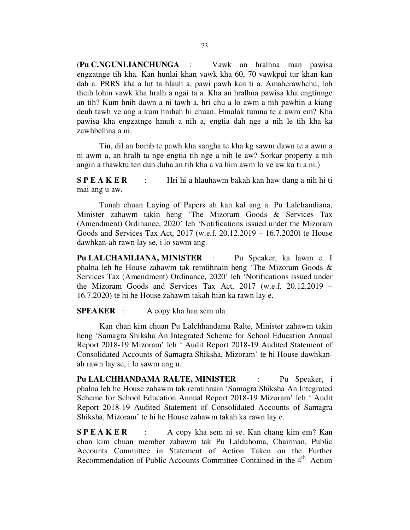(Pu C.NGUNLIANCHUNGA : Vawk an hralhna man pawisa engzatnge tih kha. Kan hunlai khan vawk kha 60, 70 vawkpui tur khan kan dah a. PRRS kha a lut ta hlauh a, pawi pawh kan ti a. Amaherawhchu, loh theih lohin vawk kha hralh a ngai ta a. Kha an hralhna pawisa kha engtinnge an tih? Kum hnih dawn a ni tawh a, hri chu a lo awm a nih pawhin a kiang deuh tawh ve ang a kum hnihah hi chuan. Hmalak tumna te a awm em? Kha pawisa kha engzatnge hmuh a nih a, engtia dah nge a nih le tih kha ka zawhbelhna a ni.

 Tin, dil an bomb te pawh kha sangha te kha kg sawm dawn te a awm a ni awm a, an hralh ta nge engtia tih nge a nih le aw? Sorkar property a nih angin a thawktu ten duh duha an tih kha a va him awm lo ve aw ka ti a ni.)

S P E A K E R : Hri hi a hlauhawm bakah kan haw tlang a nih hi ti mai ang u aw.

 Tunah chuan Laying of Papers ah kan kal ang a. Pu Lalchamliana, Minister zahawm takin heng 'The Mizoram Goods & Services Tax (Amendment) Ordinance, 2020' leh 'Notifications issued under the Mizoram Goods and Services Tax Act, 2017 (w.e.f. 20.12.2019 – 16.7.2020) te House dawhkan-ah rawn lay se, i lo sawm ang.

Pu LALCHAMLIANA, MINISTER : Pu Speaker, ka lawm e. I phalna leh he House zahawm tak remtihnain heng 'The Mizoram Goods & Services Tax (Amendment) Ordinance, 2020' leh 'Notifications issued under the Mizoram Goods and Services Tax Act, 2017 (w.e.f. 20.12.2019 – 16.7.2020) te hi he House zahawm takah hian ka rawn lay e.

#### **SPEAKER** : A copy kha han sem ula.

 Kan chan kim chuan Pu Lalchhandama Ralte, Minister zahawm takin heng 'Samagra Shiksha An Integrated Scheme for School Education Annual Report 2018-19 Mizoram' leh ' Audit Report 2018-19 Audited Statement of Consolidated Accounts of Samagra Shiksha, Mizoram' te hi House dawhkanah rawn lay se, i lo sawm ang u.

Pu LALCHHANDAMA RALTE, MINISTER : Pu Speaker, i phalna leh he House zahawm tak remtihnain 'Samagra Shiksha An Integrated Scheme for School Education Annual Report 2018-19 Mizoram' leh ' Audit Report 2018-19 Audited Statement of Consolidated Accounts of Samagra Shiksha, Mizoram' te hi he House zahawm takah ka rawn lay e.

S P E A K E R : A copy kha sem ni se. Kan chang kim em? Kan chan kim chuan member zahawm tak Pu Lalduhoma, Chairman, Public Accounts Committee in Statement of Action Taken on the Further Recommendation of Public Accounts Committee Contained in the 4<sup>th</sup> Action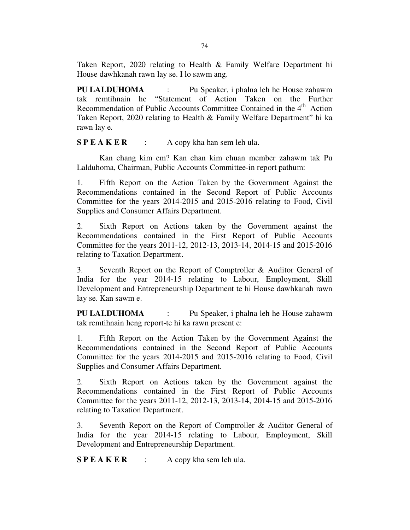Taken Report, 2020 relating to Health & Family Welfare Department hi House dawhkanah rawn lay se. I lo sawm ang.

PU LALDUHOMA : Pu Speaker, i phalna leh he House zahawm tak remtihnain he "Statement of Action Taken on the Further Recommendation of Public Accounts Committee Contained in the 4<sup>th</sup> Action Taken Report, 2020 relating to Health & Family Welfare Department" hi ka rawn lay e.

 $S P E A K E R$  : A copy kha han sem leh ula.

 Kan chang kim em? Kan chan kim chuan member zahawm tak Pu Lalduhoma, Chairman, Public Accounts Committee-in report pathum:

1. Fifth Report on the Action Taken by the Government Against the Recommendations contained in the Second Report of Public Accounts Committee for the years 2014-2015 and 2015-2016 relating to Food, Civil Supplies and Consumer Affairs Department.

2. Sixth Report on Actions taken by the Government against the Recommendations contained in the First Report of Public Accounts Committee for the years 2011-12, 2012-13, 2013-14, 2014-15 and 2015-2016 relating to Taxation Department.

3. Seventh Report on the Report of Comptroller & Auditor General of India for the year 2014-15 relating to Labour, Employment, Skill Development and Entrepreneurship Department te hi House dawhkanah rawn lay se. Kan sawm e.

PU LALDUHOMA : Pu Speaker, i phalna leh he House zahawm tak remtihnain heng report-te hi ka rawn present e:

1. Fifth Report on the Action Taken by the Government Against the Recommendations contained in the Second Report of Public Accounts Committee for the years 2014-2015 and 2015-2016 relating to Food, Civil Supplies and Consumer Affairs Department.

2. Sixth Report on Actions taken by the Government against the Recommendations contained in the First Report of Public Accounts Committee for the years 2011-12, 2012-13, 2013-14, 2014-15 and 2015-2016 relating to Taxation Department.

3. Seventh Report on the Report of Comptroller & Auditor General of India for the year 2014-15 relating to Labour, Employment, Skill Development and Entrepreneurship Department.

 $S P E A K E R$  : A copy kha sem leh ula.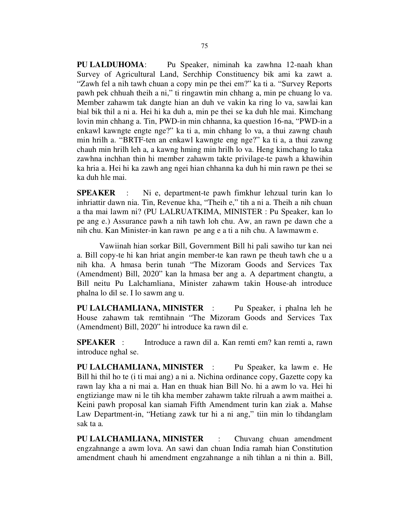PU LALDUHOMA: Pu Speaker, niminah ka zawhna 12-naah khan Survey of Agricultural Land, Serchhip Constituency bik ami ka zawt a. "Zawh fel a nih tawh chuan a copy min pe thei em?" ka ti a. "Survey Reports pawh pek chhuah theih a ni," ti ringawtin min chhang a, min pe chuang lo va. Member zahawm tak dangte hian an duh ve vakin ka ring lo va, sawlai kan bial bik thil a ni a. Hei hi ka duh a, min pe thei se ka duh hle mai. Kimchang lovin min chhang a. Tin, PWD-in min chhanna, ka question 16-na, "PWD-in a enkawl kawngte engte nge?" ka ti a, min chhang lo va, a thui zawng chauh min hrilh a. "BRTF-ten an enkawl kawngte eng nge?" ka ti a, a thui zawng chauh min hrilh leh a, a kawng hming min hrilh lo va. Heng kimchang lo taka zawhna inchhan thin hi member zahawm takte privilage-te pawh a khawihin ka hria a. Hei hi ka zawh ang ngei hian chhanna ka duh hi min rawn pe thei se ka duh hle mai.

SPEAKER : Ni e, department-te pawh fimkhur lehzual turin kan lo inhriattir dawn nia. Tin, Revenue kha, "Theih e," tih a ni a. Theih a nih chuan a tha mai lawm ni? (PU LALRUATKIMA, MINISTER : Pu Speaker, kan lo pe ang e.) Assurance pawh a nih tawh loh chu. Aw, an rawn pe dawn che a nih chu. Kan Minister-in kan rawn pe ang e a ti a nih chu. A lawmawm e.

 Vawiinah hian sorkar Bill, Government Bill hi pali sawiho tur kan nei a. Bill copy-te hi kan hriat angin member-te kan rawn pe theuh tawh che u a nih kha. A hmasa berin tunah "The Mizoram Goods and Services Tax (Amendment) Bill, 2020" kan la hmasa ber ang a. A department changtu, a Bill neitu Pu Lalchamliana, Minister zahawm takin House-ah introduce phalna lo dil se. I lo sawm ang u.

PU LALCHAMLIANA, MINISTER : Pu Speaker, i phalna leh he House zahawm tak remtihnain "The Mizoram Goods and Services Tax (Amendment) Bill, 2020" hi introduce ka rawn dil e.

SPEAKER : Introduce a rawn dil a. Kan remti em? kan remti a, rawn introduce nghal se.

PU LALCHAMLIANA, MINISTER : Pu Speaker, ka lawm e. He Bill hi thil ho te (i ti mai ang) a ni a. Nichina ordinance copy, Gazette copy ka rawn lay kha a ni mai a. Han en thuak hian Bill No. hi a awm lo va. Hei hi engtiziange maw ni le tih kha member zahawm takte rilruah a awm maithei a. Keini pawh proposal kan siamah Fifth Amendment turin kan ziak a. Mahse Law Department-in, "Hetiang zawk tur hi a ni ang," tiin min lo tihdanglam sak ta a.

PU LALCHAMLIANA, MINISTER : Chuvang chuan amendment engzahnange a awm lova. An sawi dan chuan India ramah hian Constitution amendment chauh hi amendment engzahnange a nih tihlan a ni thin a. Bill,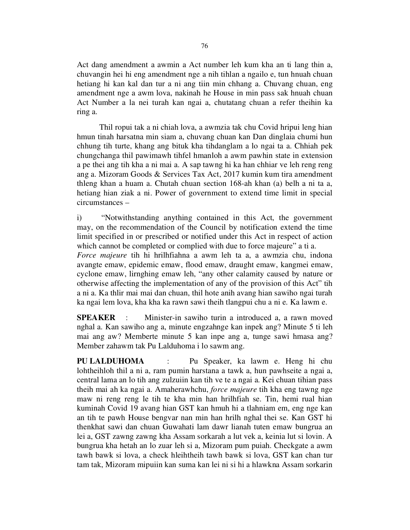Act dang amendment a awmin a Act number leh kum kha an ti lang thin a, chuvangin hei hi eng amendment nge a nih tihlan a ngailo e, tun hnuah chuan hetiang hi kan kal dan tur a ni ang tiin min chhang a. Chuvang chuan, eng amendment nge a awm lova, nakinah he House in min pass sak hnuah chuan Act Number a la nei turah kan ngai a, chutatang chuan a refer theihin ka ring a.

 Thil ropui tak a ni chiah lova, a awmzia tak chu Covid hripui leng hian hmun tinah harsatna min siam a, chuvang chuan kan Dan dinglaia chumi hun chhung tih turte, khang ang bituk kha tihdanglam a lo ngai ta a. Chhiah pek chungchanga thil pawimawh tihfel hmanloh a awm pawhin state in extension a pe thei ang tih kha a ni mai a. A sap tawng hi ka han chhiar ve leh reng reng ang a. Mizoram Goods & Services Tax Act, 2017 kumin kum tira amendment thleng khan a huam a. Chutah chuan section 168-ah khan (a) belh a ni ta a, hetiang hian ziak a ni. Power of government to extend time limit in special circumstances –

i) "Notwithstanding anything contained in this Act, the government may, on the recommendation of the Council by notification extend the time limit specified in or prescribed or notified under this Act in respect of action which cannot be completed or complied with due to force majeure" a ti a.

Force majeure tih hi hrilhfiahna a awm leh ta a, a awmzia chu, indona avangte emaw, epidemic emaw, flood emaw, draught emaw, kangmei emaw, cyclone emaw, lirnghing emaw leh, "any other calamity caused by nature or otherwise affecting the implementation of any of the provision of this Act" tih a ni a. Ka thlir mai mai dan chuan, thil hote anih avang hian sawiho ngai turah ka ngai lem lova, kha kha ka rawn sawi theih tlangpui chu a ni e. Ka lawm e.

SPEAKER : Minister-in sawiho turin a introduced a, a rawn moved nghal a. Kan sawiho ang a, minute engzahnge kan inpek ang? Minute 5 ti leh mai ang aw? Memberte minute 5 kan inpe ang a, tunge sawi hmasa ang? Member zahawm tak Pu Lalduhoma i lo sawm ang.

PU LALDUHOMA : Pu Speaker, ka lawm e. Heng hi chu lohtheihloh thil a ni a, ram pumin harstana a tawk a, hun pawhseite a ngai a, central lama an lo tih ang zulzuiin kan tih ve te a ngai a. Kei chuan tihian pass theih mai ah ka ngai a. Amaherawhchu, force majeure tih kha eng tawng nge maw ni reng reng le tih te kha min han hrilhfiah se. Tin, hemi rual hian kuminah Covid 19 avang hian GST kan hmuh hi a tlahniam em, eng nge kan an tih te pawh House bengvar nan min han hrilh nghal thei se. Kan GST hi thenkhat sawi dan chuan Guwahati lam dawr lianah tuten emaw bungrua an lei a, GST zawng zawng kha Assam sorkarah a lut vek a, keinia lut si lovin. A bungrua kha hetah an lo zuar leh si a, Mizoram pum puiah. Checkgate a awm tawh bawk si lova, a check hleihtheih tawh bawk si lova, GST kan chan tur tam tak, Mizoram mipuiin kan suma kan lei ni si hi a hlawkna Assam sorkarin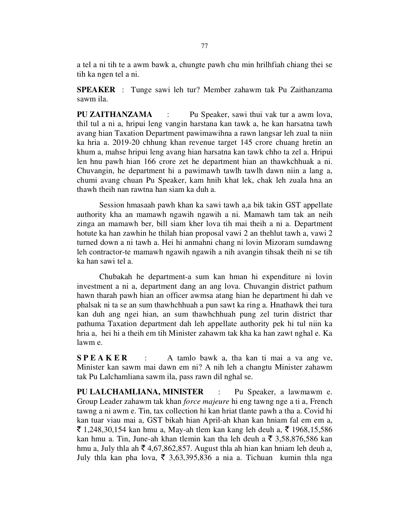a tel a ni tih te a awm bawk a, chungte pawh chu min hrilhfiah chiang thei se tih ka ngen tel a ni.

SPEAKER : Tunge sawi leh tur? Member zahawm tak Pu Zaithanzama sawm ila.

PU ZAITHANZAMA : Pu Speaker, sawi thui vak tur a awm lova, thil tul a ni a, hripui leng vangin harstana kan tawk a, he kan harsatna tawh avang hian Taxation Department pawimawihna a rawn langsar leh zual ta niin ka hria a. 2019-20 chhung khan revenue target 145 crore chuang hretin an khum a, mahse hripui leng avang hian harsatna kan tawk chho ta zel a. Hripui len hnu pawh hian 166 crore zet he department hian an thawkchhuak a ni. Chuvangin, he department hi a pawimawh tawlh tawlh dawn niin a lang a, chumi avang chuan Pu Speaker, kam hnih khat lek, chak leh zuala hna an thawh theih nan rawtna han siam ka duh a.

 Session hmasaah pawh khan ka sawi tawh a,a bik takin GST appellate authority kha an mamawh ngawih ngawih a ni. Mamawh tam tak an neih zinga an mamawh ber, bill siam kher lova tih mai theih a ni a. Department hotute ka han zawhin he thilah hian proposal vawi 2 an thehlut tawh a, vawi 2 turned down a ni tawh a. Hei hi anmahni chang ni lovin Mizoram sumdawng leh contractor-te mamawh ngawih ngawih a nih avangin tihsak theih ni se tih ka han sawi tel a.

 Chubakah he department-a sum kan hman hi expenditure ni lovin investment a ni a, department dang an ang lova. Chuvangin district pathum hawn tharah pawh hian an officer awmsa atang hian he department hi dah ve phalsak ni ta se an sum thawhchhuah a pun sawt ka ring a. Hnathawk thei tura kan duh ang ngei hian, an sum thawhchhuah pung zel turin district thar pathuma Taxation department dah leh appellate authority pek hi tul niin ka hria a, hei hi a theih em tih Minister zahawm tak kha ka han zawt nghal e. Ka lawm e.

 $SPEAKER$  : A tamlo bawk a, tha kan ti mai a va ang ve, Minister kan sawm mai dawn em ni? A nih leh a changtu Minister zahawm tak Pu Lalchamliana sawm ila, pass rawn dil nghal se.

PU LALCHAMLIANA, MINISTER : Pu Speaker, a lawmawm e. Group Leader zahawm tak khan force majeure hi eng tawng nge a ti a, French tawng a ni awm e. Tin, tax collection hi kan hriat tlante pawh a tha a. Covid hi kan tuar viau mai a, GST bikah hian April-ah khan kan hniam fal em em a, ₹ 1,248,30,154 kan hmu a, May-ah tlem kan kang leh deuh a, ₹ 1968,15,586 kan hmu a. Tin, June-ah khan tlemin kan tha leh deuh a  $\bar{\tau}$  3,58,876,586 kan hmu a, July thla ah  $\bar{\tau}$  4,67,862,857. August thla ah hian kan hniam leh deuh a, July thla kan pha lova,  $\overline{5}$  3,63,395,836 a nia a. Tichuan kumin thla nga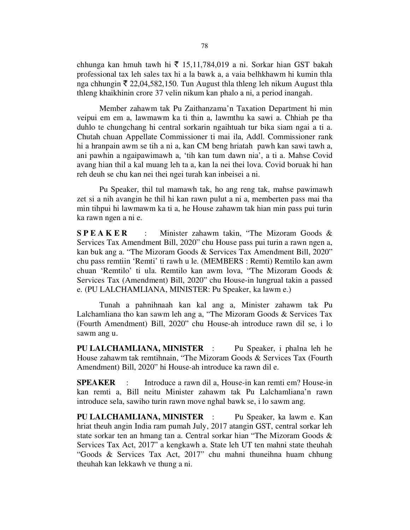chhunga kan hmuh tawh hi  $\bar{\tau}$  15,11,784,019 a ni. Sorkar hian GST bakah professional tax leh sales tax hi a la bawk a, a vaia belhkhawm hi kumin thla nga chhungin  $\bar{\tau}$  22,04,582,150. Tun August thla thleng leh nikum August thla thleng khaikhinin crore 37 velin nikum kan phalo a ni, a period inangah.

 Member zahawm tak Pu Zaithanzama'n Taxation Department hi min veipui em em a, lawmawm ka ti thin a, lawmthu ka sawi a. Chhiah pe tha duhlo te chungchang hi central sorkarin ngaihtuah tur bika siam ngai a ti a. Chutah chuan Appellate Commissioner ti mai ila, Addl. Commissioner rank hi a hranpain awm se tih a ni a, kan CM beng hriatah pawh kan sawi tawh a, ani pawhin a ngaipawimawh a, 'tih kan tum dawn nia', a ti a. Mahse Covid avang hian thil a kal muang leh ta a, kan la nei thei lova. Covid boruak hi han reh deuh se chu kan nei thei ngei turah kan inbeisei a ni.

 Pu Speaker, thil tul mamawh tak, ho ang reng tak, mahse pawimawh zet si a nih avangin he thil hi kan rawn pulut a ni a, memberten pass mai tha min tihpui hi lawmawm ka ti a, he House zahawm tak hian min pass pui turin ka rawn ngen a ni e.

S P E A K E R : Minister zahawm takin, "The Mizoram Goods & Services Tax Amendment Bill, 2020" chu House pass pui turin a rawn ngen a, kan buk ang a. "The Mizoram Goods & Services Tax Amendment Bill, 2020" chu pass remtiin 'Remti' ti rawh u le. (MEMBERS : Remti) Remtilo kan awm chuan 'Remtilo' ti ula. Remtilo kan awm lova, "The Mizoram Goods & Services Tax (Amendment) Bill, 2020" chu House-in lungrual takin a passed e. (PU LALCHAMLIANA, MINISTER: Pu Speaker, ka lawm e.)

 Tunah a pahnihnaah kan kal ang a, Minister zahawm tak Pu Lalchamliana tho kan sawm leh ang a, "The Mizoram Goods & Services Tax (Fourth Amendment) Bill, 2020" chu House-ah introduce rawn dil se, i lo sawm ang u.

PU LALCHAMLIANA, MINISTER : Pu Speaker, i phalna leh he House zahawm tak remtihnain, "The Mizoram Goods & Services Tax (Fourth Amendment) Bill, 2020" hi House-ah introduce ka rawn dil e.

SPEAKER : Introduce a rawn dil a, House-in kan remti em? House-in kan remti a, Bill neitu Minister zahawm tak Pu Lalchamliana'n rawn introduce sela, sawiho turin rawn move nghal bawk se, i lo sawm ang.

PU LALCHAMLIANA, MINISTER : Pu Speaker, ka lawm e. Kan hriat theuh angin India ram pumah July, 2017 atangin GST, central sorkar leh state sorkar ten an hmang tan a. Central sorkar hian "The Mizoram Goods & Services Tax Act, 2017" a kengkawh a. State leh UT ten mahni state theuhah "Goods & Services Tax Act, 2017" chu mahni thuneihna huam chhung theuhah kan lekkawh ve thung a ni.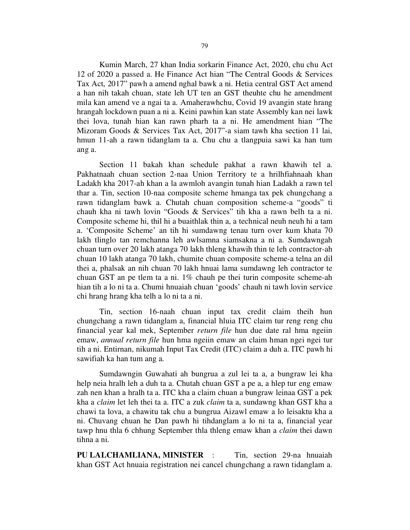Kumin March, 27 khan India sorkarin Finance Act, 2020, chu chu Act 12 of 2020 a passed a. He Finance Act hian "The Central Goods & Services Tax Act, 2017" pawh a amend nghal bawk a ni. Hetia central GST Act amend a han nih takah chuan, state leh UT ten an GST theuhte chu he amendment mila kan amend ve a ngai ta a. Amaherawhchu, Covid 19 avangin state hrang hrangah lockdown puan a ni a. Keini pawhin kan state Assembly kan nei lawk thei lova, tunah hian kan rawn pharh ta a ni. He amendment hian "The Mizoram Goods & Services Tax Act, 2017"-a siam tawh kha section 11 lai, hmun 11-ah a rawn tidanglam ta a. Chu chu a tlangpuia sawi ka han tum ang a.

 Section 11 bakah khan schedule pakhat a rawn khawih tel a. Pakhatnaah chuan section 2-naa Union Territory te a hrilhfiahnaah khan Ladakh kha 2017-ah khan a la awmloh avangin tunah hian Ladakh a rawn tel thar a. Tin, section 10-naa composite scheme hmanga tax pek chungchang a rawn tidanglam bawk a. Chutah chuan composition scheme-a "goods" ti chauh kha ni tawh lovin "Goods & Services" tih kha a rawn belh ta a ni. Composite scheme hi, thil hi a buaithlak thin a, a technical neuh neuh hi a tam a. 'Composite Scheme' an tih hi sumdawng tenau turn over kum khata 70 lakh tlinglo tan remchanna leh awlsamna siamsakna a ni a. Sumdawngah chuan turn over 20 lakh atanga 70 lakh thleng khawih thin te leh contractor-ah chuan 10 lakh atanga 70 lakh, chumite chuan composite scheme-a telna an dil thei a, phalsak an nih chuan 70 lakh hnuai lama sumdawng leh contractor te chuan GST an pe tlem ta a ni. 1% chauh pe thei turin composite scheme-ah hian tih a lo ni ta a. Chumi hnuaiah chuan 'goods' chauh ni tawh lovin service chi hrang hrang kha telh a lo ni ta a ni.

 Tin, section 16-naah chuan input tax credit claim theih hun chungchang a rawn tidanglam a, financial hluia ITC claim tur reng reng chu financial year kal mek, September return file hun due date ral hma ngeiin emaw, annual return file hun hma ngeiin emaw an claim hman ngei ngei tur tih a ni. Entirnan, nikumah Input Tax Credit (ITC) claim a duh a. ITC pawh hi sawifiah ka han tum ang a.

 Sumdawngin Guwahati ah bungrua a zul lei ta a, a bungraw lei kha help neia hralh leh a duh ta a. Chutah chuan GST a pe a, a hlep tur eng emaw zah nen khan a hralh ta a. ITC kha a claim chuan a bungraw leinaa GST a pek kha a claim let leh thei ta a. ITC a zuk claim ta a, sundawng khan GST kha a chawi ta lova, a chawitu tak chu a bungrua Aizawl emaw a lo leisaktu kha a ni. Chuvang chuan he Dan pawh hi tihdanglam a lo ni ta a, financial year tawp hnu thla 6 chhung September thla thleng emaw khan a claim thei dawn tihna a ni.

PU LALCHAMLIANA, MINISTER : Tin, section 29-na hnuaiah khan GST Act hnuaia registration nei cancel chungchang a rawn tidanglam a.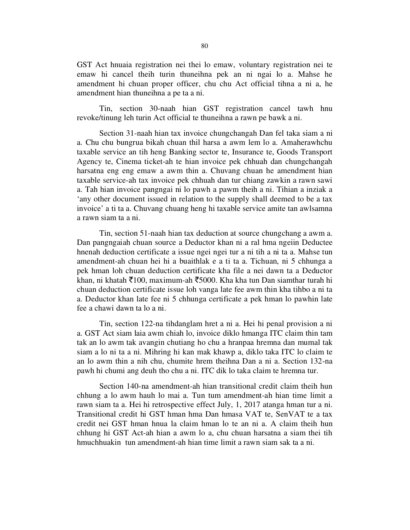GST Act hnuaia registration nei thei lo emaw, voluntary registration nei te emaw hi cancel theih turin thuneihna pek an ni ngai lo a. Mahse he amendment hi chuan proper officer, chu chu Act official tihna a ni a, he amendment hian thuneihna a pe ta a ni.

 Tin, section 30-naah hian GST registration cancel tawh hnu revoke/tinung leh turin Act official te thuneihna a rawn pe bawk a ni.

 Section 31-naah hian tax invoice chungchangah Dan fel taka siam a ni a. Chu chu bungrua bikah chuan thil harsa a awm lem lo a. Amaherawhchu taxable service an tih heng Banking sector te, Insurance te, Goods Transport Agency te, Cinema ticket-ah te hian invoice pek chhuah dan chungchangah harsatna eng eng emaw a awm thin a. Chuvang chuan he amendment hian taxable service-ah tax invoice pek chhuah dan tur chiang zawkin a rawn sawi a. Tah hian invoice pangngai ni lo pawh a pawm theih a ni. Tihian a inziak a 'any other document issued in relation to the supply shall deemed to be a tax invoice' a ti ta a. Chuvang chuang heng hi taxable service amite tan awlsamna a rawn siam ta a ni.

 Tin, section 51-naah hian tax deduction at source chungchang a awm a. Dan pangngaiah chuan source a Deductor khan ni a ral hma ngeiin Deductee hnenah deduction certificate a issue ngei ngei tur a ni tih a ni ta a. Mahse tun amendment-ah chuan hei hi a buaithlak e a ti ta a. Tichuan, ni 5 chhunga a pek hman loh chuan deduction certificate kha file a nei dawn ta a Deductor khan, ni khatah  $\bar{\xi}$ 100, maximum-ah  $\bar{\xi}$ 5000. Kha kha tun Dan siamthar turah hi chuan deduction certificate issue loh vanga late fee awm thin kha tihbo a ni ta a. Deductor khan late fee ni 5 chhunga certificate a pek hman lo pawhin late fee a chawi dawn ta lo a ni.

 Tin, section 122-na tihdanglam hret a ni a. Hei hi penal provision a ni a. GST Act siam laia awm chiah lo, invoice diklo hmanga ITC claim thin tam tak an lo awm tak avangin chutiang ho chu a hranpaa hremna dan mumal tak siam a lo ni ta a ni. Mihring hi kan mak khawp a, diklo taka ITC lo claim te an lo awm thin a nih chu, chumite hrem theihna Dan a ni a. Section 132-na pawh hi chumi ang deuh tho chu a ni. ITC dik lo taka claim te hremna tur.

 Section 140-na amendment-ah hian transitional credit claim theih hun chhung a lo awm hauh lo mai a. Tun tum amendment-ah hian time limit a rawn siam ta a. Hei hi retrospective effect July, 1, 2017 atanga hman tur a ni. Transitional credit hi GST hman hma Dan hmasa VAT te, SenVAT te a tax credit nei GST hman hnua la claim hman lo te an ni a. A claim theih hun chhung hi GST Act-ah hian a awm lo a, chu chuan harsatna a siam thei tih hmuchhuakin tun amendment-ah hian time limit a rawn siam sak ta a ni.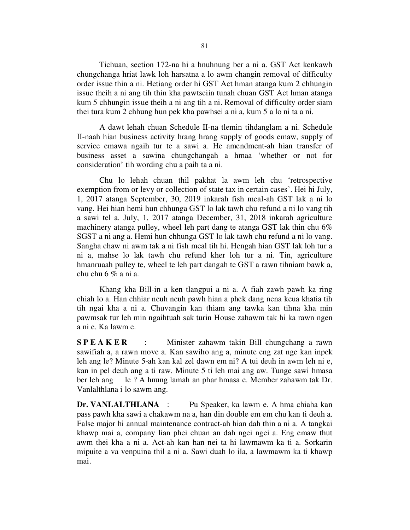Tichuan, section 172-na hi a hnuhnung ber a ni a. GST Act kenkawh chungchanga hriat lawk loh harsatna a lo awm changin removal of difficulty order issue thin a ni. Hetiang order hi GST Act hman atanga kum 2 chhungin issue theih a ni ang tih thin kha pawtseiin tunah chuan GST Act hman atanga kum 5 chhungin issue theih a ni ang tih a ni. Removal of difficulty order siam thei tura kum 2 chhung hun pek kha pawhsei a ni a, kum 5 a lo ni ta a ni.

 A dawt lehah chuan Schedule II-na tlemin tihdanglam a ni. Schedule II-naah hian business activity hrang hrang supply of goods emaw, supply of service emawa ngaih tur te a sawi a. He amendment-ah hian transfer of business asset a sawina chungchangah a hmaa 'whether or not for consideration' tih wording chu a paih ta a ni.

 Chu lo lehah chuan thil pakhat la awm leh chu 'retrospective exemption from or levy or collection of state tax in certain cases'. Hei hi July, 1, 2017 atanga September, 30, 2019 inkarah fish meal-ah GST lak a ni lo vang. Hei hian hemi hun chhunga GST lo lak tawh chu refund a ni lo vang tih a sawi tel a. July, 1, 2017 atanga December, 31, 2018 inkarah agriculture machinery atanga pulley, wheel leh part dang te atanga GST lak thin chu 6% SGST a ni ang a. Hemi hun chhunga GST lo lak tawh chu refund a ni lo vang. Sangha chaw ni awm tak a ni fish meal tih hi. Hengah hian GST lak loh tur a ni a, mahse lo lak tawh chu refund kher loh tur a ni. Tin, agriculture hmanruaah pulley te, wheel te leh part dangah te GST a rawn tihniam bawk a, chu chu 6 % a ni a.

 Khang kha Bill-in a ken tlangpui a ni a. A fiah zawh pawh ka ring chiah lo a. Han chhiar neuh neuh pawh hian a phek dang nena keua khatia tih tih ngai kha a ni a. Chuvangin kan thiam ang tawka kan tihna kha min pawmsak tur leh min ngaihtuah sak turin House zahawm tak hi ka rawn ngen a ni e. Ka lawm e.

S P E A K E R : Minister zahawm takin Bill chungchang a rawn sawifiah a, a rawn move a. Kan sawiho ang a, minute eng zat nge kan inpek leh ang le? Minute 5-ah kan kal zel dawn em ni? A tui deuh in awm leh ni e, kan in pel deuh ang a ti raw. Minute 5 ti leh mai ang aw. Tunge sawi hmasa ber leh ang le ? A hnung lamah an phar hmasa e. Member zahawm tak Dr. Vanlalthlana i lo sawm ang.

Dr. VANLALTHLANA : Pu Speaker, ka lawm e. A hma chiaha kan pass pawh kha sawi a chakawm na a, han din double em em chu kan ti deuh a. False major hi annual maintenance contract-ah hian dah thin a ni a. A tangkai khawp mai a, company lian phei chuan an dah ngei ngei a. Eng emaw thut awm thei kha a ni a. Act-ah kan han nei ta hi lawmawm ka ti a. Sorkarin mipuite a va venpuina thil a ni a. Sawi duah lo ila, a lawmawm ka ti khawp mai.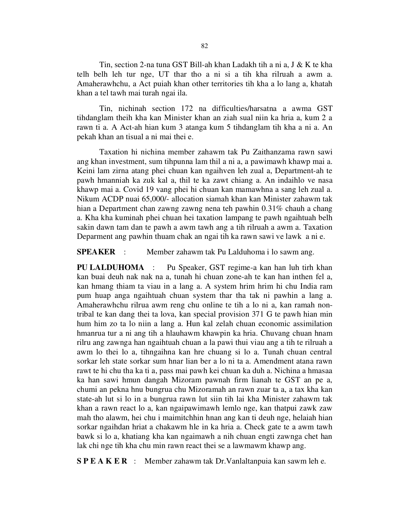Tin, section 2-na tuna GST Bill-ah khan Ladakh tih a ni a, J & K te kha telh belh leh tur nge, UT thar tho a ni si a tih kha rilruah a awm a. Amaherawhchu, a Act puiah khan other territories tih kha a lo lang a, khatah khan a tel tawh mai turah ngai ila.

 Tin, nichinah section 172 na difficulties/harsatna a awma GST tihdanglam theih kha kan Minister khan an ziah sual niin ka hria a, kum 2 a rawn ti a. A Act-ah hian kum 3 atanga kum 5 tihdanglam tih kha a ni a. An pekah khan an tisual a ni mai thei e.

 Taxation hi nichina member zahawm tak Pu Zaithanzama rawn sawi ang khan investment, sum tihpunna lam thil a ni a, a pawimawh khawp mai a. Keini lam zirna atang phei chuan kan ngaihven leh zual a, Department-ah te pawh hmanniah ka zuk kal a, thil te ka zawt chiang a. An indaihlo ve nasa khawp mai a. Covid 19 vang phei hi chuan kan mamawhna a sang leh zual a. Nikum ACDP nuai 65,000/- allocation siamah khan kan Minister zahawm tak hian a Department chan zawng zawng nena teh pawhin 0.31% chauh a chang a. Kha kha kuminah phei chuan hei taxation lampang te pawh ngaihtuah belh sakin dawn tam dan te pawh a awm tawh ang a tih rilruah a awm a. Taxation Deparment ang pawhin thuam chak an ngai tih ka rawn sawi ve lawk a ni e.

SPEAKER : Member zahawm tak Pu Lalduhoma i lo sawm ang.

PU LALDUHOMA : Pu Speaker, GST regime-a kan han luh tirh khan kan buai deuh nak nak na a, tunah hi chuan zone-ah te kan han inthen fel a, kan hmang thiam ta viau in a lang a. A system hrim hrim hi chu India ram pum huap anga ngaihtuah chuan system thar tha tak ni pawhin a lang a. Amaherawhchu rilrua awm reng chu online te tih a lo ni a, kan ramah nontribal te kan dang thei ta lova, kan special provision 371 G te pawh hian min hum him zo ta lo niin a lang a. Hun kal zelah chuan economic assimilation hmanrua tur a ni ang tih a hlauhawm khawpin ka hria. Chuvang chuan hnam rilru ang zawnga han ngaihtuah chuan a la pawi thui viau ang a tih te rilruah a awm lo thei lo a, tihngaihna kan hre chuang si lo a. Tunah chuan central sorkar leh state sorkar sum hnar lian ber a lo ni ta a. Amendment atana rawn rawt te hi chu tha ka ti a, pass mai pawh kei chuan ka duh a. Nichina a hmasaa ka han sawi hmun dangah Mizoram pawnah firm lianah te GST an pe a, chumi an pekna hnu bungrua chu Mizoramah an rawn zuar ta a, a tax kha kan state-ah lut si lo in a bungrua rawn lut siin tih lai kha Minister zahawm tak khan a rawn react lo a, kan ngaipawimawh lemlo nge, kan thatpui zawk zaw mah tho alawm, hei chu i maimitchhin hnan ang kan ti deuh nge, helaiah hian sorkar ngaihdan hriat a chakawm hle in ka hria a. Check gate te a awm tawh bawk si lo a, khatiang kha kan ngaimawh a nih chuan engti zawnga chet han lak chi nge tih kha chu min rawn react thei se a lawmawm khawp ang.

S P E A K E R : Member zahawm tak Dr.Vanlaltanpuia kan sawm leh e.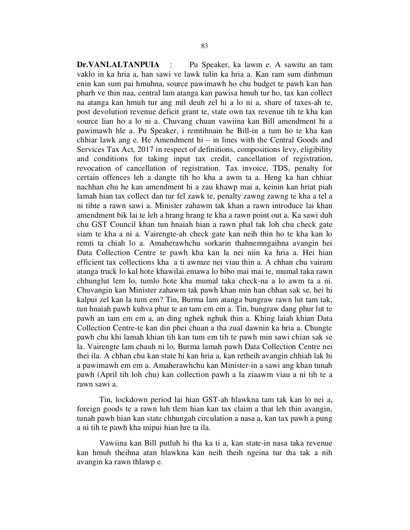Dr.VANLALTANPUIA : Pu Speaker, ka lawm e. A sawitu an tam vaklo in ka hria a, han sawi ve lawk tulin ka hria a. Kan ram sum dinhmun enin kan sum pai hmuhna, source pawimawh ho chu budget te pawh kan han pharh ve thin naa, central lam atanga kan pawisa hmuh tur ho, tax kan collect na atanga kan hmuh tur ang mil deuh zel hi a lo ni a, share of taxes-ah te, post devolution revenue deficit grant te, state own tax revenue tih te kha kan source lian ho a lo ni a. Chuvang chuan vawiina kan Bill amendment hi a pawimawh hle a. Pu Speaker, i remtihnain he Bill-in a tum ho te kha kan chhiar lawk ang e. He Amendment hi – in lines with the Central Goods and Services Tax Act, 2017 in respect of definitions, compositions levy, eligibility and conditions for taking input tax credit, cancellation of registration, revocation of cancellation of registration. Tax invoice, TDS, penalty for certain offences leh a dangte tih ho kha a awm ta a. Heng ka han chhiar nachhan chu he kan amendment hi a zau khawp mai a, keinin kan hriat piah lamah hian tax collect dan tur fel zawk te, penalty zawng zawng te kha a tel a ni tihte a rawn sawi a. Minister zahawm tak khan a rawn introduce lai khan amendment bik lai te leh a hrang hrang te kha a rawn point out a. Ka sawi duh chu GST Council khan tun hnaiah hian a rawn phal tak loh chu check gate siam te kha a ni a. Vairengte-ah check gate kan neih thin ho te kha kan lo remti ta chiah lo a. Amaherawhchu sorkarin thahnemngaihna avangin hei Data Collection Centre te pawh kha kan la nei niin ka hria a. Hei hian efficient tax collections kha a ti awmze nei viau thin a. A chhan chu vairam atanga truck lo kal hote khawilai emawa lo bibo mai mai te, mumal taka rawn chhunglut lem lo, tumlo hote kha mumal taka check-na a lo awm ta a ni. Chuvangin kan Minister zahawm tak pawh khan min han chhan sak se, hei hi kalpui zel kan la tum em? Tin, Burma lam atanga bungraw rawn lut tam tak, tun hnaiah pawh kuhva phur te an tam em em a. Tin, bungraw dang phur lut te pawh an tam em em a, an ding nghek nghuk thin a. Khing laiah khian Data Collection Centre-te kan din phei chuan a tha zual dawnin ka hria a. Chungte pawh chu khi lamah khian tih kan tum em tih te pawh min sawi chian sak se la. Vairengte lam chauh ni lo, Burma lamah pawh Data Collection Centre nei thei ila. A chhan chu kan state hi kan hria a, kan retheih avangin chhiah lak hi a pawimawh em em a. Amaherawhchu kan Minister-in a sawi ang khan tunah pawh (April tih loh chu) kan collection pawh a la ziaawm viau a ni tih te a rawn sawi a.

 Tin, lockdown period lai hian GST-ah hlawkna tam tak kan lo nei a, foreign goods te a rawn luh tlem hian kan tax claim a that leh thin avangin, tunah pawh hian kan state chhungah circulation a nasa a, kan tax pawh a pung a ni tih te pawh kha mipui hian hre ta ila.

 Vawiina kan Bill putluh hi tha ka ti a, kan state-in nasa taka revenue kan hmuh theihna atan hlawkna kan neih theih ngeina tur tha tak a nih avangin ka rawn thlawp e.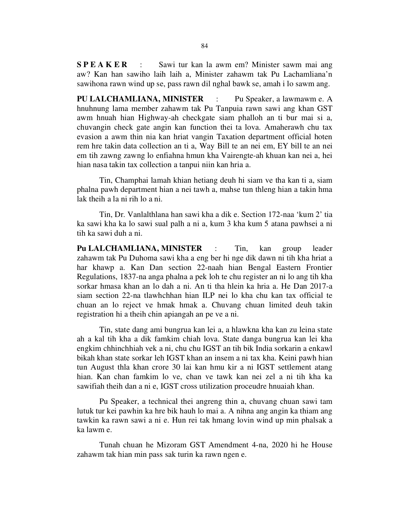S P E A K E R : Sawi tur kan la awm em? Minister sawm mai ang aw? Kan han sawiho laih laih a, Minister zahawm tak Pu Lachamliana'n sawihona rawn wind up se, pass rawn dil nghal bawk se, amah i lo sawm ang.

PU LALCHAMLIANA, MINISTER : Pu Speaker, a lawmawm e. A hnuhnung lama member zahawm tak Pu Tanpuia rawn sawi ang khan GST awm hnuah hian Highway-ah checkgate siam phalloh an ti bur mai si a, chuvangin check gate angin kan function thei ta lova. Amaherawh chu tax evasion a awm thin nia kan hriat vangin Taxation department official hoten rem hre takin data collection an ti a, Way Bill te an nei em, EY bill te an nei em tih zawng zawng lo enfiahna hmun kha Vairengte-ah khuan kan nei a, hei hian nasa takin tax collection a tanpui niin kan hria a.

 Tin, Champhai lamah khian hetiang deuh hi siam ve tha kan ti a, siam phalna pawh department hian a nei tawh a, mahse tun thleng hian a takin hma lak theih a la ni rih lo a ni.

 Tin, Dr. Vanlalthlana han sawi kha a dik e. Section 172-naa 'kum 2' tia ka sawi kha ka lo sawi sual palh a ni a, kum 3 kha kum 5 atana pawhsei a ni tih ka sawi duh a ni.

Pu LALCHAMLIANA, MINISTER : Tin, kan group leader zahawm tak Pu Duhoma sawi kha a eng ber hi nge dik dawn ni tih kha hriat a har khawp a. Kan Dan section 22-naah hian Bengal Eastern Frontier Regulations, 1837-na anga phalna a pek loh te chu register an ni lo ang tih kha sorkar hmasa khan an lo dah a ni. An ti tha hlein ka hria a. He Dan 2017-a siam section 22-na tlawhchhan hian ILP nei lo kha chu kan tax official te chuan an lo reject ve hmak hmak a. Chuvang chuan limited deuh takin registration hi a theih chin apiangah an pe ve a ni.

 Tin, state dang ami bungrua kan lei a, a hlawkna kha kan zu leina state ah a kal tih kha a dik famkim chiah lova. State danga bungrua kan lei kha engkim chhinchhiah vek a ni, chu chu IGST an tih bik India sorkarin a enkawl bikah khan state sorkar leh IGST khan an insem a ni tax kha. Keini pawh hian tun August thla khan crore 30 lai kan hmu kir a ni IGST settlement atang hian. Kan chan famkim lo ve, chan ve tawk kan nei zel a ni tih kha ka sawifiah theih dan a ni e, IGST cross utilization proceudre hnuaiah khan.

 Pu Speaker, a technical thei angreng thin a, chuvang chuan sawi tam lutuk tur kei pawhin ka hre bik hauh lo mai a. A nihna ang angin ka thiam ang tawkin ka rawn sawi a ni e. Hun rei tak hmang lovin wind up min phalsak a ka lawm e.

 Tunah chuan he Mizoram GST Amendment 4-na, 2020 hi he House zahawm tak hian min pass sak turin ka rawn ngen e.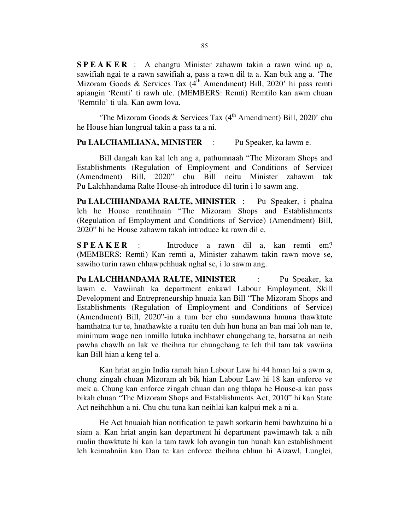S P E A K E R : A changtu Minister zahawm takin a rawn wind up a, sawifiah ngai te a rawn sawifiah a, pass a rawn dil ta a. Kan buk ang a. 'The Mizoram Goods & Services Tax  $(4<sup>th</sup>$  Amendment) Bill, 2020' hi pass remti apiangin 'Remti' ti rawh ule. (MEMBERS: Remti) Remtilo kan awm chuan 'Remtilo' ti ula. Kan awm lova.

'The Mizoram Goods & Services Tax  $(4<sup>th</sup>$  Amendment) Bill, 2020' chu he House hian lungrual takin a pass ta a ni.

#### Pu LALCHAMLIANA, MINISTER : Pu Speaker, ka lawm e.

 Bill dangah kan kal leh ang a, pathumnaah "The Mizoram Shops and Establishments (Regulation of Employment and Conditions of Service) (Amendment) Bill, 2020" chu Bill neitu Minister zahawm tak Pu Lalchhandama Ralte House-ah introduce dil turin i lo sawm ang.

Pu LALCHHANDAMA RALTE, MINISTER : Pu Speaker, i phalna leh he House remtihnain "The Mizoram Shops and Establishments (Regulation of Employment and Conditions of Service) (Amendment) Bill, 2020" hi he House zahawm takah introduce ka rawn dil e.

S P E A K E R : Introduce a rawn dil a, kan remti em? (MEMBERS: Remti) Kan remti a, Minister zahawm takin rawn move se, sawiho turin rawn chhawpchhuak nghal se, i lo sawm ang.

Pu LALCHHANDAMA RALTE, MINISTER : Pu Speaker, ka lawm e. Vawiinah ka department enkawl Labour Employment, Skill Development and Entrepreneurship hnuaia kan Bill "The Mizoram Shops and Establishments (Regulation of Employment and Conditions of Service) (Amendment) Bill, 2020"-in a tum ber chu sumdawnna hmuna thawktute hamthatna tur te, hnathawkte a ruaitu ten duh hun huna an ban mai loh nan te, minimum wage nen inmillo lutuka inchhawr chungchang te, harsatna an neih pawha chawlh an lak ve theihna tur chungchang te leh thil tam tak vawiina kan Bill hian a keng tel a.

 Kan hriat angin India ramah hian Labour Law hi 44 hman lai a awm a, chung zingah chuan Mizoram ah bik hian Labour Law hi 18 kan enforce ve mek a. Chung kan enforce zingah chuan dan ang thlapa he House-a kan pass bikah chuan "The Mizoram Shops and Establishments Act, 2010" hi kan State Act neihchhun a ni. Chu chu tuna kan neihlai kan kalpui mek a ni a.

 He Act hnuaiah hian notification te pawh sorkarin hemi bawhzuina hi a siam a. Kan hriat angin kan department hi department pawimawh tak a nih rualin thawktute hi kan la tam tawk loh avangin tun hunah kan establishment leh keimahniin kan Dan te kan enforce theihna chhun hi Aizawl, Lunglei,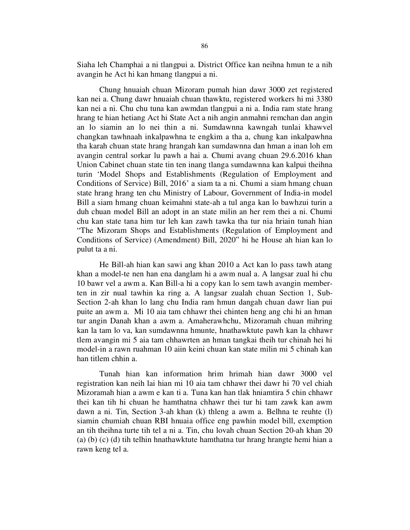Siaha leh Champhai a ni tlangpui a. District Office kan neihna hmun te a nih avangin he Act hi kan hmang tlangpui a ni.

 Chung hnuaiah chuan Mizoram pumah hian dawr 3000 zet registered kan nei a. Chung dawr hnuaiah chuan thawktu, registered workers hi mi 3380 kan nei a ni. Chu chu tuna kan awmdan tlangpui a ni a. India ram state hrang hrang te hian hetiang Act hi State Act a nih angin anmahni remchan dan angin an lo siamin an lo nei thin a ni. Sumdawnna kawngah tunlai khawvel changkan tawhnaah inkalpawhna te engkim a tha a, chung kan inkalpawhna tha karah chuan state hrang hrangah kan sumdawnna dan hman a inan loh em avangin central sorkar lu pawh a hai a. Chumi avang chuan 29.6.2016 khan Union Cabinet chuan state tin ten inang tlanga sumdawnna kan kalpui theihna turin 'Model Shops and Establishments (Regulation of Employment and Conditions of Service) Bill, 2016' a siam ta a ni. Chumi a siam hmang chuan state hrang hrang ten chu Ministry of Labour, Government of India-in model Bill a siam hmang chuan keimahni state-ah a tul anga kan lo bawhzui turin a duh chuan model Bill an adopt in an state milin an her rem thei a ni. Chumi chu kan state tana him tur leh kan zawh tawka tha tur nia hriain tunah hian "The Mizoram Shops and Establishments (Regulation of Employment and Conditions of Service) (Amendment) Bill, 2020" hi he House ah hian kan lo pulut ta a ni.

 He Bill-ah hian kan sawi ang khan 2010 a Act kan lo pass tawh atang khan a model-te nen han ena danglam hi a awm nual a. A langsar zual hi chu 10 bawr vel a awm a. Kan Bill-a hi a copy kan lo sem tawh avangin memberten in zir nual tawhin ka ring a. A langsar zualah chuan Section 1, Sub-Section 2-ah khan lo lang chu India ram hmun dangah chuan dawr lian pui puite an awm a. Mi 10 aia tam chhawr thei chinten heng ang chi hi an hman tur angin Danah khan a awm a. Amaherawhchu, Mizoramah chuan mihring kan la tam lo va, kan sumdawnna hmunte, hnathawktute pawh kan la chhawr tlem avangin mi 5 aia tam chhawrten an hman tangkai theih tur chinah hei hi model-in a rawn ruahman 10 aiin keini chuan kan state milin mi 5 chinah kan han titlem chhin a.

 Tunah hian kan information hrim hrimah hian dawr 3000 vel registration kan neih lai hian mi 10 aia tam chhawr thei dawr hi 70 vel chiah Mizoramah hian a awm e kan ti a. Tuna kan han tlak hniamtira 5 chin chhawr thei kan tih hi chuan he hamthatna chhawr thei tur hi tam zawk kan awm dawn a ni. Tin, Section 3-ah khan (k) thleng a awm a. Belhna te reuhte (l) siamin chumiah chuan RBI hnuaia office eng pawhin model bill, exemption an tih theihna turte tih tel a ni a. Tin, chu lovah chuan Section 20-ah khan 20 (a) (b) (c) (d) tih telhin hnathawktute hamthatna tur hrang hrangte hemi hian a rawn keng tel a.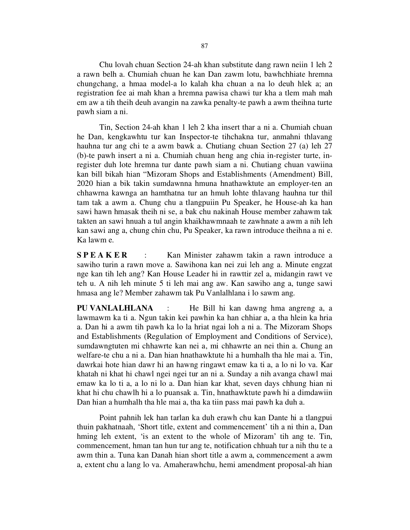Chu lovah chuan Section 24-ah khan substitute dang rawn neiin 1 leh 2 a rawn belh a. Chumiah chuan he kan Dan zawm lotu, bawhchhiate hremna chungchang, a hmaa model-a lo kalah kha chuan a na lo deuh hlek a; an registration fee ai mah khan a hremna pawisa chawi tur kha a tlem mah mah em aw a tih theih deuh avangin na zawka penalty-te pawh a awm theihna turte pawh siam a ni.

 Tin, Section 24-ah khan 1 leh 2 kha insert thar a ni a. Chumiah chuan he Dan, kengkawhtu tur kan Inspector-te tihchakna tur, anmahni thlavang hauhna tur ang chi te a awm bawk a. Chutiang chuan Section 27 (a) leh 27 (b)-te pawh insert a ni a. Chumiah chuan heng ang chia in-register turte, inregister duh lote hremna tur dante pawh siam a ni. Chutiang chuan vawiina kan bill bikah hian "Mizoram Shops and Establishments (Amendment) Bill, 2020 hian a bik takin sumdawnna hmuna hnathawktute an employer-ten an chhawrna kawnga an hamthatna tur an hmuh lohte thlavang hauhna tur thil tam tak a awm a. Chung chu a tlangpuiin Pu Speaker, he House-ah ka han sawi hawn hmasak theih ni se, a bak chu nakinah House member zahawm tak takten an sawi hnuah a tul angin khaikhawmnaah te zawhnate a awm a nih leh kan sawi ang a, chung chin chu, Pu Speaker, ka rawn introduce theihna a ni e. Ka lawm e.

**SPEAKER** : Kan Minister zahawm takin a rawn introduce a sawiho turin a rawn move a. Sawihona kan nei zui leh ang a. Minute engzat nge kan tih leh ang? Kan House Leader hi in rawttir zel a, midangin rawt ve teh u. A nih leh minute 5 ti leh mai ang aw. Kan sawiho ang a, tunge sawi hmasa ang le? Member zahawm tak Pu Vanlalhlana i lo sawm ang.

PU VANLALHLANA : He Bill hi kan dawng hma angreng a, a lawmawm ka ti a. Ngun takin kei pawhin ka han chhiar a, a tha hlein ka hria a. Dan hi a awm tih pawh ka lo la hriat ngai loh a ni a. The Mizoram Shops and Establishments (Regulation of Employment and Conditions of Service), sumdawngtuten mi chhawrte kan nei a, mi chhawrte an nei thin a. Chung an welfare-te chu a ni a. Dan hian hnathawktute hi a humhalh tha hle mai a. Tin, dawrkai hote hian dawr hi an hawng ringawt emaw ka ti a, a lo ni lo va. Kar khatah ni khat hi chawl ngei ngei tur an ni a. Sunday a nih avanga chawl mai emaw ka lo ti a, a lo ni lo a. Dan hian kar khat, seven days chhung hian ni khat hi chu chawlh hi a lo puansak a. Tin, hnathawktute pawh hi a dimdawiin Dan hian a humhalh tha hle mai a, tha ka tiin pass mai pawh ka duh a.

 Point pahnih lek han tarlan ka duh erawh chu kan Dante hi a tlangpui thuin pakhatnaah, 'Short title, extent and commencement' tih a ni thin a, Dan hming leh extent, 'is an extent to the whole of Mizoram' tih ang te. Tin, commencement, hman tan hun tur ang te, notification chhuah tur a nih thu te a awm thin a. Tuna kan Danah hian short title a awm a, commencement a awm a, extent chu a lang lo va. Amaherawhchu, hemi amendment proposal-ah hian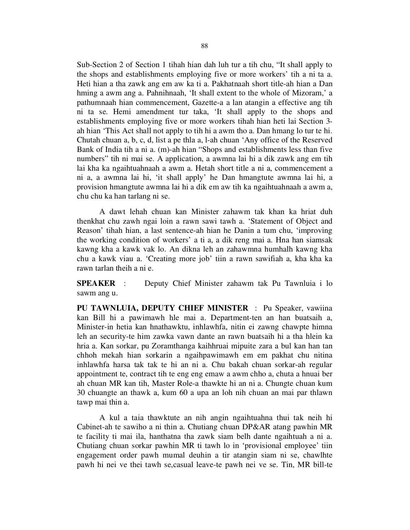Sub-Section 2 of Section 1 tihah hian dah luh tur a tih chu, "It shall apply to the shops and establishments employing five or more workers' tih a ni ta a. Heti hian a tha zawk ang em aw ka ti a. Pakhatnaah short title-ah hian a Dan hming a awm ang a. Pahnihnaah, 'It shall extent to the whole of Mizoram,' a pathumnaah hian commencement, Gazette-a a lan atangin a effective ang tih ni ta se. Hemi amendment tur taka, 'It shall apply to the shops and establishments employing five or more workers tihah hian heti lai Section 3 ah hian 'This Act shall not apply to tih hi a awm tho a. Dan hmang lo tur te hi. Chutah chuan a, b, c, d, list a pe thla a, l-ah chuan 'Any office of the Reserved Bank of India tih a ni a. (m)-ah hian "Shops and establishments less than five numbers" tih ni mai se. A application, a awmna lai hi a dik zawk ang em tih lai kha ka ngaihtuahnaah a awm a. Hetah short title a ni a, commencement a ni a, a awmna lai hi, 'it shall apply' he Dan hmangtute awmna lai hi, a provision hmangtute awmna lai hi a dik em aw tih ka ngaihtuahnaah a awm a, chu chu ka han tarlang ni se.

 A dawt lehah chuan kan Minister zahawm tak khan ka hriat duh thenkhat chu zawh ngai loin a rawn sawi tawh a. 'Statement of Object and Reason' tihah hian, a last sentence-ah hian he Danin a tum chu, 'improving the working condition of workers' a ti a, a dik reng mai a. Hna han siamsak kawng kha a kawk vak lo. An dikna leh an zahawmna humhalh kawng kha chu a kawk viau a. 'Creating more job' tiin a rawn sawifiah a, kha kha ka rawn tarlan theih a ni e.

SPEAKER : Deputy Chief Minister zahawm tak Pu Tawnluia i lo sawm ang u.

PU TAWNLUIA, DEPUTY CHIEF MINISTER : Pu Speaker, vawiina kan Bill hi a pawimawh hle mai a. Department-ten an han buatsaih a, Minister-in hetia kan hnathawktu, inhlawhfa, nitin ei zawng chawpte himna leh an security-te him zawka vawn dante an rawn buatsaih hi a tha hlein ka hria a. Kan sorkar, pu Zoramthanga kaihhruai mipuite zara a bul kan han tan chhoh mekah hian sorkarin a ngaihpawimawh em em pakhat chu nitina inhlawhfa harsa tak tak te hi an ni a. Chu bakah chuan sorkar-ah regular appointment te, contract tih te eng eng emaw a awm chho a, chuta a hnuai ber ah chuan MR kan tih, Master Role-a thawkte hi an ni a. Chungte chuan kum 30 chuangte an thawk a, kum 60 a upa an loh nih chuan an mai par thlawn tawp mai thin a.

 A kul a taia thawktute an nih angin ngaihtuahna thui tak neih hi Cabinet-ah te sawiho a ni thin a. Chutiang chuan DP&AR atang pawhin MR te facility ti mai ila, hanthatna tha zawk siam belh dante ngaihtuah a ni a. Chutiang chuan sorkar pawhin MR ti tawh lo in 'provisional employee' tiin engagement order pawh mumal deuhin a tir atangin siam ni se, chawlhte pawh hi nei ve thei tawh se,casual leave-te pawh nei ve se. Tin, MR bill-te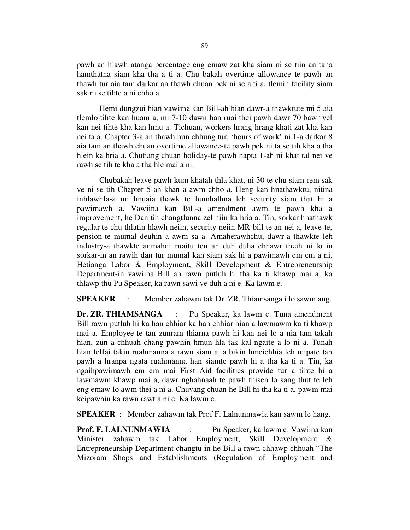pawh an hlawh atanga percentage eng emaw zat kha siam ni se tiin an tana hamthatna siam kha tha a ti a. Chu bakah overtime allowance te pawh an thawh tur aia tam darkar an thawh chuan pek ni se a ti a, tlemin facility siam sak ni se tihte a ni chho a.

 Hemi dungzui hian vawiina kan Bill-ah hian dawr-a thawktute mi 5 aia tlemlo tihte kan huam a, mi 7-10 dawn han ruai thei pawh dawr 70 bawr vel kan nei tihte kha kan hmu a. Tichuan, workers hrang hrang khati zat kha kan nei ta a. Chapter 3-a an thawh hun chhung tur, 'hours of work' ni 1-a darkar 8 aia tam an thawh chuan overtime allowance-te pawh pek ni ta se tih kha a tha hlein ka hria a. Chutiang chuan holiday-te pawh hapta 1-ah ni khat tal nei ve rawh se tih te kha a tha hle mai a ni.

 Chubakah leave pawh kum khatah thla khat, ni 30 te chu siam rem sak ve ni se tih Chapter 5-ah khan a awm chho a. Heng kan hnathawktu, nitina inhlawhfa-a mi hnuaia thawk te humhalhna leh security siam that hi a pawimawh a. Vawiina kan Bill-a amendment awm te pawh kha a improvement, he Dan tih changtlunna zel niin ka hria a. Tin, sorkar hnathawk regular te chu thlatin hlawh neiin, security neiin MR-bill te an nei a, leave-te, pension-te mumal deuhin a awm sa a. Amaherawhchu, dawr-a thawkte leh industry-a thawkte anmahni ruaitu ten an duh duha chhawr theih ni lo in sorkar-in an rawih dan tur mumal kan siam sak hi a pawimawh em em a ni. Hetianga Labor & Employment, Skill Development & Entrepreneurship Department-in vawiina Bill an rawn putluh hi tha ka ti khawp mai a, ka thlawp thu Pu Speaker, ka rawn sawi ve duh a ni e. Ka lawm e.

SPEAKER : Member zahawm tak Dr. ZR. Thiamsanga i lo sawm ang.

Dr. ZR. THIAMSANGA : Pu Speaker, ka lawm e. Tuna amendment Bill rawn putluh hi ka han chhiar ka han chhiar hian a lawmawm ka ti khawp mai a. Employee-te tan zunram thiarna pawh hi kan nei lo a nia tam takah hian, zun a chhuah chang pawhin hmun hla tak kal ngaite a lo ni a. Tunah hian felfai takin ruahmanna a rawn siam a, a bikin hmeichhia leh mipate tan pawh a hranpa ngata ruahmanna han siamte pawh hi a tha ka ti a. Tin, ka ngaihpawimawh em em mai First Aid facilities provide tur a tihte hi a lawmawm khawp mai a, dawr nghahnaah te pawh thisen lo sang thut te leh eng emaw lo awm thei a ni a. Chuvang chuan he Bill hi tha ka ti a, pawm mai keipawhin ka rawn rawt a ni e. Ka lawm e.

SPEAKER : Member zahawm tak Prof F. Lalnunmawia kan sawm le hang.

Prof. F. LALNUNMAWIA : Pu Speaker, ka lawm e. Vawiina kan Minister zahawm tak Labor Employment, Skill Development & Entrepreneurship Department changtu in he Bill a rawn chhawp chhuah "The Mizoram Shops and Establishments (Regulation of Employment and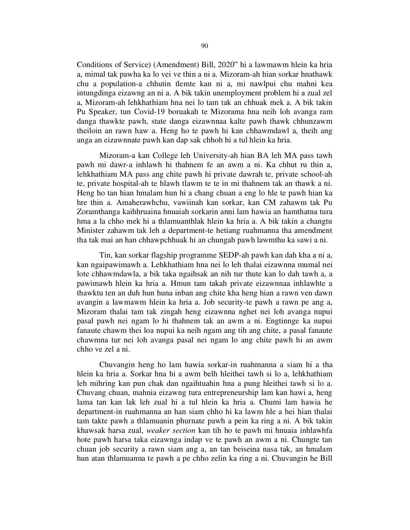Conditions of Service) (Amendment) Bill, 2020" hi a lawmawm hlein ka hria a, mimal tak pawha ka lo vei ve thin a ni a. Mizoram-ah hian sorkar hnathawk chu a population-a chhutin tlemte kan ni a, mi nawlpui chu mahni kea intungdinga eizawng an ni a. A bik takin unemployment problem hi a zual zel a, Mizoram-ah lehkhathiam hna nei lo tam tak an chhuak mek a. A bik takin Pu Speaker, tun Covid-19 boruakah te Mizorama hna neih loh avanga ram danga thawkte pawh, state danga eizawnnaa kalte pawh thawk chhunzawm theiloin an rawn haw a. Heng ho te pawh hi kan chhawmdawl a, theih ang anga an eizawnnate pawh kan dap sak chhoh hi a tul hlein ka hria.

 Mizoram-a kan College leh University-ah hian BA leh MA pass tawh pawh mi dawr-a inhlawh hi thahnem fe an awm a ni. Ka chhut ru thin a, lehkhathiam MA pass ang chite pawh hi private dawrah te, private school-ah te, private hospital-ah te hlawh tlawm te te in mi thahnem tak an thawk a ni. Heng ho tan hian hmalam hun hi a chang chuan a eng lo hle te pawh hian ka hre thin a. Amaherawhchu, vawiinah kan sorkar, kan CM zahawm tak Pu Zoramthanga kaihhruaina hnuaiah sorkarin anni lam hawia an hamthatna tura hma a la chho mek hi a thlamuanthlak hlein ka hria a. A bik takin a changtu Minister zahawm tak leh a department-te hetiang ruahmanna tha amendment tha tak mai an han chhawpchhuak hi an chungah pawh lawmthu ka sawi a ni.

 Tin, kan sorkar flagship programme SEDP-ah pawh kan dah kha a ni a, kan ngaipawimawh a. Lehkhathiam hna nei lo leh thalai eizawnna mumal nei lote chhawmdawla, a bik taka ngaihsak an nih tur thute kan lo dah tawh a, a pawimawh hlein ka hria a. Hmun tam takah private eizawnnaa inhlawhte a thawktu ten an duh hun huna inban ang chite kha heng hian a rawn ven dawn avangin a lawmawm hlein ka hria a. Job security-te pawh a rawn pe ang a, Mizoram thalai tam tak zingah heng eizawnna nghet nei loh avanga nupui pasal pawh nei ngam lo hi thahnem tak an awm a ni. Engtinnge ka nupui fanaute chawm thei loa nupui ka neih ngam ang tih ang chite, a pasal fanaute chawmna tur nei loh avanga pasal nei ngam lo ang chite pawh hi an awm chho ve zel a ni.

 Chuvangin heng ho lam hawia sorkar-in ruahmanna a siam hi a tha hlein ka hria a. Sorkar hna hi a awm belh hleithei tawh si lo a, lehkhathiam leh mihring kan pun chak dan ngaihtuahin hna a pung hleithei tawh si lo a. Chuvang chuan, mahnia eizawng tura entrepreneurship lam kan hawi a, heng lama tan kan lak leh zual hi a tul hlein ka hria a. Chumi lam hawia he department-in ruahmanna an han siam chho hi ka lawm hle a hei hian thalai tam takte pawh a thlamuanin phurnate pawh a pein ka ring a ni. A bik takin khawsak harsa zual, weaker section kan tih ho te pawh mi hnuaia inhlawhfa hote pawh harsa taka eizawnga indap ve te pawh an awm a ni. Chungte tan chuan job security a rawn siam ang a, an tan beiseina nasa tak, an hmalam hun atan thlamuanna te pawh a pe chho zelin ka ring a ni. Chuvangin he Bill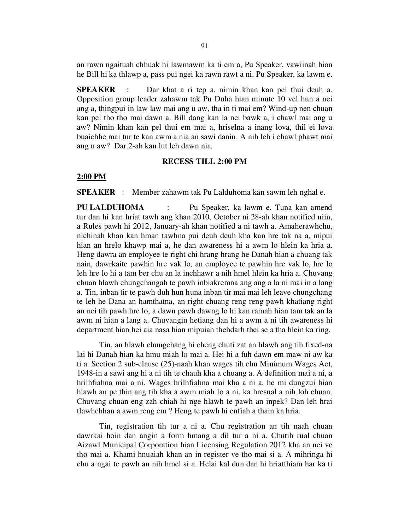an rawn ngaituah chhuak hi lawmawm ka ti em a, Pu Speaker, vawiinah hian he Bill hi ka thlawp a, pass pui ngei ka rawn rawt a ni. Pu Speaker, ka lawm e.

SPEAKER : Dar khat a ri tep a, nimin khan kan pel thui deuh a. Opposition group leader zahawm tak Pu Duha hian minute 10 vel hun a nei ang a, thingpui in law law mai ang u aw, tha in ti mai em? Wind-up nen chuan kan pel tho tho mai dawn a. Bill dang kan la nei bawk a, i chawl mai ang u aw? Nimin khan kan pel thui em mai a, hriselna a inang lova, thil ei lova buaichhe mai tur te kan awm a nia an sawi danin. A nih leh i chawl phawt mai ang u aw? Dar 2-ah kan lut leh dawn nia.

### RECESS TILL 2:00 PM

#### 2:00 PM

SPEAKER : Member zahawm tak Pu Lalduhoma kan sawm leh nghal e.

PU LALDUHOMA : Pu Speaker, ka lawm e. Tuna kan amend tur dan hi kan hriat tawh ang khan 2010, October ni 28-ah khan notified niin, a Rules pawh hi 2012, January-ah khan notified a ni tawh a. Amaherawhchu, nichinah khan kan hman tawhna pui deuh deuh kha kan hre tak na a, mipui hian an hrelo khawp mai a, he dan awareness hi a awm lo hlein ka hria a. Heng dawra an employee te right chi hrang hrang he Danah hian a chuang tak nain, dawrkaite pawhin hre vak lo, an employee te pawhin hre vak lo, hre lo leh hre lo hi a tam ber chu an la inchhawr a nih hmel hlein ka hria a. Chuvang chuan hlawh chungchangah te pawh inbiakremna ang ang a la ni mai in a lang a. Tin, inban tir te pawh duh hun huna inban tir mai mai leh leave chungchang te leh he Dana an hamthatna, an right chuang reng reng pawh khatiang right an nei tih pawh hre lo, a dawn pawh dawng lo hi kan ramah hian tam tak an la awm ni hian a lang a. Chuvangin hetiang dan hi a awm a ni tih awareness hi department hian hei aia nasa hian mipuiah thehdarh thei se a tha hlein ka ring.

 Tin, an hlawh chungchang hi cheng chuti zat an hlawh ang tih fixed-na lai hi Danah hian ka hmu miah lo mai a. Hei hi a fuh dawn em maw ni aw ka ti a. Section 2 sub-clause (25)-naah khan wages tih chu Minimum Wages Act, 1948-in a sawi ang hi a ni tih te chauh kha a chuang a. A definition mai a ni, a hrilhfiahna mai a ni. Wages hrilhfiahna mai kha a ni a, he mi dungzui hian hlawh an pe thin ang tih kha a awm miah lo a ni, ka hresual a nih loh chuan. Chuvang chuan eng zah chiah hi nge hlawh te pawh an inpek? Dan leh hrai tlawhchhan a awm reng em ? Heng te pawh hi enfiah a thain ka hria.

 Tin, registration tih tur a ni a. Chu registration an tih naah chuan dawrkai hoin dan angin a form hmang a dil tur a ni a. Chutih rual chuan Aizawl Municipal Corporation hian Licensing Regulation 2012 kha an nei ve tho mai a. Khami hnuaiah khan an in register ve tho mai si a. A mihringa hi chu a ngai te pawh an nih hmel si a. Helai kal dun dan hi hriatthiam har ka ti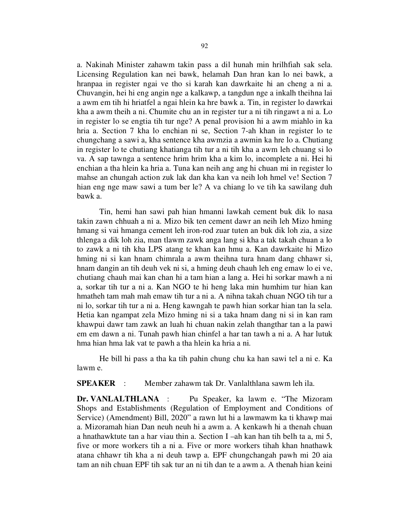a. Nakinah Minister zahawm takin pass a dil hunah min hrilhfiah sak sela. Licensing Regulation kan nei bawk, helamah Dan hran kan lo nei bawk, a hranpaa in register ngai ve tho si karah kan dawrkaite hi an cheng a ni a. Chuvangin, hei hi eng angin nge a kalkawp, a tangdun nge a inkalh theihna lai a awm em tih hi hriatfel a ngai hlein ka hre bawk a. Tin, in register lo dawrkai kha a awm theih a ni. Chumite chu an in register tur a ni tih ringawt a ni a. Lo in register lo se engtia tih tur nge? A penal provision hi a awm miahlo in ka hria a. Section 7 kha lo enchian ni se, Section 7-ah khan in register lo te chungchang a sawi a, kha sentence kha awmzia a awmin ka hre lo a. Chutiang in register lo te chutiang khatianga tih tur a ni tih kha a awm leh chuang si lo va. A sap tawnga a sentence hrim hrim kha a kim lo, incomplete a ni. Hei hi enchian a tha hlein ka hria a. Tuna kan neih ang ang hi chuan mi in register lo mahse an chungah action zuk lak dan kha kan va neih loh hmel ve! Section 7 hian eng nge maw sawi a tum ber le? A va chiang lo ve tih ka sawilang duh bawk a.

 Tin, hemi han sawi pah hian hmanni lawkah cement buk dik lo nasa takin zawn chhuah a ni a. Mizo bik ten cement dawr an neih leh Mizo hming hmang si vai hmanga cement leh iron-rod zuar tuten an buk dik loh zia, a size thlenga a dik loh zia, man tlawm zawk anga lang si kha a tak takah chuan a lo to zawk a ni tih kha LPS atang te khan kan hmu a. Kan dawrkaite hi Mizo hming ni si kan hnam chimrala a awm theihna tura hnam dang chhawr si, hnam dangin an tih deuh vek ni si, a hming deuh chauh leh eng emaw lo ei ve, chutiang chauh mai kan chan hi a tam hian a lang a. Hei hi sorkar mawh a ni a, sorkar tih tur a ni a. Kan NGO te hi heng laka min humhim tur hian kan hmatheh tam mah mah emaw tih tur a ni a. A nihna takah chuan NGO tih tur a ni lo, sorkar tih tur a ni a. Heng kawngah te pawh hian sorkar hian tan la sela. Hetia kan ngampat zela Mizo hming ni si a taka hnam dang ni si in kan ram khawpui dawr tam zawk an luah hi chuan nakin zelah thangthar tan a la pawi em em dawn a ni. Tunah pawh hian chinfel a har tan tawh a ni a. A har lutuk hma hian hma lak vat te pawh a tha hlein ka hria a ni.

 He bill hi pass a tha ka tih pahin chung chu ka han sawi tel a ni e. Ka lawm e.

SPEAKER : Member zahawm tak Dr. Vanlalthlana sawm leh ila.

Dr. VANLALTHLANA : Pu Speaker, ka lawm e. "The Mizoram" Shops and Establishments (Regulation of Employment and Conditions of Service) (Amendment) Bill, 2020" a rawn lut hi a lawmawm ka ti khawp mai a. Mizoramah hian Dan neuh neuh hi a awm a. A kenkawh hi a thenah chuan a hnathawktute tan a har viau thin a. Section I –ah kan han tih belh ta a, mi 5, five or more workers tih a ni a. Five or more workers tihah khan hnathawk atana chhawr tih kha a ni deuh tawp a. EPF chungchangah pawh mi 20 aia tam an nih chuan EPF tih sak tur an ni tih dan te a awm a. A thenah hian keini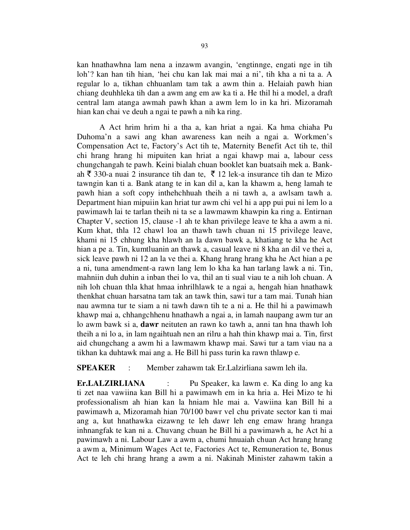kan hnathawhna lam nena a inzawm avangin, 'engtinnge, engati nge in tih loh'? kan han tih hian, 'hei chu kan lak mai mai a ni', tih kha a ni ta a. A regular lo a, tikhan chhuanlam tam tak a awm thin a. Helaiah pawh hian chiang deuhhleka tih dan a awm ang em aw ka ti a. He thil hi a model, a draft central lam atanga awmah pawh khan a awm lem lo in ka hri. Mizoramah hian kan chai ve deuh a ngai te pawh a nih ka ring.

 A Act hrim hrim hi a tha a, kan hriat a ngai. Ka hma chiaha Pu Duhoma'n a sawi ang khan awareness kan neih a ngai a. Workmen's Compensation Act te, Factory's Act tih te, Maternity Benefit Act tih te, thil chi hrang hrang hi mipuiten kan hriat a ngai khawp mai a, labour cess chungchangah te pawh. Keini bialah chuan booklet kan buatsaih mek a. Bankah  $\bar{\xi}$  330-a nuai 2 insurance tih dan te,  $\bar{\xi}$  12 lek-a insurance tih dan te Mizo tawngin kan ti a. Bank atang te in kan dil a, kan la khawm a, heng lamah te pawh hian a soft copy inthehchhuah theih a ni tawh a, a awlsam tawh a. Department hian mipuiin kan hriat tur awm chi vel hi a app pui pui ni lem lo a pawimawh lai te tarlan theih ni ta se a lawmawm khawpin ka ring a. Entirnan Chapter V, section 15, clause -1 ah te khan privilege leave te kha a awm a ni. Kum khat, thla 12 chawl loa an thawh tawh chuan ni 15 privilege leave, khami ni 15 chhung kha hlawh an la dawn bawk a, khatiang te kha he Act hian a pe a. Tin, kumtluanin an thawk a, casual leave ni 8 kha an dil ve thei a, sick leave pawh ni 12 an la ve thei a. Khang hrang hrang kha he Act hian a pe a ni, tuna amendment-a rawn lang lem lo kha ka han tarlang lawk a ni. Tin, mahniin duh duhin a inban thei lo va, thil an ti sual viau te a nih loh chuan. A nih loh chuan thla khat hmaa inhrilhlawk te a ngai a, hengah hian hnathawk thenkhat chuan harsatna tam tak an tawk thin, sawi tur a tam mai. Tunah hian nau awmna tur te siam a ni tawh dawn tih te a ni a. He thil hi a pawimawh khawp mai a, chhangchhenu hnathawh a ngai a, in lamah naupang awm tur an lo awm bawk si a, dawr neituten an rawn ko tawh a, anni tan hna thawh loh theih a ni lo a, in lam ngaihtuah nen an rilru a hah thin khawp mai a. Tin, first aid chungchang a awm hi a lawmawm khawp mai. Sawi tur a tam viau na a tikhan ka duhtawk mai ang a. He Bill hi pass turin ka rawn thlawp e.

SPEAKER : Member zahawm tak Er.Lalzirliana sawm leh ila.

Er.LALZIRLIANA : Pu Speaker, ka lawm e. Ka ding lo ang ka ti zet naa vawiina kan Bill hi a pawimawh em in ka hria a. Hei Mizo te hi professionalism ah hian kan la hniam hle mai a. Vawiina kan Bill hi a pawimawh a, Mizoramah hian 70/100 bawr vel chu private sector kan ti mai ang a, kut hnathawka eizawng te leh dawr leh eng emaw hrang hranga inhnangfak te kan ni a. Chuvang chuan he Bill hi a pawimawh a, he Act hi a pawimawh a ni. Labour Law a awm a, chumi hnuaiah chuan Act hrang hrang a awm a, Minimum Wages Act te, Factories Act te, Remuneration te, Bonus Act te leh chi hrang hrang a awm a ni. Nakinah Minister zahawm takin a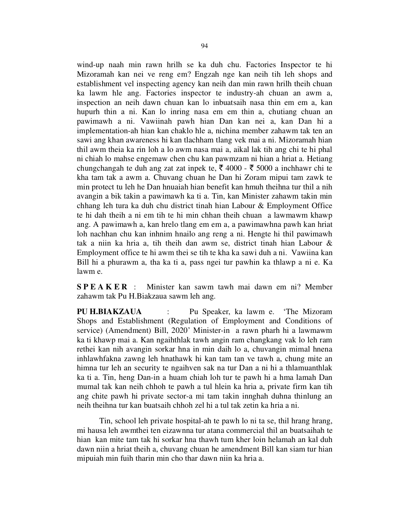wind-up naah min rawn hrilh se ka duh chu. Factories Inspector te hi Mizoramah kan nei ve reng em? Engzah nge kan neih tih leh shops and establishment vel inspecting agency kan neih dan min rawn hrilh theih chuan ka lawm hle ang. Factories inspector te industry-ah chuan an awm a, inspection an neih dawn chuan kan lo inbuatsaih nasa thin em em a, kan hupurh thin a ni. Kan lo inring nasa em em thin a, chutiang chuan an pawimawh a ni. Vawiinah pawh hian Dan kan nei a, kan Dan hi a implementation-ah hian kan chaklo hle a, nichina member zahawm tak ten an sawi ang khan awareness hi kan tlachham tlang vek mai a ni. Mizoramah hian thil awm theia ka rin loh a lo awm nasa mai a, aikal lak tih ang chi te hi phal ni chiah lo mahse engemaw chen chu kan pawmzam ni hian a hriat a. Hetiang chungchangah te duh ang zat zat inpek te,  $\bar{\xi}$  4000 -  $\bar{\xi}$  5000 a inchhawr chi te kha tam tak a awm a. Chuvang chuan he Dan hi Zoram mipui tam zawk te min protect tu leh he Dan hnuaiah hian benefit kan hmuh theihna tur thil a nih avangin a bik takin a pawimawh ka ti a. Tin, kan Minister zahawm takin min chhang leh tura ka duh chu district tinah hian Labour & Employment Office te hi dah theih a ni em tih te hi min chhan theih chuan a lawmawm khawp ang. A pawimawh a, kan hrelo tlang em em a, a pawimawhna pawh kan hriat loh nachhan chu kan inhnim hnailo ang reng a ni. Hengte hi thil pawimawh tak a niin ka hria a, tih theih dan awm se, district tinah hian Labour & Employment office te hi awm thei se tih te kha ka sawi duh a ni. Vawiina kan Bill hi a phurawm a, tha ka ti a, pass ngei tur pawhin ka thlawp a ni e. Ka lawm e.

S P E A K E R : Minister kan sawm tawh mai dawn em ni? Member zahawm tak Pu H.Biakzaua sawm leh ang.

PU H.BIAKZAUA : Pu Speaker, ka lawm e. 'The Mizoram Shops and Establishment (Regulation of Employment and Conditions of service) (Amendment) Bill, 2020' Minister-in a rawn pharh hi a lawmawm ka ti khawp mai a. Kan ngaihthlak tawh angin ram changkang vak lo leh ram rethei kan nih avangin sorkar hna in min daih lo a, chuvangin mimal hnena inhlawhfakna zawng leh hnathawk hi kan tam tan ve tawh a, chung mite an himna tur leh an security te ngaihven sak na tur Dan a ni hi a thlamuanthlak ka ti a. Tin, heng Dan-in a huam chiah loh tur te pawh hi a hma lamah Dan mumal tak kan neih chhoh te pawh a tul hlein ka hria a, private firm kan tih ang chite pawh hi private sector-a mi tam takin innghah duhna thinlung an neih theihna tur kan buatsaih chhoh zel hi a tul tak zetin ka hria a ni.

 Tin, school leh private hospital-ah te pawh lo ni ta se, thil hrang hrang, mi hausa leh awmthei ten eizawnna tur atana commercial thil an buatsaihah te hian kan mite tam tak hi sorkar hna thawh tum kher loin helamah an kal duh dawn niin a hriat theih a, chuvang chuan he amendment Bill kan siam tur hian mipuiah min fuih tharin min cho thar dawn niin ka hria a.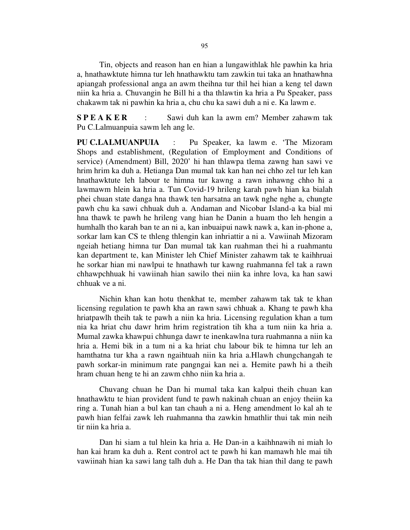Tin, objects and reason han en hian a lungawithlak hle pawhin ka hria a, hnathawktute himna tur leh hnathawktu tam zawkin tui taka an hnathawhna apiangah professional anga an awm theihna tur thil hei hian a keng tel dawn niin ka hria a. Chuvangin he Bill hi a tha thlawtin ka hria a Pu Speaker, pass chakawm tak ni pawhin ka hria a, chu chu ka sawi duh a ni e. Ka lawm e.

S P E A K E R : Sawi duh kan la awm em? Member zahawm tak Pu C.Lalmuanpuia sawm leh ang le.

PU C.LALMUANPUIA : Pu Speaker, ka lawm e. 'The Mizoram Shops and establishment, (Regulation of Employment and Conditions of service) (Amendment) Bill, 2020' hi han thlawpa tlema zawng han sawi ve hrim hrim ka duh a. Hetianga Dan mumal tak kan han nei chho zel tur leh kan hnathawktute leh labour te himna tur kawng a rawn inhawng chho hi a lawmawm hlein ka hria a. Tun Covid-19 hrileng karah pawh hian ka bialah phei chuan state danga hna thawk ten harsatna an tawk nghe nghe a, chungte pawh chu ka sawi chhuak duh a. Andaman and Nicobar Island-a ka bial mi hna thawk te pawh he hrileng vang hian he Danin a huam tho leh hengin a humhalh tho karah ban te an ni a, kan inbuaipui nawk nawk a, kan in-phone a, sorkar lam kan CS te thleng thlengin kan inhriattir a ni a. Vawiinah Mizoram ngeiah hetiang himna tur Dan mumal tak kan ruahman thei hi a ruahmantu kan department te, kan Minister leh Chief Minister zahawm tak te kaihhruai he sorkar hian mi nawlpui te hnathawh tur kawng ruahmanna fel tak a rawn chhawpchhuak hi vawiinah hian sawilo thei niin ka inhre lova, ka han sawi chhuak ve a ni.

 Nichin khan kan hotu thenkhat te, member zahawm tak tak te khan licensing regulation te pawh kha an rawn sawi chhuak a. Khang te pawh kha hriatpawlh theih tak te pawh a niin ka hria. Licensing regulation khan a tum nia ka hriat chu dawr hrim hrim registration tih kha a tum niin ka hria a. Mumal zawka khawpui chhunga dawr te inenkawlna tura ruahmanna a niin ka hria a. Hemi bik in a tum ni a ka hriat chu labour bik te himna tur leh an hamthatna tur kha a rawn ngaihtuah niin ka hria a.Hlawh chungchangah te pawh sorkar-in minimum rate pangngai kan nei a. Hemite pawh hi a theih hram chuan heng te hi an zawm chho niin ka hria a.

 Chuvang chuan he Dan hi mumal taka kan kalpui theih chuan kan hnathawktu te hian provident fund te pawh nakinah chuan an enjoy theiin ka ring a. Tunah hian a bul kan tan chauh a ni a. Heng amendment lo kal ah te pawh hian felfai zawk leh ruahmanna tha zawkin hmathlir thui tak min neih tir niin ka hria a.

 Dan hi siam a tul hlein ka hria a. He Dan-in a kaihhnawih ni miah lo han kai hram ka duh a. Rent control act te pawh hi kan mamawh hle mai tih vawiinah hian ka sawi lang talh duh a. He Dan tha tak hian thil dang te pawh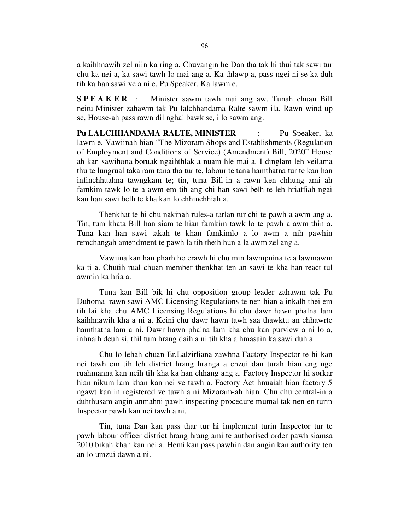a kaihhnawih zel niin ka ring a. Chuvangin he Dan tha tak hi thui tak sawi tur chu ka nei a, ka sawi tawh lo mai ang a. Ka thlawp a, pass ngei ni se ka duh tih ka han sawi ve a ni e, Pu Speaker. Ka lawm e.

S P E A K E R : Minister sawm tawh mai ang aw. Tunah chuan Bill neitu Minister zahawm tak Pu lalchhandama Ralte sawm ila. Rawn wind up se, House-ah pass rawn dil nghal bawk se, i lo sawm ang.

Pu LALCHHANDAMA RALTE, MINISTER : Pu Speaker, ka lawm e. Vawiinah hian "The Mizoram Shops and Establishments (Regulation of Employment and Conditions of Service) (Amendment) Bill, 2020" House ah kan sawihona boruak ngaihthlak a nuam hle mai a. I dinglam leh veilama thu te lungrual taka ram tana tha tur te, labour te tana hamthatna tur te kan han infinchhuahna tawngkam te; tin, tuna Bill-in a rawn ken chhung ami ah famkim tawk lo te a awm em tih ang chi han sawi belh te leh hriatfiah ngai kan han sawi belh te kha kan lo chhinchhiah a.

 Thenkhat te hi chu nakinah rules-a tarlan tur chi te pawh a awm ang a. Tin, tum khata Bill han siam te hian famkim tawk lo te pawh a awm thin a. Tuna kan han sawi takah te khan famkimlo a lo awm a nih pawhin remchangah amendment te pawh la tih theih hun a la awm zel ang a.

 Vawiina kan han pharh ho erawh hi chu min lawmpuina te a lawmawm ka ti a. Chutih rual chuan member thenkhat ten an sawi te kha han react tul awmin ka hria a.

 Tuna kan Bill bik hi chu opposition group leader zahawm tak Pu Duhoma rawn sawi AMC Licensing Regulations te nen hian a inkalh thei em tih lai kha chu AMC Licensing Regulations hi chu dawr hawn phalna lam kaihhnawih kha a ni a. Keini chu dawr hawn tawh saa thawktu an chhawrte hamthatna lam a ni. Dawr hawn phalna lam kha chu kan purview a ni lo a, inhnaih deuh si, thil tum hrang daih a ni tih kha a hmasain ka sawi duh a.

 Chu lo lehah chuan Er.Lalzirliana zawhna Factory Inspector te hi kan nei tawh em tih leh district hrang hranga a enzui dan turah hian eng nge ruahmanna kan neih tih kha ka han chhang ang a. Factory Inspector hi sorkar hian nikum lam khan kan nei ve tawh a. Factory Act hnuaiah hian factory 5 ngawt kan in registered ve tawh a ni Mizoram-ah hian. Chu chu central-in a duhthusam angin anmahni pawh inspecting procedure mumal tak nen en turin Inspector pawh kan nei tawh a ni.

 Tin, tuna Dan kan pass thar tur hi implement turin Inspector tur te pawh labour officer district hrang hrang ami te authorised order pawh siamsa 2010 bikah khan kan nei a. Hemi kan pass pawhin dan angin kan authority ten an lo umzui dawn a ni.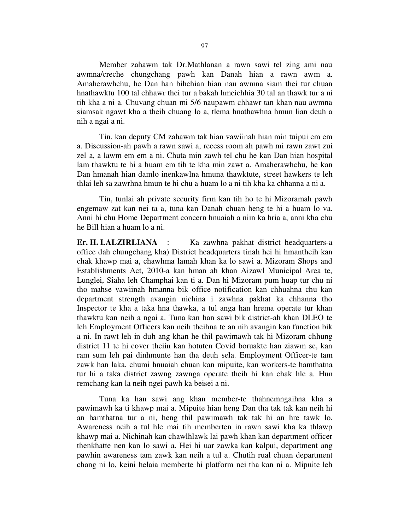Member zahawm tak Dr.Mathlanan a rawn sawi tel zing ami nau awmna/creche chungchang pawh kan Danah hian a rawn awm a. Amaherawhchu, he Dan han bihchian hian nau awmna siam thei tur chuan hnathawktu 100 tal chhawr thei tur a bakah hmeichhia 30 tal an thawk tur a ni tih kha a ni a. Chuvang chuan mi 5/6 naupawm chhawr tan khan nau awmna siamsak ngawt kha a theih chuang lo a, tlema hnathawhna hmun lian deuh a nih a ngai a ni.

 Tin, kan deputy CM zahawm tak hian vawiinah hian min tuipui em em a. Discussion-ah pawh a rawn sawi a, recess room ah pawh mi rawn zawt zui zel a, a lawm em em a ni. Chuta min zawh tel chu he kan Dan hian hospital lam thawktu te hi a huam em tih te kha min zawt a. Amaherawhchu, he kan Dan hmanah hian damlo inenkawlna hmuna thawktute, street hawkers te leh thlai leh sa zawrhna hmun te hi chu a huam lo a ni tih kha ka chhanna a ni a.

 Tin, tunlai ah private security firm kan tih ho te hi Mizoramah pawh engemaw zat kan nei ta a, tuna kan Danah chuan heng te hi a huam lo va. Anni hi chu Home Department concern hnuaiah a niin ka hria a, anni kha chu he Bill hian a huam lo a ni.

Er. H. LALZIRLIANA : Ka zawhna pakhat district headquarters-a office dah chungchang kha) District headquarters tinah hei hi hmantheih kan chak khawp mai a, chawhma lamah khan ka lo sawi a. Mizoram Shops and Establishments Act, 2010-a kan hman ah khan Aizawl Municipal Area te, Lunglei, Siaha leh Champhai kan ti a. Dan hi Mizoram pum huap tur chu ni tho mahse vawiinah hmanna bik office notification kan chhuahna chu kan department strength avangin nichina i zawhna pakhat ka chhanna tho Inspector te kha a taka hna thawka, a tul anga han hrema operate tur khan thawktu kan neih a ngai a. Tuna kan han sawi bik district-ah khan DLEO te leh Employment Officers kan neih theihna te an nih avangin kan function bik a ni. In rawt leh in duh ang khan he thil pawimawh tak hi Mizoram chhung district 11 te hi cover theiin kan hotuten Covid boruakte han ziawm se, kan ram sum leh pai dinhmunte han tha deuh sela. Employment Officer-te tam zawk han laka, chumi hnuaiah chuan kan mipuite, kan workers-te hamthatna tur hi a taka district zawng zawnga operate theih hi kan chak hle a. Hun remchang kan la neih ngei pawh ka beisei a ni.

 Tuna ka han sawi ang khan member-te thahnemngaihna kha a pawimawh ka ti khawp mai a. Mipuite hian heng Dan tha tak tak kan neih hi an hamthatna tur a ni, heng thil pawimawh tak tak hi an hre tawk lo. Awareness neih a tul hle mai tih memberten in rawn sawi kha ka thlawp khawp mai a. Nichinah kan chawlhlawk lai pawh khan kan department officer thenkhatte nen kan lo sawi a. Hei hi uar zawka kan kalpui, department ang pawhin awareness tam zawk kan neih a tul a. Chutih rual chuan department chang ni lo, keini helaia memberte hi platform nei tha kan ni a. Mipuite leh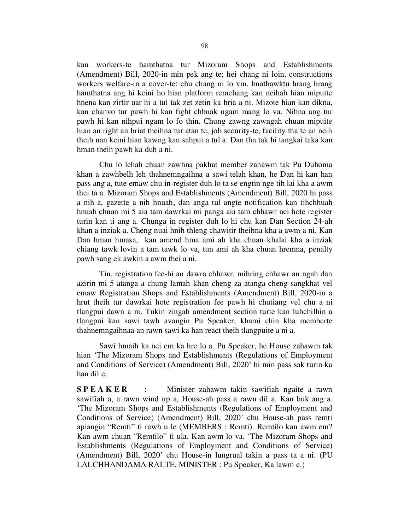kan workers-te hamthatna tur Mizoram Shops and Establishments (Amendment) Bill, 2020-in min pek ang te; hei chang ni loin, constructions workers welfare-in a cover-te; chu chang ni lo vin, hnathawktu hrang hrang hamthatna ang hi keini ho hian platform remchang kan neihah hian mipuite hnena kan zirtir uar hi a tul tak zet zetin ka hria a ni. Mizote hian kan dikna, kan chanvo tur pawh hi kan fight chhuak ngam mang lo va. Nihna ang tur pawh hi kan nihpui ngam lo fo thin. Chung zawng zawngah chuan mipuite hian an right an hriat theihna tur atan te, job security-te, facility tha te an neih theih nan keini hian kawng kan sahpui a tul a. Dan tha tak hi tangkai taka kan hman theih pawh ka duh a ni.

 Chu lo lehah chuan zawhna pakhat member zahawm tak Pu Duhoma khan a zawhbelh leh thahnemngaihna a sawi telah khan, he Dan hi kan han pass ang a, tute emaw chu in-register duh lo ta se engtin nge tih lai kha a awm thei ta a. Mizoram Shops and Establishments (Amendment) Bill, 2020 hi pass a nih a, gazette a nih hnuah, dan anga tul angte notification kan tihchhuah hnuah chuan mi 5 aia tam dawrkai mi panga aia tam chhawr nei hote register turin kan ti ang a. Chunga in register duh lo hi chu kan Dan Section 24-ah khan a inziak a. Cheng nuai hnih thleng chawitir theihna kha a awm a ni. Kan Dan hman hmasa, kan amend hma ami ah kha chuan khalai kha a inziak chiang tawk lovin a tam tawk lo va, tun ami ah kha chuan hremna, penalty pawh sang ek awkin a awm thei a ni.

 Tin, registration fee-hi an dawra chhawr, mihring chhawr an ngah dan azirin mi 5 atanga a chung lamah khan cheng za atanga cheng sangkhat vel emaw Registration Shops and Establishments (Amendment) Bill, 2020-in a hrut theih tur dawrkai hote registration fee pawh hi chutiang vel chu a ni tlangpui dawn a ni. Tukin zingah amendment section turte kan luhchilhin a tlangpui kan sawi tawh avangin Pu Speaker, khami chin kha memberte thahnemngaihnaa an rawn sawi ka han react theih tlangpuite a ni a.

 Sawi hmaih ka nei em ka hre lo a. Pu Speaker, he House zahawm tak hian 'The Mizoram Shops and Establishments (Regulations of Employment and Conditions of Service) (Amendment) Bill, 2020' hi min pass sak turin ka han dil e.

S P E A K E R : Minister zahawm takin sawifiah ngaite a rawn sawifiah a, a rawn wind up a, House-ah pass a rawn dil a. Kan buk ang a. 'The Mizoram Shops and Establishments (Regulations of Employment and Conditions of Service) (Amendment) Bill, 2020' chu House-ah pass remti apiangin "Remti" ti rawh u le (MEMBERS : Remti). Remtilo kan awm em? Kan awm chuan "Remtilo" ti ula. Kan awm lo va. 'The Mizoram Shops and Establishments (Regulations of Employment and Conditions of Service) (Amendment) Bill, 2020' chu House-in lungrual takin a pass ta a ni. (PU LALCHHANDAMA RALTE, MINISTER : Pu Speaker, Ka lawm e.)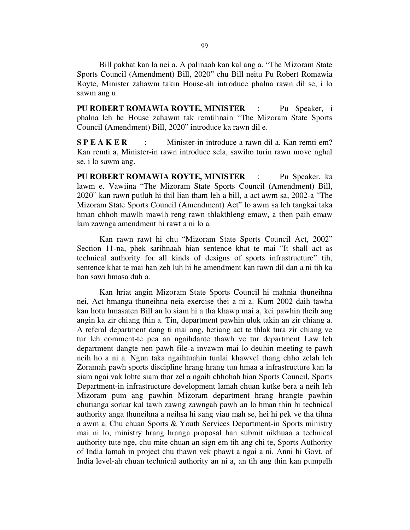Bill pakhat kan la nei a. A palinaah kan kal ang a. "The Mizoram State Sports Council (Amendment) Bill, 2020" chu Bill neitu Pu Robert Romawia Royte, Minister zahawm takin House-ah introduce phalna rawn dil se, i lo sawm ang u.

PU ROBERT ROMAWIA ROYTE, MINISTER : Pu Speaker, i phalna leh he House zahawm tak remtihnain "The Mizoram State Sports Council (Amendment) Bill, 2020" introduce ka rawn dil e.

S P E A K E R : Minister-in introduce a rawn dil a. Kan remti em? Kan remti a, Minister-in rawn introduce sela, sawiho turin rawn move nghal se, i lo sawm ang.

PU ROBERT ROMAWIA ROYTE, MINISTER : Pu Speaker, ka lawm e. Vawiina "The Mizoram State Sports Council (Amendment) Bill, 2020" kan rawn putluh hi thil lian tham leh a bill, a act awm sa, 2002-a "The Mizoram State Sports Council (Amendment) Act" lo awm sa leh tangkai taka hman chhoh mawlh mawlh reng rawn thlakthleng emaw, a then paih emaw lam zawnga amendment hi rawt a ni lo a.

 Kan rawn rawt hi chu "Mizoram State Sports Council Act, 2002" Section 11-na, phek sarihnaah hian sentence khat te mai "It shall act as technical authority for all kinds of designs of sports infrastructure" tih, sentence khat te mai han zeh luh hi he amendment kan rawn dil dan a ni tih ka han sawi hmasa duh a.

 Kan hriat angin Mizoram State Sports Council hi mahnia thuneihna nei, Act hmanga thuneihna neia exercise thei a ni a. Kum 2002 daih tawha kan hotu hmasaten Bill an lo siam hi a tha khawp mai a, kei pawhin theih ang angin ka zir chiang thin a. Tin, department pawhin uluk takin an zir chiang a. A referal department dang ti mai ang, hetiang act te thlak tura zir chiang ve tur leh comment-te pea an ngaihdante thawh ve tur department Law leh department dangte nen pawh file-a invawm mai lo deuhin meeting te pawh neih ho a ni a. Ngun taka ngaihtuahin tunlai khawvel thang chho zelah leh Zoramah pawh sports discipline hrang hrang tun hmaa a infrastructure kan la siam ngai vak lohte siam thar zel a ngaih chhohah hian Sports Council, Sports Department-in infrastructure development lamah chuan kutke bera a neih leh Mizoram pum ang pawhin Mizoram department hrang hrangte pawhin chutianga sorkar kal tawh zawng zawngah pawh an lo hman thin hi technical authority anga thuneihna a neihsa hi sang viau mah se, hei hi pek ve tha tihna a awm a. Chu chuan Sports & Youth Services Department-in Sports ministry mai ni lo, ministry hrang hranga proposal han submit nikhuaa a technical authority tute nge, chu mite chuan an sign em tih ang chi te, Sports Authority of India lamah in project chu thawn vek phawt a ngai a ni. Anni hi Govt. of India level-ah chuan technical authority an ni a, an tih ang thin kan pumpelh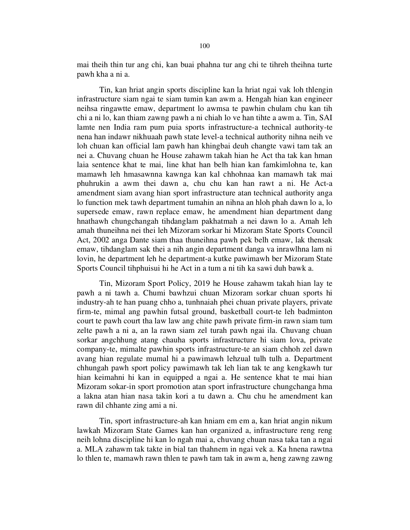mai theih thin tur ang chi, kan buai phahna tur ang chi te tihreh theihna turte pawh kha a ni a.

 Tin, kan hriat angin sports discipline kan la hriat ngai vak loh thlengin infrastructure siam ngai te siam tumin kan awm a. Hengah hian kan engineer neihsa ringawtte emaw, department lo awmsa te pawhin chulam chu kan tih chi a ni lo, kan thiam zawng pawh a ni chiah lo ve han tihte a awm a. Tin, SAI lamte nen India ram pum puia sports infrastructure-a technical authority-te nena han indawr nikhuaah pawh state level-a technical authority nihna neih ve loh chuan kan official lam pawh han khingbai deuh changte vawi tam tak an nei a. Chuvang chuan he House zahawm takah hian he Act tha tak kan hman laia sentence khat te mai, line khat han belh hian kan famkimlohna te, kan mamawh leh hmasawnna kawnga kan kal chhohnaa kan mamawh tak mai phuhrukin a awm thei dawn a, chu chu kan han rawt a ni. He Act-a amendment siam avang hian sport infrastructure atan technical authority anga lo function mek tawh department tumahin an nihna an hloh phah dawn lo a, lo supersede emaw, rawn replace emaw, he amendment hian department dang hnathawh chungchangah tihdanglam pakhatmah a nei dawn lo a. Amah leh amah thuneihna nei thei leh Mizoram sorkar hi Mizoram State Sports Council Act, 2002 anga Dante siam thaa thuneihna pawh pek belh emaw, lak thensak emaw, tihdanglam sak thei a nih angin department danga va inrawlhna lam ni lovin, he department leh he department-a kutke pawimawh ber Mizoram State Sports Council tihphuisui hi he Act in a tum a ni tih ka sawi duh bawk a.

 Tin, Mizoram Sport Policy, 2019 he House zahawm takah hian lay te pawh a ni tawh a. Chumi bawhzui chuan Mizoram sorkar chuan sports hi industry-ah te han puang chho a, tunhnaiah phei chuan private players, private firm-te, mimal ang pawhin futsal ground, basketball court-te leh badminton court te pawh court tha law law ang chite pawh private firm-in rawn siam tum zelte pawh a ni a, an la rawn siam zel turah pawh ngai ila. Chuvang chuan sorkar angchhung atang chauha sports infrastructure hi siam lova, private company-te, mimalte pawhin sports infrastructure-te an siam chhoh zel dawn avang hian regulate mumal hi a pawimawh lehzual tulh tulh a. Department chhungah pawh sport policy pawimawh tak leh lian tak te ang kengkawh tur hian keimahni hi kan in equipped a ngai a. He sentence khat te mai hian Mizoram sokar-in sport promotion atan sport infrastructure chungchanga hma a lakna atan hian nasa takin kori a tu dawn a. Chu chu he amendment kan rawn dil chhante zing ami a ni.

 Tin, sport infrastructure-ah kan hniam em em a, kan hriat angin nikum lawkah Mizoram State Games kan han organized a, infrastructure reng reng neih lohna discipline hi kan lo ngah mai a, chuvang chuan nasa taka tan a ngai a. MLA zahawm tak takte in bial tan thahnem in ngai vek a. Ka hnena rawtna lo thlen te, mamawh rawn thlen te pawh tam tak in awm a, heng zawng zawng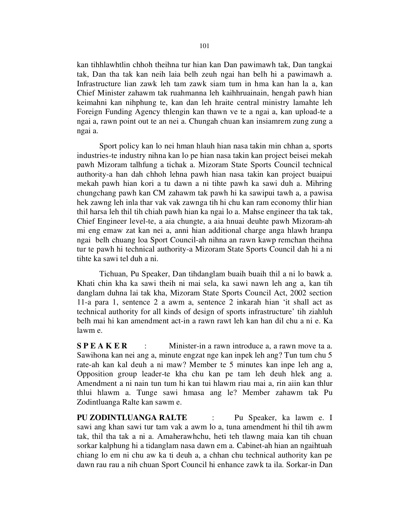kan tihhlawhtlin chhoh theihna tur hian kan Dan pawimawh tak, Dan tangkai tak, Dan tha tak kan neih laia belh zeuh ngai han belh hi a pawimawh a. Infrastructure lian zawk leh tam zawk siam tum in hma kan han la a, kan Chief Minister zahawm tak ruahmanna leh kaihhruainain, hengah pawh hian keimahni kan nihphung te, kan dan leh hraite central ministry lamahte leh Foreign Funding Agency thlengin kan thawn ve te a ngai a, kan upload-te a ngai a, rawn point out te an nei a. Chungah chuan kan insiamrem zung zung a ngai a.

 Sport policy kan lo nei hman hlauh hian nasa takin min chhan a, sports industries-te industry nihna kan lo pe hian nasa takin kan project beisei mekah pawh Mizoram talhfung a tichak a. Mizoram State Sports Council technical authority-a han dah chhoh lehna pawh hian nasa takin kan project buaipui mekah pawh hian kori a tu dawn a ni tihte pawh ka sawi duh a. Mihring chungchang pawh kan CM zahawm tak pawh hi ka sawipui tawh a, a pawisa hek zawng leh inla thar vak vak zawnga tih hi chu kan ram economy thlir hian thil harsa leh thil tih chiah pawh hian ka ngai lo a. Mahse engineer tha tak tak, Chief Engineer level-te, a aia chungte, a aia hnuai deuhte pawh Mizoram-ah mi eng emaw zat kan nei a, anni hian additional charge anga hlawh hranpa ngai belh chuang loa Sport Council-ah nihna an rawn kawp remchan theihna tur te pawh hi technical authority-a Mizoram State Sports Council dah hi a ni tihte ka sawi tel duh a ni.

 Tichuan, Pu Speaker, Dan tihdanglam buaih buaih thil a ni lo bawk a. Khati chin kha ka sawi theih ni mai sela, ka sawi nawn leh ang a, kan tih danglam duhna lai tak kha, Mizoram State Sports Council Act, 2002 section 11-a para 1, sentence 2 a awm a, sentence 2 inkarah hian 'it shall act as technical authority for all kinds of design of sports infrastructure' tih ziahluh belh mai hi kan amendment act-in a rawn rawt leh kan han dil chu a ni e. Ka lawm e.

**S P E A K E R** : Minister-in a rawn introduce a, a rawn move ta a. Sawihona kan nei ang a, minute engzat nge kan inpek leh ang? Tun tum chu 5 rate-ah kan kal deuh a ni maw? Member te 5 minutes kan inpe leh ang a, Opposition group leader-te kha chu kan pe tam leh deuh hlek ang a. Amendment a ni nain tun tum hi kan tui hlawm riau mai a, rin aiin kan thlur thlui hlawm a. Tunge sawi hmasa ang le? Member zahawm tak Pu Zodintluanga Ralte kan sawm e.

PU ZODINTLUANGA RALTE : Pu Speaker, ka lawm e. I sawi ang khan sawi tur tam vak a awm lo a, tuna amendment hi thil tih awm tak, thil tha tak a ni a. Amaherawhchu, heti teh tlawng maia kan tih chuan sorkar kalphung hi a tidanglam nasa dawn em a. Cabinet-ah hian an ngaihtuah chiang lo em ni chu aw ka ti deuh a, a chhan chu technical authority kan pe dawn rau rau a nih chuan Sport Council hi enhance zawk ta ila. Sorkar-in Dan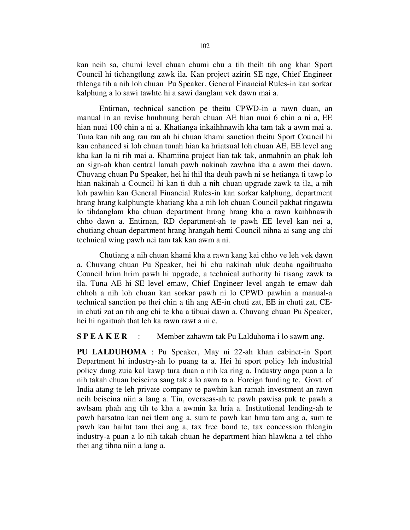kan neih sa, chumi level chuan chumi chu a tih theih tih ang khan Sport Council hi tichangtlung zawk ila. Kan project azirin SE nge, Chief Engineer thlenga tih a nih loh chuan Pu Speaker, General Financial Rules-in kan sorkar kalphung a lo sawi tawhte hi a sawi danglam vek dawn mai a.

 Entirnan, technical sanction pe theitu CPWD-in a rawn duan, an manual in an revise hnuhnung berah chuan AE hian nuai 6 chin a ni a, EE hian nuai 100 chin a ni a. Khatianga inkaihhnawih kha tam tak a awm mai a. Tuna kan nih ang rau rau ah hi chuan khami sanction theitu Sport Council hi kan enhanced si loh chuan tunah hian ka hriatsual loh chuan AE, EE level ang kha kan la ni rih mai a. Khamiina project lian tak tak, anmahnin an phak loh an sign-ah khan central lamah pawh nakinah zawhna kha a awm thei dawn. Chuvang chuan Pu Speaker, hei hi thil tha deuh pawh ni se hetianga ti tawp lo hian nakinah a Council hi kan ti duh a nih chuan upgrade zawk ta ila, a nih loh pawhin kan General Financial Rules-in kan sorkar kalphung, department hrang hrang kalphungte khatiang kha a nih loh chuan Council pakhat ringawta lo tihdanglam kha chuan department hrang hrang kha a rawn kaihhnawih chho dawn a. Entirnan, RD department-ah te pawh EE level kan nei a, chutiang chuan department hrang hrangah hemi Council nihna ai sang ang chi technical wing pawh nei tam tak kan awm a ni.

 Chutiang a nih chuan khami kha a rawn kang kai chho ve leh vek dawn a. Chuvang chuan Pu Speaker, hei hi chu nakinah uluk deuha ngaihtuaha Council hrim hrim pawh hi upgrade, a technical authority hi tisang zawk ta ila. Tuna AE hi SE level emaw, Chief Engineer level angah te emaw dah chhoh a nih loh chuan kan sorkar pawh ni lo CPWD pawhin a manual-a technical sanction pe thei chin a tih ang AE-in chuti zat, EE in chuti zat, CEin chuti zat an tih ang chi te kha a tibuai dawn a. Chuvang chuan Pu Speaker, hei hi ngaituah that leh ka rawn rawt a ni e.

S P E A K E R : Member zahawm tak Pu Lalduhoma i lo sawm ang.

PU LALDUHOMA : Pu Speaker, May ni 22-ah khan cabinet-in Sport Department hi industry-ah lo puang ta a. Hei hi sport policy leh industrial policy dung zuia kal kawp tura duan a nih ka ring a. Industry anga puan a lo nih takah chuan beiseina sang tak a lo awm ta a. Foreign funding te, Govt. of India atang te leh private company te pawhin kan ramah investment an rawn neih beiseina niin a lang a. Tin, overseas-ah te pawh pawisa puk te pawh a awlsam phah ang tih te kha a awmin ka hria a. Institutional lending-ah te pawh harsatna kan nei tlem ang a, sum te pawh kan hmu tam ang a, sum te pawh kan hailut tam thei ang a, tax free bond te, tax concession thlengin industry-a puan a lo nih takah chuan he department hian hlawkna a tel chho thei ang tihna niin a lang a.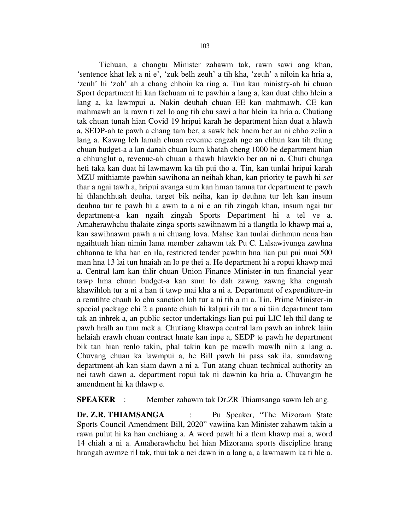Tichuan, a changtu Minister zahawm tak, rawn sawi ang khan, 'sentence khat lek a ni e', 'zuk belh zeuh' a tih kha, 'zeuh' a niloin ka hria a, 'zeuh' hi 'zoh' ah a chang chhoin ka ring a. Tun kan ministry-ah hi chuan Sport department hi kan fachuam ni te pawhin a lang a, kan duat chho hlein a lang a, ka lawmpui a. Nakin deuhah chuan EE kan mahmawh, CE kan mahmawh an la rawn ti zel lo ang tih chu sawi a har hlein ka hria a. Chutiang tak chuan tunah hian Covid 19 hripui karah he department hian duat a hlawh a, SEDP-ah te pawh a chang tam ber, a sawk hek hnem ber an ni chho zelin a lang a. Kawng leh lamah chuan revenue engzah nge an chhun kan tih thung chuan budget-a a lan danah chuan kum khatah cheng 1000 he department hian a chhunglut a, revenue-ah chuan a thawh hlawklo ber an ni a. Chuti chunga heti taka kan duat hi lawmawm ka tih pui tho a. Tin, kan tunlai hripui karah MZU mithiamte pawhin sawihona an neihah khan, kan priority te pawh hi set thar a ngai tawh a, hripui avanga sum kan hman tamna tur department te pawh hi thlanchhuah deuha, target bik neiha, kan ip deuhna tur leh kan insum deuhna tur te pawh hi a awm ta a ni e an tih zingah khan, insum ngai tur department-a kan ngaih zingah Sports Department hi a tel ve a. Amaherawhchu thalaite zinga sports sawihnawm hi a tlangtla lo khawp mai a, kan sawihnawm pawh a ni chuang lova. Mahse kan tunlai dinhmun nena han ngaihtuah hian nimin lama member zahawm tak Pu C. Lalsawivunga zawhna chhanna te kha han en ila, restricted tender pawhin hna lian pui pui nuai 500 man hna 13 lai tun hnaiah an lo pe thei a. He department hi a ropui khawp mai a. Central lam kan thlir chuan Union Finance Minister-in tun financial year tawp hma chuan budget-a kan sum lo dah zawng zawng kha engmah khawihloh tur a ni a han ti tawp mai kha a ni a. Department of expenditure-in a remtihte chauh lo chu sanction loh tur a ni tih a ni a. Tin, Prime Minister-in special package chi 2 a puante chiah hi kalpui rih tur a ni tiin department tam tak an inhrek a, an public sector undertakings lian pui pui LIC leh thil dang te pawh hralh an tum mek a. Chutiang khawpa central lam pawh an inhrek laiin helaiah erawh chuan contract hnate kan inpe a, SEDP te pawh he department bik tan hian renlo takin, phal takin kan pe mawlh mawlh niin a lang a. Chuvang chuan ka lawmpui a, he Bill pawh hi pass sak ila, sumdawng department-ah kan siam dawn a ni a. Tun atang chuan technical authority an nei tawh dawn a, department ropui tak ni dawnin ka hria a. Chuvangin he amendment hi ka thlawp e.

SPEAKER : Member zahawm tak Dr.ZR Thiamsanga sawm leh ang.

Dr. Z.R. THIAMSANGA : Pu Speaker, "The Mizoram State Sports Council Amendment Bill, 2020" vawiina kan Minister zahawm takin a rawn pulut hi ka han enchiang a. A word pawh hi a tlem khawp mai a, word 14 chiah a ni a. Amaherawhchu hei hian Mizorama sports discipline hrang hrangah awmze ril tak, thui tak a nei dawn in a lang a, a lawmawm ka ti hle a.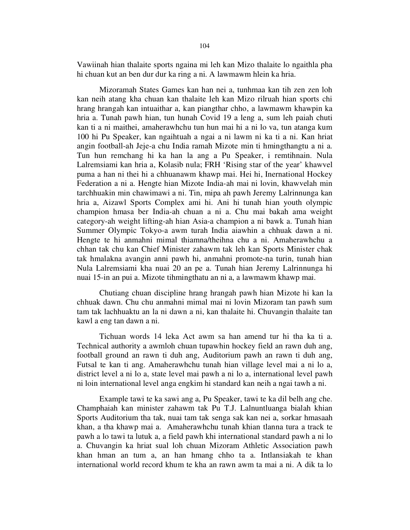Vawiinah hian thalaite sports ngaina mi leh kan Mizo thalaite lo ngaithla pha hi chuan kut an ben dur dur ka ring a ni. A lawmawm hlein ka hria.

 Mizoramah States Games kan han nei a, tunhmaa kan tih zen zen loh kan neih atang kha chuan kan thalaite leh kan Mizo rilruah hian sports chi hrang hrangah kan intuaithar a, kan piangthar chho, a lawmawm khawpin ka hria a. Tunah pawh hian, tun hunah Covid 19 a leng a, sum leh paiah chuti kan ti a ni maithei, amaherawhchu tun hun mai hi a ni lo va, tun atanga kum 100 hi Pu Speaker, kan ngaihtuah a ngai a ni lawm ni ka ti a ni. Kan hriat angin football-ah Jeje-a chu India ramah Mizote min ti hmingthangtu a ni a. Tun hun remchang hi ka han la ang a Pu Speaker, i remtihnain. Nula Lalremsiami kan hria a, Kolasib nula; FRH 'Rising star of the year' khawvel puma a han ni thei hi a chhuanawm khawp mai. Hei hi, Inernational Hockey Federation a ni a. Hengte hian Mizote India-ah mai ni lovin, khawvelah min tarchhuakin min chawimawi a ni. Tin, mipa ah pawh Jeremy Lalrinnunga kan hria a, Aizawl Sports Complex ami hi. Ani hi tunah hian youth olympic champion hmasa ber India-ah chuan a ni a. Chu mai bakah ama weight category-ah weight lifting-ah hian Asia-a champion a ni bawk a. Tunah hian Summer Olympic Tokyo-a awm turah India aiawhin a chhuak dawn a ni. Hengte te hi anmahni mimal thiamna/theihna chu a ni. Amaherawhchu a chhan tak chu kan Chief Minister zahawm tak leh kan Sports Minister chak tak hmalakna avangin anni pawh hi, anmahni promote-na turin, tunah hian Nula Lalremsiami kha nuai 20 an pe a. Tunah hian Jeremy Lalrinnunga hi nuai 15-in an pui a. Mizote tihmingthatu an ni a, a lawmawm khawp mai.

 Chutiang chuan discipline hrang hrangah pawh hian Mizote hi kan la chhuak dawn. Chu chu anmahni mimal mai ni lovin Mizoram tan pawh sum tam tak lachhuaktu an la ni dawn a ni, kan thalaite hi. Chuvangin thalaite tan kawl a eng tan dawn a ni.

 Tichuan words 14 leka Act awm sa han amend tur hi tha ka ti a. Technical authority a awmloh chuan tupawhin hockey field an rawn duh ang, football ground an rawn ti duh ang, Auditorium pawh an rawn ti duh ang, Futsal te kan ti ang. Amaherawhchu tunah hian village level mai a ni lo a, district level a ni lo a, state level mai pawh a ni lo a, international level pawh ni loin international level anga engkim hi standard kan neih a ngai tawh a ni.

 Example tawi te ka sawi ang a, Pu Speaker, tawi te ka dil belh ang che. Champhaiah kan minister zahawm tak Pu T.J. Lalnuntluanga bialah khian Sports Auditorium tha tak, nuai tam tak senga sak kan nei a, sorkar hmasaah khan, a tha khawp mai a. Amaherawhchu tunah khian tlanna tura a track te pawh a lo tawi ta lutuk a, a field pawh khi international standard pawh a ni lo a. Chuvangin ka hriat sual loh chuan Mizoram Athletic Association pawh khan hman an tum a, an han hmang chho ta a. Intlansiakah te khan international world record khum te kha an rawn awm ta mai a ni. A dik ta lo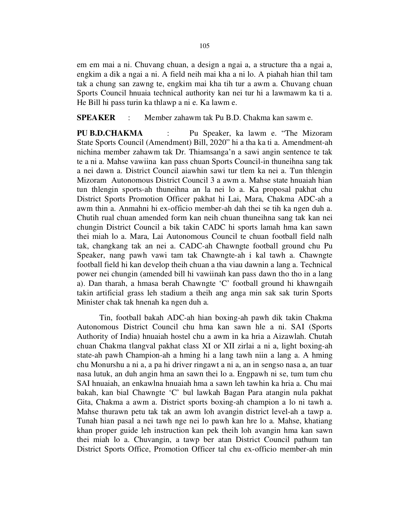em em mai a ni. Chuvang chuan, a design a ngai a, a structure tha a ngai a, engkim a dik a ngai a ni. A field neih mai kha a ni lo. A piahah hian thil tam tak a chung san zawng te, engkim mai kha tih tur a awm a. Chuvang chuan Sports Council hnuaia technical authority kan nei tur hi a lawmawm ka ti a. He Bill hi pass turin ka thlawp a ni e. Ka lawm e.

## SPEAKER : Member zahawm tak Pu B.D. Chakma kan sawm e.

PU B.D.CHAKMA : Pu Speaker, ka lawm e. "The Mizoram" State Sports Council (Amendment) Bill, 2020" hi a tha ka ti a. Amendment-ah nichina member zahawm tak Dr. Thiamsanga'n a sawi angin sentence te tak te a ni a. Mahse vawiina kan pass chuan Sports Council-in thuneihna sang tak a nei dawn a. District Council aiawhin sawi tur tlem ka nei a. Tun thlengin Mizoram Autonomous District Council 3 a awm a. Mahse state hnuaiah hian tun thlengin sports-ah thuneihna an la nei lo a. Ka proposal pakhat chu District Sports Promotion Officer pakhat hi Lai, Mara, Chakma ADC-ah a awm thin a. Anmahni hi ex-officio member-ah dah thei se tih ka ngen duh a. Chutih rual chuan amended form kan neih chuan thuneihna sang tak kan nei chungin District Council a bik takin CADC hi sports lamah hma kan sawn thei miah lo a. Mara, Lai Autonomous Council te chuan football field nalh tak, changkang tak an nei a. CADC-ah Chawngte football ground chu Pu Speaker, nang pawh vawi tam tak Chawngte-ah i kal tawh a. Chawngte football field hi kan develop theih chuan a tha viau dawnin a lang a. Technical power nei chungin (amended bill hi vawiinah kan pass dawn tho tho in a lang a). Dan tharah, a hmasa berah Chawngte 'C' football ground hi khawngaih takin artificial grass leh stadium a theih ang anga min sak sak turin Sports Minister chak tak hnenah ka ngen duh a.

 Tin, football bakah ADC-ah hian boxing-ah pawh dik takin Chakma Autonomous District Council chu hma kan sawn hle a ni. SAI (Sports Authority of India) hnuaiah hostel chu a awm in ka hria a Aizawlah. Chutah chuan Chakma tlangval pakhat class XI or XII zirlai a ni a, light boxing-ah state-ah pawh Champion-ah a hming hi a lang tawh niin a lang a. A hming chu Monurshu a ni a, a pa hi driver ringawt a ni a, an in sengso nasa a, an tuar nasa lutuk, an duh angin hma an sawn thei lo a. Engpawh ni se, tum tum chu SAI hnuaiah, an enkawlna hnuaiah hma a sawn leh tawhin ka hria a. Chu mai bakah, kan bial Chawngte 'C' bul lawkah Bagan Para atangin nula pakhat Gita, Chakma a awm a. District sports boxing-ah champion a lo ni tawh a. Mahse thurawn petu tak tak an awm loh avangin district level-ah a tawp a. Tunah hian pasal a nei tawh nge nei lo pawh kan hre lo a. Mahse, khatiang khan proper guide leh instruction kan pek theih loh avangin hma kan sawn thei miah lo a. Chuvangin, a tawp ber atan District Council pathum tan District Sports Office, Promotion Officer tal chu ex-officio member-ah min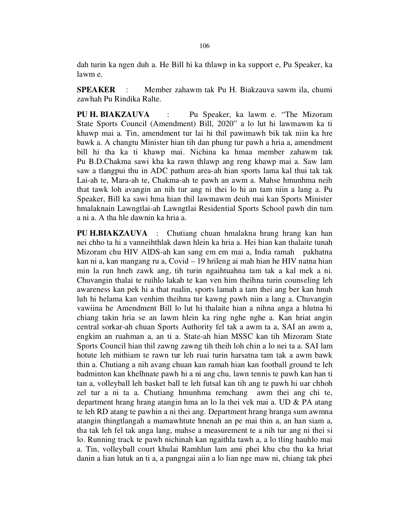dah turin ka ngen duh a. He Bill hi ka thlawp in ka support e, Pu Speaker, ka lawm e.

SPEAKER : Member zahawm tak Pu H. Biakzauva sawm ila, chumi zawhah Pu Rindika Ralte.

PU H. BIAKZAUVA : Pu Speaker, ka lawm e. "The Mizoram State Sports Council (Amendment) Bill, 2020" a lo lut hi lawmawm ka ti khawp mai a. Tin, amendment tur lai hi thil pawimawh bik tak niin ka hre bawk a. A changtu Minister hian tih dan phung tur pawh a hria a, amendment bill hi tha ka ti khawp mai. Nichina ka hmaa member zahawm tak Pu B.D.Chakma sawi kha ka rawn thlawp ang reng khawp mai a. Saw lam saw a tlangpui thu in ADC pathum area-ah hian sports lama kal thui tak tak Lai-ah te, Mara-ah te, Chakma-ah te pawh an awm a. Mahse hmunhma neih that tawk loh avangin an nih tur ang ni thei lo hi an tam niin a lang a. Pu Speaker, Bill ka sawi hma hian thil lawmawm deuh mai kan Sports Minister hmalaknain Lawngtlai-ah Lawngtlai Residential Sports School pawh din tum a ni a. A tha hle dawnin ka hria a.

PU H.BIAKZAUVA : Chutiang chuan hmalakna hrang hrang kan han nei chho ta hi a vanneihthlak dawn hlein ka hria a. Hei hian kan thalaite tunah Mizoram chu HIV AIDS-ah kan sang em em mai a, India ramah pakhatna kan ni a, kan mangang ru a, Covid – 19 hrileng ai mah hian he HIV natna hian min la run hneh zawk ang, tih turin ngaihtuahna tam tak a kal mek a ni. Chuvangin thalai te ruihlo lakah te kan ven him theihna turin counseling leh awareness kan pek hi a that rualin, sports lamah a tam thei ang ber kan hnuh luh hi helama kan venhim theihna tur kawng pawh niin a lang a. Chuvangin vawiina he Amendment Bill lo lut hi thalaite hian a nihna anga a hlutna hi chiang takin hria se an lawm hlein ka ring nghe nghe a. Kan hriat angin central sorkar-ah chuan Sports Authority fel tak a awm ta a, SAI an awm a, engkim an ruahman a, an ti a. State-ah hian MSSC kan tih Mizoram State Sports Council hian thil zawng zawng tih theih loh chin a lo nei ta a. SAI lam hotute leh mithiam te rawn tur leh ruai turin harsatna tam tak a awm bawk thin a. Chutiang a nih avang chuan kan ramah hian kan football ground te leh badminton kan khelhnate pawh hi a ni ang chu, lawn tennis te pawh kan han ti tan a, volleyball leh basket ball te leh futsal kan tih ang te pawh hi uar chhoh zel tur a ni ta a. Chutiang hmunhma remchang awm thei ang chi te, department hrang hrang atangin hma an lo la thei vek mai a. UD & PA atang te leh RD atang te pawhin a ni thei ang. Department hrang hranga sum awmna atangin thingtlangah a mamawhtute hnenah an pe mai thin a, an han siam a, tha tak leh fel tak anga lang, mahse a measurement te a nih tur ang ni thei si lo. Running track te pawh nichinah kan ngaithla tawh a, a lo tling hauhlo mai a. Tin, volleyball court khulai Ramhlun lam ami phei khu chu thu ka hriat danin a lian lutuk an ti a, a pangngai aiin a lo lian nge maw ni, chiang tak phei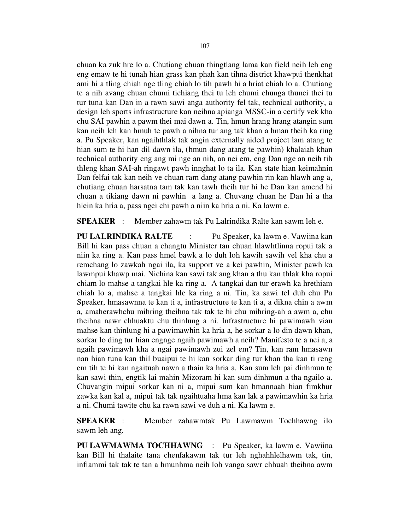chuan ka zuk hre lo a. Chutiang chuan thingtlang lama kan field neih leh eng eng emaw te hi tunah hian grass kan phah kan tihna district khawpui thenkhat ami hi a tling chiah nge tling chiah lo tih pawh hi a hriat chiah lo a. Chutiang te a nih avang chuan chumi tichiang thei tu leh chumi chunga thunei thei tu tur tuna kan Dan in a rawn sawi anga authority fel tak, technical authority, a design leh sports infrastructure kan neihna apianga MSSC-in a certify vek kha chu SAI pawhin a pawm thei mai dawn a. Tin, hmun hrang hrang atangin sum kan neih leh kan hmuh te pawh a nihna tur ang tak khan a hman theih ka ring a. Pu Speaker, kan ngaihthlak tak angin externally aided project lam atang te hian sum te hi han dil dawn ila, (hmun dang atang te pawhin) khalaiah khan technical authority eng ang mi nge an nih, an nei em, eng Dan nge an neih tih thleng khan SAI-ah ringawt pawh innghat lo ta ila. Kan state hian keimahnin Dan felfai tak kan neih ve chuan ram dang atang pawhin rin kan hlawh ang a, chutiang chuan harsatna tam tak kan tawh theih tur hi he Dan kan amend hi chuan a tikiang dawn ni pawhin a lang a. Chuvang chuan he Dan hi a tha hlein ka hria a, pass ngei chi pawh a niin ka hria a ni. Ka lawm e.

SPEAKER : Member zahawm tak Pu Lalrindika Ralte kan sawm leh e.

PU LALRINDIKA RALTE : Pu Speaker, ka lawm e. Vawiina kan Bill hi kan pass chuan a changtu Minister tan chuan hlawhtlinna ropui tak a niin ka ring a. Kan pass hmel bawk a lo duh loh kawih sawih vel kha chu a remchang lo zawkah ngai ila, ka support ve a kei pawhin, Minister pawh ka lawmpui khawp mai. Nichina kan sawi tak ang khan a thu kan thlak kha ropui chiam lo mahse a tangkai hle ka ring a. A tangkai dan tur erawh ka hrethiam chiah lo a, mahse a tangkai hle ka ring a ni. Tin, ka sawi tel duh chu Pu Speaker, hmasawnna te kan ti a, infrastructure te kan ti a, a dikna chin a awm a, amaherawhchu mihring theihna tak tak te hi chu mihring-ah a awm a, chu theihna nawr chhuaktu chu thinlung a ni. Infrastructure hi pawimawh viau mahse kan thinlung hi a pawimawhin ka hria a, he sorkar a lo din dawn khan, sorkar lo ding tur hian engnge ngaih pawimawh a neih? Manifesto te a nei a, a ngaih pawimawh kha a ngai pawimawh zui zel em? Tin, kan ram hmasawn nan hian tuna kan thil buaipui te hi kan sorkar ding tur khan tha kan ti reng em tih te hi kan ngaituah nawn a thain ka hria a. Kan sum leh pai dinhmun te kan sawi thin, engtik lai mahin Mizoram hi kan sum dinhmun a tha ngailo a. Chuvangin mipui sorkar kan ni a, mipui sum kan hmannaah hian fimkhur zawka kan kal a, mipui tak tak ngaihtuaha hma kan lak a pawimawhin ka hria a ni. Chumi tawite chu ka rawn sawi ve duh a ni. Ka lawm e.

SPEAKER : Member zahawmtak Pu Lawmawm Tochhawng ilo sawm leh ang.

PU LAWMAWMA TOCHHAWNG : Pu Speaker, ka lawm e. Vawiina kan Bill hi thalaite tana chenfakawm tak tur leh nghahhlelhawm tak, tin, infiammi tak tak te tan a hmunhma neih loh vanga sawr chhuah theihna awm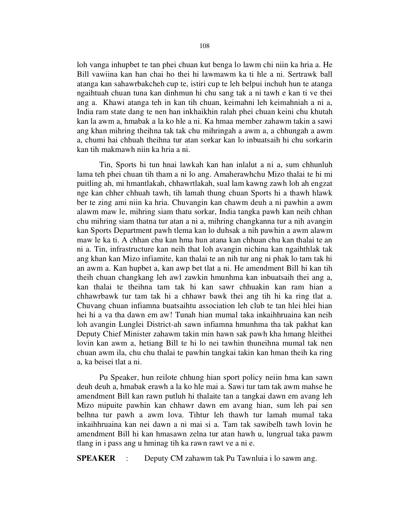loh vanga inhupbet te tan phei chuan kut benga lo lawm chi niin ka hria a. He Bill vawiina kan han chai ho thei hi lawmawm ka ti hle a ni. Sertrawk ball atanga kan sahawrbakcheh cup te, istiri cup te leh belpui inchuh hun te atanga ngaihtuah chuan tuna kan dinhmun hi chu sang tak a ni tawh e kan ti ve thei ang a. Khawi atanga teh in kan tih chuan, keimahni leh keimahniah a ni a, India ram state dang te nen han inkhaikhin ralah phei chuan keini chu khutah kan la awm a, hmabak a la ko hle a ni. Ka hmaa member zahawm takin a sawi ang khan mihring theihna tak tak chu mihringah a awm a, a chhungah a awm a, chumi hai chhuah theihna tur atan sorkar kan lo inbuatsaih hi chu sorkarin kan tih makmawh niin ka hria a ni.

 Tin, Sports hi tun hnai lawkah kan han inlalut a ni a, sum chhunluh lama teh phei chuan tih tham a ni lo ang. Amaherawhchu Mizo thalai te hi mi puitling ah, mi hmantlakah, chhawrtlakah, sual lam kawng zawh loh ah engzat nge kan chher chhuah tawh, tih lamah thung chuan Sports hi a thawh hlawk ber te zing ami niin ka hria. Chuvangin kan chawm deuh a ni pawhin a awm alawm maw le, mihring siam thatu sorkar, India tangka pawh kan neih chhan chu mihring siam thatna tur atan a ni a, mihring changkanna tur a nih avangin kan Sports Department pawh tlema kan lo duhsak a nih pawhin a awm alawm maw le ka ti. A chhan chu kan hma hun atana kan chhuan chu kan thalai te an ni a. Tin, infrastructure kan neih that loh avangin nichina kan ngaihthlak tak ang khan kan Mizo infiamite, kan thalai te an nih tur ang ni phak lo tam tak hi an awm a. Kan hupbet a, kan awp bet tlat a ni. He amendment Bill hi kan tih theih chuan changkang leh awl zawkin hmunhma kan inbuatsaih thei ang a, kan thalai te theihna tam tak hi kan sawr chhuakin kan ram hian a chhawrbawk tur tam tak hi a chhawr bawk thei ang tih hi ka ring tlat a. Chuvang chuan infiamna buatsaihtu association leh club te tan hlei hlei hian hei hi a va tha dawn em aw! Tunah hian mumal taka inkaihhruaina kan neih loh avangin Lunglei District-ah sawn infiamna hmunhma tha tak pakhat kan Deputy Chief Minister zahawm takin min hawn sak pawh kha hmang hleithei lovin kan awm a, hetiang Bill te hi lo nei tawhin thuneihna mumal tak nen chuan awm ila, chu chu thalai te pawhin tangkai takin kan hman theih ka ring a, ka beisei tlat a ni.

 Pu Speaker, hun reilote chhung hian sport policy neiin hma kan sawn deuh deuh a, hmabak erawh a la ko hle mai a. Sawi tur tam tak awm mahse he amendment Bill kan rawn putluh hi thalaite tan a tangkai dawn em avang leh Mizo mipuite pawhin kan chhawr dawn em avang hian, sum leh pai sen belhna tur pawh a awm lova. Tihtur leh thawh tur lamah mumal taka inkaihhruaina kan nei dawn a ni mai si a. Tam tak sawibelh tawh lovin he amendment Bill hi kan hmasawn zelna tur atan hawh u, lungrual taka pawm tlang in i pass ang u hminag tih ka rawn rawt ve a ni e.

SPEAKER : Deputy CM zahawm tak Pu Tawnluia i lo sawm ang.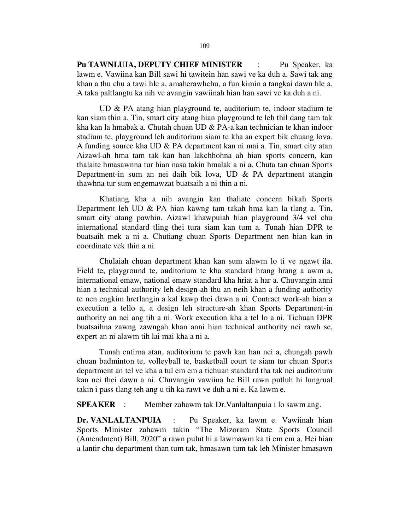Pu TAWNLUIA, DEPUTY CHIEF MINISTER : Pu Speaker, ka lawm e. Vawiina kan Bill sawi hi tawitein han sawi ve ka duh a. Sawi tak ang khan a thu chu a tawi hle a, amaherawhchu, a fun kimin a tangkai dawn hle a. A taka paltlangtu ka nih ve avangin vawiinah hian han sawi ve ka duh a ni.

 UD & PA atang hian playground te, auditorium te, indoor stadium te kan siam thin a. Tin, smart city atang hian playground te leh thil dang tam tak kha kan la hmabak a. Chutah chuan UD & PA-a kan technician te khan indoor stadium te, playground leh auditorium siam te kha an expert bik chuang lova. A funding source kha UD & PA department kan ni mai a. Tin, smart city atan Aizawl-ah hma tam tak kan han lakchhohna ah hian sports concern, kan thalaite hmasawnna tur hian nasa takin hmalak a ni a. Chuta tan chuan Sports Department-in sum an nei daih bik lova, UD & PA department atangin thawhna tur sum engemawzat buatsaih a ni thin a ni.

 Khatiang kha a nih avangin kan thaliate concern bikah Sports Department leh UD & PA hian kawng tam takah hma kan la tlang a. Tin, smart city atang pawhin. Aizawl khawpuiah hian playground 3/4 vel chu international standard tling thei tura siam kan tum a. Tunah hian DPR te buatsaih mek a ni a. Chutiang chuan Sports Department nen hian kan in coordinate vek thin a ni.

 Chulaiah chuan department khan kan sum alawm lo ti ve ngawt ila. Field te, playground te, auditorium te kha standard hrang hrang a awm a, international emaw, national emaw standard kha hriat a har a. Chuvangin anni hian a technical authority leh design-ah thu an neih khan a funding authority te nen engkim hretlangin a kal kawp thei dawn a ni. Contract work-ah hian a execution a tello a, a design leh structure-ah khan Sports Department-in authority an nei ang tih a ni. Work execution kha a tel lo a ni. Tichuan DPR buatsaihna zawng zawngah khan anni hian technical authority nei rawh se, expert an ni alawm tih lai mai kha a ni a.

 Tunah entirna atan, auditorium te pawh kan han nei a, chungah pawh chuan badminton te, volleyball te, basketball court te siam tur chuan Sports department an tel ve kha a tul em em a tichuan standard tha tak nei auditorium kan nei thei dawn a ni. Chuvangin vawiina he Bill rawn putluh hi lungrual takin i pass tlang teh ang u tih ka rawt ve duh a ni e. Ka lawm e.

SPEAKER : Member zahawm tak Dr.Vanlaltanpuia i lo sawm ang.

Dr. VANLALTANPUIA : Pu Speaker, ka lawm e. Vawiinah hian Sports Minister zahawm takin "The Mizoram State Sports Council (Amendment) Bill, 2020" a rawn pulut hi a lawmawm ka ti em em a. Hei hian a lantir chu department than tum tak, hmasawn tum tak leh Minister hmasawn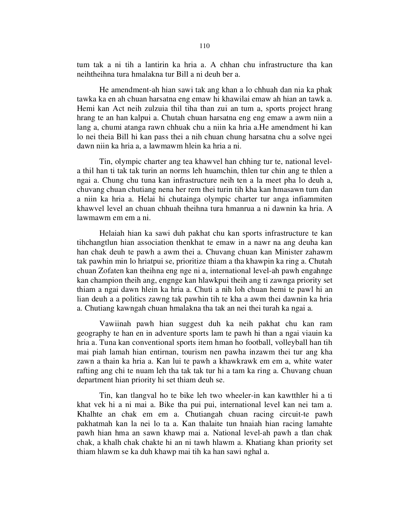tum tak a ni tih a lantirin ka hria a. A chhan chu infrastructure tha kan neihtheihna tura hmalakna tur Bill a ni deuh ber a.

 He amendment-ah hian sawi tak ang khan a lo chhuah dan nia ka phak tawka ka en ah chuan harsatna eng emaw hi khawilai emaw ah hian an tawk a. Hemi kan Act neih zulzuia thil tiha than zui an tum a, sports project hrang hrang te an han kalpui a. Chutah chuan harsatna eng eng emaw a awm niin a lang a, chumi atanga rawn chhuak chu a niin ka hria a.He amendment hi kan lo nei theia Bill hi kan pass thei a nih chuan chung harsatna chu a solve ngei dawn niin ka hria a, a lawmawm hlein ka hria a ni.

 Tin, olympic charter ang tea khawvel han chhing tur te, national levela thil han ti tak tak turin an norms leh huamchin, thlen tur chin ang te thlen a ngai a. Chung chu tuna kan infrastructure neih ten a la meet pha lo deuh a, chuvang chuan chutiang nena her rem thei turin tih kha kan hmasawn tum dan a niin ka hria a. Helai hi chutainga olympic charter tur anga infiammiten khawvel level an chuan chhuah theihna tura hmanrua a ni dawnin ka hria. A lawmawm em em a ni.

 Helaiah hian ka sawi duh pakhat chu kan sports infrastructure te kan tihchangtlun hian association thenkhat te emaw in a nawr na ang deuha kan han chak deuh te pawh a awm thei a. Chuvang chuan kan Minister zahawm tak pawhin min lo hriatpui se, prioritize thiam a tha khawpin ka ring a. Chutah chuan Zofaten kan theihna eng nge ni a, international level-ah pawh engahnge kan champion theih ang, engnge kan hlawkpui theih ang ti zawnga priority set thiam a ngai dawn hlein ka hria a. Chuti a nih loh chuan hemi te pawl hi an lian deuh a a politics zawng tak pawhin tih te kha a awm thei dawnin ka hria a. Chutiang kawngah chuan hmalakna tha tak an nei thei turah ka ngai a.

 Vawiinah pawh hian suggest duh ka neih pakhat chu kan ram geography te han en in adventure sports lam te pawh hi than a ngai viauin ka hria a. Tuna kan conventional sports item hman ho football, volleyball han tih mai piah lamah hian entirnan, tourism nen pawha inzawm thei tur ang kha zawn a thain ka hria a. Kan lui te pawh a khawkrawk em em a, white water rafting ang chi te nuam leh tha tak tak tur hi a tam ka ring a. Chuvang chuan department hian priority hi set thiam deuh se.

 Tin, kan tlangval ho te bike leh two wheeler-in kan kawtthler hi a ti khat vek hi a ni mai a. Bike tha pui pui, international level kan nei tam a. Khalhte an chak em em a. Chutiangah chuan racing circuit-te pawh pakhatmah kan la nei lo ta a. Kan thalaite tun hnaiah hian racing lamahte pawh hian hma an sawn khawp mai a. National level-ah pawh a tlan chak chak, a khalh chak chakte hi an ni tawh hlawm a. Khatiang khan priority set thiam hlawm se ka duh khawp mai tih ka han sawi nghal a.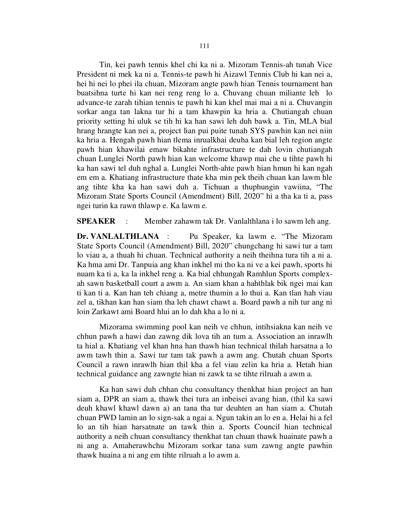Tin, kei pawh tennis khel chi ka ni a. Mizoram Tennis-ah tunah Vice President ni mek ka ni a. Tennis-te pawh hi Aizawl Tennis Club hi kan nei a, hei hi nei lo phei ila chuan, Mizoram angte pawh hian Tennis tournament han buatsihna turte hi kan nei reng reng lo a. Chuvang chuan miliante leh lo advance-te zarah tihian tennis te pawh hi kan khel mai mai a ni a. Chuvangin sorkar anga tan lakna tur hi a tam khawpin ka hria a. Chutiangah chuan priority setting hi uluk se tih hi ka han sawi leh duh bawk a. Tin, MLA bial hrang hrangte kan nei a, project lian pui puite tunah SYS pawhin kan nei niin ka hria a. Hengah pawh hian tlema inrualkhai deuha kan bial leh region angte pawh hian khawilai emaw bikahte infrastructure te dah lovin chutiangah chuan Lunglei North pawh hian kan welcome khawp mai che u tihte pawh hi ka han sawi tel duh nghal a. Lunglei North-ahte pawh hian hmun hi kan ngah em em a. Khatiang infrastructure thate kha min pek theih chuan kan lawm hle ang tihte kha ka han sawi duh a. Tichuan a thuphungin vawiina, "The Mizoram State Sports Council (Amendment) Bill, 2020" hi a tha ka ti a, pass ngei turin ka rawn thlawp e. Ka lawm e.

SPEAKER : Member zahawm tak Dr. Vanlalthlana i lo sawm leh ang.

Dr. VANLALTHLANA : Pu Speaker, ka lawm e. "The Mizoram" State Sports Council (Amendment) Bill, 2020" chungchang hi sawi tur a tam lo viau a, a thuah hi chuan. Technical authority a neih theihna tura tih a ni a. Ka hma ami Dr. Tanpuia ang khan inkhel mi tho ka ni ve a kei pawh, sports hi nuam ka ti a, ka la inkhel reng a. Ka bial chhungah Ramhlun Sports complexah sawn basketball court a awm a. An siam khan a hahthlak bik ngei mai kan ti kan ti a. Kan han teh chiang a, metre thumin a lo thui a. Kan tlan hah viau zel a, tikhan kan han siam tha leh chawt chawt a. Board pawh a nih tur ang ni loin Zarkawt ami Board hlui an lo dah kha a lo ni a.

 Mizorama swimming pool kan neih ve chhun, intihsiakna kan neih ve chhun pawh a hawi dan zawng dik lova tih an tum a. Association an inrawlh ta hial a. Khatiang vel khan hna han thawh hian technical thilah harsatna a lo awm tawh thin a. Sawi tur tam tak pawh a awm ang. Chutah chuan Sports Council a rawn inrawlh hian thil kha a fel viau zelin ka hria a. Hetah hian technical guidance ang zawngte hian ni zawk ta se tihte rilruah a awm a.

 Ka han sawi duh chhan chu consultancy thenkhat hian project an han siam a, DPR an siam a, thawk thei tura an inbeisei avang hian, (thil ka sawi deuh khawl khawl dawn a) an tana tha tur deuhten an han siam a. Chutah chuan PWD lamin an lo sign-sak a ngai a. Ngun takin an lo en a. Helai hi a fel lo an tih hian harsatnate an tawk thin a. Sports Council hian technical authority a neih chuan consultancy thenkhat tan chuan thawk huainate pawh a ni ang a. Amaherawhchu Mizoram sorkar tana sum zawng angte pawhin thawk huaina a ni ang em tihte rilruah a lo awm a.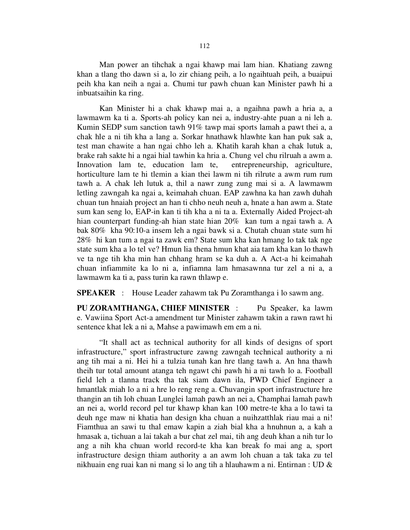Man power an tihchak a ngai khawp mai lam hian. Khatiang zawng khan a tlang tho dawn si a, lo zir chiang peih, a lo ngaihtuah peih, a buaipui peih kha kan neih a ngai a. Chumi tur pawh chuan kan Minister pawh hi a inbuatsaihin ka ring.

 Kan Minister hi a chak khawp mai a, a ngaihna pawh a hria a, a lawmawm ka ti a. Sports-ah policy kan nei a, industry-ahte puan a ni leh a. Kumin SEDP sum sanction tawh 91% tawp mai sports lamah a pawt thei a, a chak hle a ni tih kha a lang a. Sorkar hnathawk hlawhte kan han puk sak a, test man chawite a han ngai chho leh a. Khatih karah khan a chak lutuk a, brake rah sakte hi a ngai hial tawhin ka hria a. Chung vel chu rilruah a awm a. Innovation lam te, education lam te, entrepreneurship, agriculture, horticulture lam te hi tlemin a kian thei lawm ni tih rilrute a awm rum rum tawh a. A chak leh lutuk a, thil a nawr zung zung mai si a. A lawmawm letling zawngah ka ngai a, keimahah chuan. EAP zawhna ka han zawh duhah chuan tun hnaiah project an han ti chho neuh neuh a, hnate a han awm a. State sum kan seng lo, EAP-in kan ti tih kha a ni ta a. Externally Aided Project-ah hian counterpart funding-ah hian state hian 20% kan tum a ngai tawh a. A bak 80% kha 90:10-a insem leh a ngai bawk si a. Chutah chuan state sum hi 28% hi kan tum a ngai ta zawk em? State sum kha kan hmang lo tak tak nge state sum kha a lo tel ve? Hmun lia thena hmun khat aia tam kha kan lo thawh ve ta nge tih kha min han chhang hram se ka duh a. A Act-a hi keimahah chuan infiammite ka lo ni a, infiamna lam hmasawnna tur zel a ni a, a lawmawm ka ti a, pass turin ka rawn thlawp e.

SPEAKER : House Leader zahawm tak Pu Zoramthanga i lo sawm ang.

PU ZORAMTHANGA, CHIEF MINISTER : Pu Speaker, ka lawm e. Vawiina Sport Act-a amendment tur Minister zahawm takin a rawn rawt hi sentence khat lek a ni a, Mahse a pawimawh em em a ni.

 "It shall act as technical authority for all kinds of designs of sport infrastructure," sport infrastructure zawng zawngah technical authority a ni ang tih mai a ni. Hei hi a tulzia tunah kan hre tlang tawh a. An hna thawh theih tur total amount atanga teh ngawt chi pawh hi a ni tawh lo a. Football field leh a tlanna track tha tak siam dawn ila, PWD Chief Engineer a hmantlak miah lo a ni a hre lo reng reng a. Chuvangin sport infrastructure hre thangin an tih loh chuan Lunglei lamah pawh an nei a, Champhai lamah pawh an nei a, world record pel tur khawp khan kan 100 metre-te kha a lo tawi ta deuh nge maw ni khatia han design kha chuan a nuihzatthlak riau mai a ni! Fiamthua an sawi tu thal emaw kapin a ziah bial kha a hnuhnun a, a kah a hmasak a, tichuan a lai takah a bur chat zel mai, tih ang deuh khan a nih tur lo ang a nih kha chuan world record-te kha kan break fo mai ang a, sport infrastructure design thiam authority a an awm loh chuan a tak taka zu tel nikhuain eng ruai kan ni mang si lo ang tih a hlauhawm a ni. Entirnan : UD &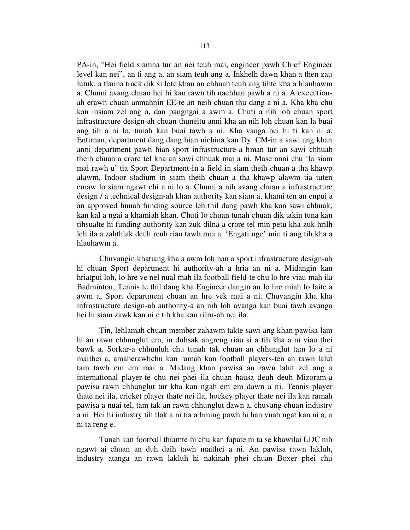PA-in, "Hei field siamna tur an nei teuh mai, engineer pawh Chief Engineer level kan nei", an ti ang a, an siam teuh ang a. Inkhelh dawn khan a then zau lutuk, a tlanna track dik si lote khan an chhuah teuh ang tihte kha a hlauhawm a. Chumi avang chuan hei hi kan rawn tih nachhan pawh a ni a. A executionah erawh chuan anmahnin EE-te an neih chuan thu dang a ni a. Kha kha chu kan insiam zel ang a, dan pangngai a awm a. Chuti a nih loh chuan sport infrastructure design-ah chuan thuneitu anni kha an nih loh chuan kan la buai ang tih a ni lo, tunah kan buai tawh a ni. Kha vanga hei hi ti kan ni a. Entirnan, department dang dang hian nichina kan Dy. CM-in a sawi ang khan anni department pawh hian sport infrastructure-a hman tur an sawi chhuah theih chuan a crore tel kha an sawi chhuak mai a ni. Mase anni chu 'lo siam mai rawh u' tia Sport Department-in a field in siam theih chuan a tha khawp alawm, Indoor stadium in siam theih chuan a tha khawp alawm tia tuten emaw lo siam ngawt chi a ni lo a. Chumi a nih avang chuan a infrastructure design / a technical design-ah khan authority kan siam a, khami ten an enpui a an approved hnuah funding source leh thil dang pawh kha kan sawi chhuak, kan kal a ngai a khamiah khan. Chuti lo chuan tunah chuan dik takin tuna kan tihsualte hi funding authority kan zuk dilna a crore tel min petu kha zuk hrilh leh ila a zahthlak deuh reuh riau tawh mai a. 'Engati nge' min ti ang tih kha a hlauhawm a.

 Chuvangin khatiang kha a awm loh nan a sport infrastructure design-ah hi chuan Sport department hi authority-ah a hria an ni a. Midangin kan hriatpui loh, lo hre ve nel nual mah ila football field-te chu lo hre viau mah ila Badminton, Tennis te thil dang kha Engineer dangin an lo hre miah lo laite a awm a, Sport department chuan an hre vek mai a ni. Chuvangin kha kha infrastructure design-ah authority-a an nih loh avanga kan buai tawh avanga hei hi siam zawk kan ni e tih kha kan rilru-ah nei ila.

 Tin, lehlamah chuan member zahawm takte sawi ang khan pawisa lam hi an rawn chhunglut em, in duhsak angreng riau si a tih kha a ni viau thei bawk a. Sorkar-a chhunluh chu tunah tak chuan an chhunglut tam lo a ni maithei a, amaherawhchu kan ramah kan football players-ten an rawn lalut tam tawh em em mai a. Midang khan pawisa an rawn lalut zel ang a international player-te chu nei phei ila chuan hausa deuh deuh Mizoram-a pawisa rawn chhunglut tur kha kan ngah em em dawn a ni. Tennis player thate nei ila, cricket player thate nei ila, hockey player thate nei ila kan ramah pawisa a nuai tel, tam tak an rawn chhunglut dawn a, chuvang chuan industry a ni. Hei hi industry tih tlak a ni tia a hming pawh hi han vuah ngat kan ni a, a ni ta reng e.

 Tunah kan football thiamte hi chu kan fapate ni ta se khawilai LDC nih ngawt ai chuan an duh daih tawh maithei a ni. An pawisa rawn lakluh, industry atanga an rawn lakluh hi nakinah phei chuan Boxer phei chu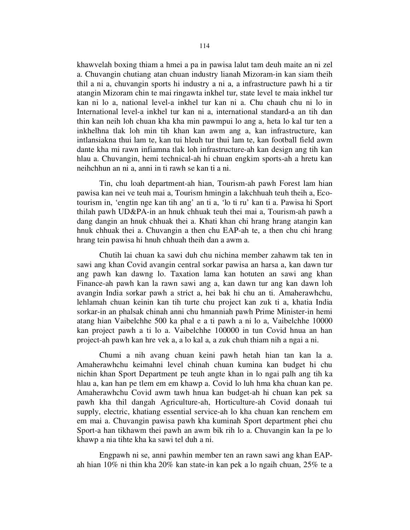khawvelah boxing thiam a hmei a pa in pawisa lalut tam deuh maite an ni zel a. Chuvangin chutiang atan chuan industry lianah Mizoram-in kan siam theih thil a ni a, chuvangin sports hi industry a ni a, a infrastructure pawh hi a tir atangin Mizoram chin te mai ringawta inkhel tur, state level te maia inkhel tur kan ni lo a, national level-a inkhel tur kan ni a. Chu chauh chu ni lo in International level-a inkhel tur kan ni a, international standard-a an tih dan thin kan neih loh chuan kha kha min pawmpui lo ang a, heta lo kal tur ten a inkhelhna tlak loh min tih khan kan awm ang a, kan infrastructure, kan intlansiakna thui lam te, kan tui hleuh tur thui lam te, kan football field awm dante kha mi rawn infiamna tlak loh infrastructure-ah kan design ang tih kan hlau a. Chuvangin, hemi technical-ah hi chuan engkim sports-ah a hretu kan neihchhun an ni a, anni in ti rawh se kan ti a ni.

 Tin, chu loah department-ah hian, Tourism-ah pawh Forest lam hian pawisa kan nei ve teuh mai a, Tourism hmingin a lakchhuah teuh theih a, Ecotourism in, 'engtin nge kan tih ang' an ti a, 'lo ti ru' kan ti a. Pawisa hi Sport thilah pawh UD&PA-in an hnuk chhuak teuh thei mai a, Tourism-ah pawh a dang dangin an hnuk chhuak thei a. Khati khan chi hrang hrang atangin kan hnuk chhuak thei a. Chuvangin a then chu EAP-ah te, a then chu chi hrang hrang tein pawisa hi hnuh chhuah theih dan a awm a.

 Chutih lai chuan ka sawi duh chu nichina member zahawm tak ten in sawi ang khan Covid avangin central sorkar pawisa an harsa a, kan dawn tur ang pawh kan dawng lo. Taxation lama kan hotuten an sawi ang khan Finance-ah pawh kan la rawn sawi ang a, kan dawn tur ang kan dawn loh avangin India sorkar pawh a strict a, hei bak hi chu an ti. Amaherawhchu, lehlamah chuan keinin kan tih turte chu project kan zuk ti a, khatia India sorkar-in an phalsak chinah anni chu hmanniah pawh Prime Minister-in hemi atang hian Vaibelchhe 500 ka phal e a ti pawh a ni lo a, Vaibelchhe 10000 kan project pawh a ti lo a. Vaibelchhe 100000 in tun Covid hnua an han project-ah pawh kan hre vek a, a lo kal a, a zuk chuh thiam nih a ngai a ni.

 Chumi a nih avang chuan keini pawh hetah hian tan kan la a. Amaherawhchu keimahni level chinah chuan kumina kan budget hi chu nichin khan Sport Department pe teuh angte khan in lo ngai palh ang tih ka hlau a, kan han pe tlem em em khawp a. Covid lo luh hma kha chuan kan pe. Amaherawhchu Covid awm tawh hnua kan budget-ah hi chuan kan pek sa pawh kha thil dangah Agriculture-ah, Horticulture-ah Covid donaah tui supply, electric, khatiang essential service-ah lo kha chuan kan renchem em em mai a. Chuvangin pawisa pawh kha kuminah Sport department phei chu Sport-a han tikhawm thei pawh an awm bik rih lo a. Chuvangin kan la pe lo khawp a nia tihte kha ka sawi tel duh a ni.

 Engpawh ni se, anni pawhin member ten an rawn sawi ang khan EAPah hian 10% ni thin kha 20% kan state-in kan pek a lo ngaih chuan, 25% te a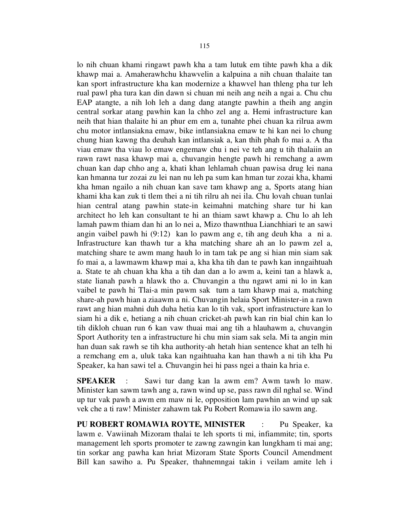lo nih chuan khami ringawt pawh kha a tam lutuk em tihte pawh kha a dik khawp mai a. Amaherawhchu khawvelin a kalpuina a nih chuan thalaite tan kan sport infrastructure kha kan modernize a khawvel han thleng pha tur leh rual pawl pha tura kan din dawn si chuan mi neih ang neih a ngai a. Chu chu EAP atangte, a nih loh leh a dang dang atangte pawhin a theih ang angin central sorkar atang pawhin kan la chho zel ang a. Hemi infrastructure kan neih that hian thalaite hi an phur em em a, tunahte phei chuan ka rilrua awm chu motor intlansiakna emaw, bike intlansiakna emaw te hi kan nei lo chung chung hian kawng tha deuhah kan intlansiak a, kan thih phah fo mai a. A tha viau emaw tha viau lo emaw engemaw chu i nei ve teh ang u tih thalaiin an rawn rawt nasa khawp mai a, chuvangin hengte pawh hi remchang a awm chuan kan dap chho ang a, khati khan lehlamah chuan pawisa drug lei nana kan hmanna tur zozai zu lei nan nu leh pa sum kan hman tur zozai kha, khami kha hman ngailo a nih chuan kan save tam khawp ang a, Sports atang hian khami kha kan zuk ti tlem thei a ni tih rilru ah nei ila. Chu lovah chuan tunlai hian central atang pawhin state-in keimahni matching share tur hi kan architect ho leh kan consultant te hi an thiam sawt khawp a. Chu lo ah leh lamah pawm thiam dan hi an lo nei a, Mizo thawnthua Lianchhiari te an sawi angin vaibel pawh hi (9:12) kan lo pawm ang e, tih ang deuh kha a ni a. Infrastructure kan thawh tur a kha matching share ah an lo pawm zel a, matching share te awm mang hauh lo in tam tak pe ang si hian min siam sak fo mai a, a lawmawm khawp mai a, kha kha tih dan te pawh kan inngaihtuah a. State te ah chuan kha kha a tih dan dan a lo awm a, keini tan a hlawk a, state lianah pawh a hlawk tho a. Chuvangin a thu ngawt ami ni lo in kan vaibel te pawh hi Tlai-a min pawm sak tum a tam khawp mai a, matching share-ah pawh hian a ziaawm a ni. Chuvangin helaia Sport Minister-in a rawn rawt ang hian mahni duh duha hetia kan lo tih vak, sport infrastructure kan lo siam hi a dik e, hetiang a nih chuan cricket-ah pawh kan rin bial chin kan lo tih dikloh chuan run 6 kan vaw thuai mai ang tih a hlauhawm a, chuvangin Sport Authority ten a infrastructure hi chu min siam sak sela. Mi ta angin min han duan sak rawh se tih kha authority-ah hetah hian sentence khat an telh hi a remchang em a, uluk taka kan ngaihtuaha kan han thawh a ni tih kha Pu Speaker, ka han sawi tel a. Chuvangin hei hi pass ngei a thain ka hria e.

SPEAKER : Sawi tur dang kan la awm em? Awm tawh lo maw. Minister kan sawm tawh ang a, rawn wind up se, pass rawn dil nghal se. Wind up tur vak pawh a awm em maw ni le, opposition lam pawhin an wind up sak vek che a ti raw! Minister zahawm tak Pu Robert Romawia ilo sawm ang.

PU ROBERT ROMAWIA ROYTE, MINISTER : Pu Speaker, ka lawm e. Vawiinah Mizoram thalai te leh sports ti mi, infiammite; tin, sports management leh sports promoter te zawng zawngin kan lungkham ti mai ang; tin sorkar ang pawha kan hriat Mizoram State Sports Council Amendment Bill kan sawiho a. Pu Speaker, thahnemngai takin i veilam amite leh i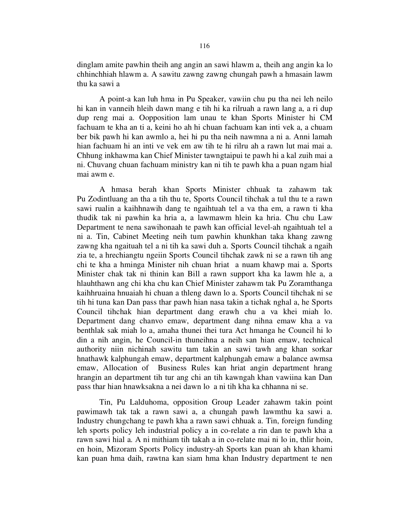dinglam amite pawhin theih ang angin an sawi hlawm a, theih ang angin ka lo chhinchhiah hlawm a. A sawitu zawng zawng chungah pawh a hmasain lawm thu ka sawi a

 A point-a kan luh hma in Pu Speaker, vawiin chu pu tha nei leh neilo hi kan in vanneih hleih dawn mang e tih hi ka rilruah a rawn lang a, a ri dup dup reng mai a. Oopposition lam unau te khan Sports Minister hi CM fachuam te kha an ti a, keini ho ah hi chuan fachuam kan inti vek a, a chuam ber bik pawh hi kan awmlo a, hei hi pu tha neih nawmna a ni a. Anni lamah hian fachuam hi an inti ve vek em aw tih te hi rilru ah a rawn lut mai mai a. Chhung inkhawma kan Chief Minister tawngtaipui te pawh hi a kal zuih mai a ni. Chuvang chuan fachuam ministry kan ni tih te pawh kha a puan ngam hial mai awm e.

 A hmasa berah khan Sports Minister chhuak ta zahawm tak Pu Zodintluang an tha a tih thu te, Sports Council tihchak a tul thu te a rawn sawi rualin a kaihhnawih dang te ngaihtuah tel a va tha em, a rawn ti kha thudik tak ni pawhin ka hria a, a lawmawm hlein ka hria. Chu chu Law Department te nena sawihonaah te pawh kan official level-ah ngaihtuah tel a ni a. Tin, Cabinet Meeting neih tum pawhin khunkhan taka khang zawng zawng kha ngaituah tel a ni tih ka sawi duh a. Sports Council tihchak a ngaih zia te, a hrechiangtu ngeiin Sports Council tihchak zawk ni se a rawn tih ang chi te kha a hminga Minister nih chuan hriat a nuam khawp mai a. Sports Minister chak tak ni thinin kan Bill a rawn support kha ka lawm hle a, a hlauhthawn ang chi kha chu kan Chief Minister zahawm tak Pu Zoramthanga kaihhruaina hnuaiah hi chuan a thleng dawn lo a. Sports Council tihchak ni se tih hi tuna kan Dan pass thar pawh hian nasa takin a tichak nghal a, he Sports Council tihchak hian department dang erawh chu a va khei miah lo. Department dang chanvo emaw, department dang nihna emaw kha a va benthlak sak miah lo a, amaha thunei thei tura Act hmanga he Council hi lo din a nih angin, he Council-in thuneihna a neih san hian emaw, technical authority niin nichinah sawitu tam takin an sawi tawh ang khan sorkar hnathawk kalphungah emaw, department kalphungah emaw a balance awmsa emaw, Allocation of Business Rules kan hriat angin department hrang hrangin an department tih tur ang chi an tih kawngah khan vawiina kan Dan pass thar hian hnawksakna a nei dawn lo a ni tih kha ka chhanna ni se.

 Tin, Pu Lalduhoma, opposition Group Leader zahawm takin point pawimawh tak tak a rawn sawi a, a chungah pawh lawmthu ka sawi a. Industry chungchang te pawh kha a rawn sawi chhuak a. Tin, foreign funding leh sports policy leh industrial policy a in co-relate a rin dan te pawh kha a rawn sawi hial a. A ni mithiam tih takah a in co-relate mai ni lo in, thlir hoin, en hoin, Mizoram Sports Policy industry-ah Sports kan puan ah khan khami kan puan hma daih, rawtna kan siam hma khan Industry department te nen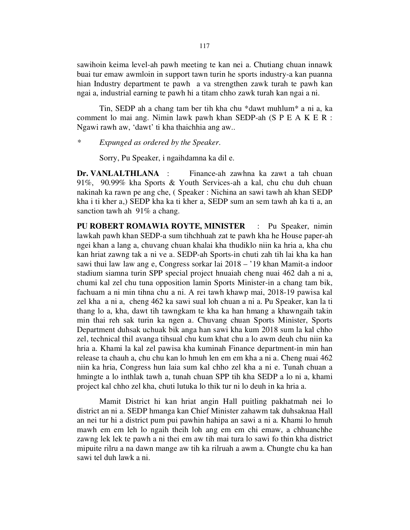sawihoin keima level-ah pawh meeting te kan nei a. Chutiang chuan innawk buai tur emaw awmloin in support tawn turin he sports industry-a kan puanna hian Industry department te pawh a va strengthen zawk turah te pawh kan ngai a, industrial earning te pawh hi a titam chho zawk turah kan ngai a ni.

 Tin, SEDP ah a chang tam ber tih kha chu \*dawt muhlum\* a ni a, ka comment lo mai ang. Nimin lawk pawh khan SEDP-ah (S P E A K E R : Ngawi rawh aw, 'dawt' ti kha thaichhia ang aw..

\* Expunged as ordered by the Speaker.

Sorry, Pu Speaker, i ngaihdamna ka dil e.

Dr. VANLALTHLANA : Finance-ah zawhna ka zawt a tah chuan 91%, 90.99% kha Sports & Youth Services-ah a kal, chu chu duh chuan nakinah ka rawn pe ang che, ( Speaker : Nichina an sawi tawh ah khan SEDP kha i ti kher a,) SEDP kha ka ti kher a, SEDP sum an sem tawh ah ka ti a, an sanction tawh ah 91% a chang.

PU ROBERT ROMAWIA ROYTE, MINISTER : Pu Speaker, nimin lawkah pawh khan SEDP-a sum tihchhuah zat te pawh kha he House paper-ah ngei khan a lang a, chuvang chuan khalai kha thudiklo niin ka hria a, kha chu kan hriat zawng tak a ni ve a. SEDP-ah Sports-in chuti zah tih lai kha ka han sawi thui law law ang e, Congress sorkar lai 2018 – '19 khan Mamit-a indoor stadium siamna turin SPP special project hnuaiah cheng nuai 462 dah a ni a, chumi kal zel chu tuna opposition lamin Sports Minister-in a chang tam bik, fachuam a ni min tihna chu a ni. A rei tawh khawp mai, 2018-19 pawisa kal zel kha a ni a, cheng 462 ka sawi sual loh chuan a ni a. Pu Speaker, kan la ti thang lo a, kha, dawt tih tawngkam te kha ka han hmang a khawngaih takin min thai reh sak turin ka ngen a. Chuvang chuan Sports Minister, Sports Department duhsak uchuak bik anga han sawi kha kum 2018 sum la kal chho zel, technical thil avanga tihsual chu kum khat chu a lo awm deuh chu niin ka hria a. Khami la kal zel pawisa kha kuminah Finance department-in min han release ta chauh a, chu chu kan lo hmuh len em em kha a ni a. Cheng nuai 462 niin ka hria, Congress hun laia sum kal chho zel kha a ni e. Tunah chuan a hmingte a lo inthlak tawh a, tunah chuan SPP tih kha SEDP a lo ni a, khami project kal chho zel kha, chuti lutuka lo thik tur ni lo deuh in ka hria a.

 Mamit District hi kan hriat angin Hall puitling pakhatmah nei lo district an ni a. SEDP hmanga kan Chief Minister zahawm tak duhsaknaa Hall an nei tur hi a district pum pui pawhin hahipa an sawi a ni a. Khami lo hmuh mawh em em leh lo ngaih theih loh ang em em chi emaw, a chhuanchhe zawng lek lek te pawh a ni thei em aw tih mai tura lo sawi fo thin kha district mipuite rilru a na dawn mange aw tih ka rilruah a awm a. Chungte chu ka han sawi tel duh lawk a ni.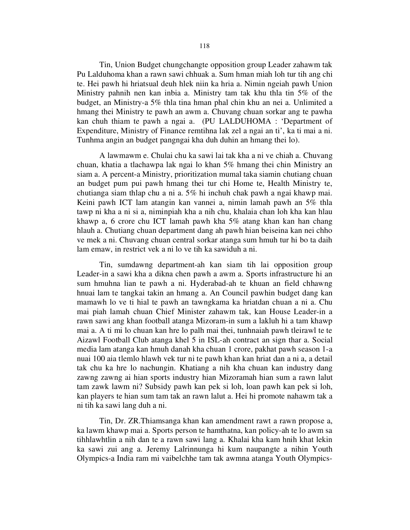Tin, Union Budget chungchangte opposition group Leader zahawm tak Pu Lalduhoma khan a rawn sawi chhuak a. Sum hman miah loh tur tih ang chi te. Hei pawh hi hriatsual deuh hlek niin ka hria a. Nimin ngeiah pawh Union Ministry pahnih nen kan inbia a. Ministry tam tak khu thla tin 5% of the budget, an Ministry-a 5% thla tina hman phal chin khu an nei a. Unlimited a hmang thei Ministry te pawh an awm a. Chuvang chuan sorkar ang te pawha kan chuh thiam te pawh a ngai a. (PU LALDUHOMA : 'Department of Expenditure, Ministry of Finance remtihna lak zel a ngai an ti', ka ti mai a ni. Tunhma angin an budget pangngai kha duh duhin an hmang thei lo).

 A lawmawm e. Chulai chu ka sawi lai tak kha a ni ve chiah a. Chuvang chuan, khatia a tlachawpa lak ngai lo khan 5% hmang thei chin Ministry an siam a. A percent-a Ministry, prioritization mumal taka siamin chutiang chuan an budget pum pui pawh hmang thei tur chi Home te, Health Ministry te, chutianga siam thlap chu a ni a. 5% hi inchuh chak pawh a ngai khawp mai. Keini pawh ICT lam atangin kan vannei a, nimin lamah pawh an 5% thla tawp ni kha a ni si a, niminpiah kha a nih chu, khalaia chan loh kha kan hlau khawp a, 6 crore chu ICT lamah pawh kha 5% atang khan kan han chang hlauh a. Chutiang chuan department dang ah pawh hian beiseina kan nei chho ve mek a ni. Chuvang chuan central sorkar atanga sum hmuh tur hi bo ta daih lam emaw, in restrict vek a ni lo ve tih ka sawiduh a ni.

 Tin, sumdawng department-ah kan siam tih lai opposition group Leader-in a sawi kha a dikna chen pawh a awm a. Sports infrastructure hi an sum hmuhna lian te pawh a ni. Hyderabad-ah te khuan an field chhawng hnuai lam te tangkai takin an hmang a. An Council pawhin budget dang kan mamawh lo ve ti hial te pawh an tawngkama ka hriatdan chuan a ni a. Chu mai piah lamah chuan Chief Minister zahawm tak, kan House Leader-in a rawn sawi ang khan football atanga Mizoram-in sum a lakluh hi a tam khawp mai a. A ti mi lo chuan kan hre lo palh mai thei, tunhnaiah pawh tleirawl te te Aizawl Football Club atanga khel 5 in ISL-ah contract an sign thar a. Social media lam atanga kan hmuh danah kha chuan 1 crore, pakhat pawh season 1-a nuai 100 aia tlemlo hlawh vek tur ni te pawh khan kan hriat dan a ni a, a detail tak chu ka hre lo nachungin. Khatiang a nih kha chuan kan industry dang zawng zawng ai hian sports industry hian Mizoramah hian sum a rawn lalut tam zawk lawm ni? Subsidy pawh kan pek si loh, loan pawh kan pek si loh, kan players te hian sum tam tak an rawn lalut a. Hei hi promote nahawm tak a ni tih ka sawi lang duh a ni.

 Tin, Dr. ZR.Thiamsanga khan kan amendment rawt a rawn propose a, ka lawm khawp mai a. Sports person te hamthatna, kan policy-ah te lo awm sa tihhlawhtlin a nih dan te a rawn sawi lang a. Khalai kha kam hnih khat lekin ka sawi zui ang a. Jeremy Lalrinnunga hi kum naupangte a nihin Youth Olympics-a India ram mi vaibelchhe tam tak awmna atanga Youth Olympics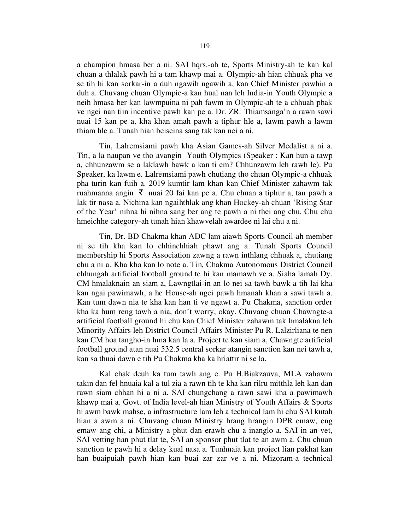a champion hmasa ber a ni. SAI hqrs.-ah te, Sports Ministry-ah te kan kal chuan a thlalak pawh hi a tam khawp mai a. Olympic-ah hian chhuak pha ve se tih hi kan sorkar-in a duh ngawih ngawih a, kan Chief Minister pawhin a duh a. Chuvang chuan Olympic-a kan hual nan leh India-in Youth Olympic a neih hmasa ber kan lawmpuina ni pah fawm in Olympic-ah te a chhuah phak ve ngei nan tiin incentive pawh kan pe a. Dr. ZR. Thiamsanga'n a rawn sawi nuai 15 kan pe a, kha khan amah pawh a tiphur hle a, lawm pawh a lawm thiam hle a. Tunah hian beiseina sang tak kan nei a ni.

 Tin, Lalremsiami pawh kha Asian Games-ah Silver Medalist a ni a. Tin, a la naupan ve tho avangin Youth Olympics (Speaker : Kan hun a tawp a, chhunzawm se a laklawh bawk a kan ti em? Chhunzawm leh rawh le). Pu Speaker, ka lawm e. Lalremsiami pawh chutiang tho chuan Olympic-a chhuak pha turin kan fuih a. 2019 kumtir lam khan kan Chief Minister zahawm tak ruahmanna angin  $\bar{\tau}$  nuai 20 fai kan pe a. Chu chuan a tiphur a, tan pawh a lak tir nasa a. Nichina kan ngaihthlak ang khan Hockey-ah chuan 'Rising Star of the Year' nihna hi nihna sang ber ang te pawh a ni thei ang chu. Chu chu hmeichhe category-ah tunah hian khawvelah awardee ni lai chu a ni.

 Tin, Dr. BD Chakma khan ADC lam aiawh Sports Council-ah member ni se tih kha kan lo chhinchhiah phawt ang a. Tunah Sports Council membership hi Sports Association zawng a rawn inthlang chhuak a, chutiang chu a ni a. Kha kha kan lo note a. Tin, Chakma Autonomous District Council chhungah artificial football ground te hi kan mamawh ve a. Siaha lamah Dy. CM hmalaknain an siam a, Lawngtlai-in an lo nei sa tawh bawk a tih lai kha kan ngai pawimawh, a he House-ah ngei pawh hmanah khan a sawi tawh a. Kan tum dawn nia te kha kan han ti ve ngawt a. Pu Chakma, sanction order kha ka hum reng tawh a nia, don't worry, okay. Chuvang chuan Chawngte-a artificial football ground hi chu kan Chief Minister zahawm tak hmalakna leh Minority Affairs leh District Council Affairs Minister Pu R. Lalzirliana te nen kan CM hoa tangho-in hma kan la a. Project te kan siam a, Chawngte artificial football ground atan nuai 532.5 central sorkar atangin sanction kan nei tawh a, kan sa thuai dawn e tih Pu Chakma kha ka hriattir ni se la.

 Kal chak deuh ka tum tawh ang e. Pu H.Biakzauva, MLA zahawm takin dan fel hnuaia kal a tul zia a rawn tih te kha kan rilru mitthla leh kan dan rawn siam chhan hi a ni a. SAI chungchang a rawn sawi kha a pawimawh khawp mai a. Govt. of India level-ah hian Ministry of Youth Affairs & Sports hi awm bawk mahse, a infrastructure lam leh a technical lam hi chu SAI kutah hian a awm a ni. Chuvang chuan Ministry hrang hrangin DPR emaw, eng emaw ang chi, a Ministry a phut dan erawh chu a inanglo a. SAI in an vet, SAI vetting han phut tlat te, SAI an sponsor phut tlat te an awm a. Chu chuan sanction te pawh hi a delay kual nasa a. Tunhnaia kan project lian pakhat kan han buaipuiah pawh hian kan buai zar zar ve a ni. Mizoram-a technical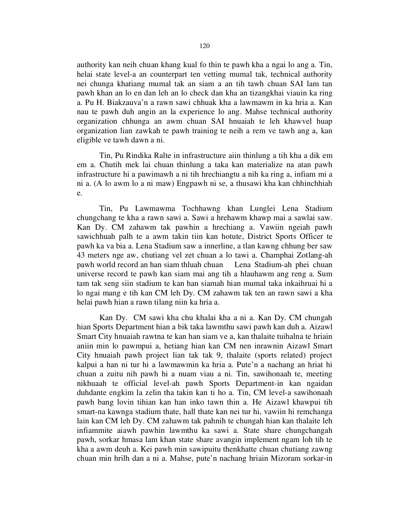authority kan neih chuan khang kual fo thin te pawh kha a ngai lo ang a. Tin, helai state level-a an counterpart ten vetting mumal tak, technical authority nei chunga khatiang mumal tak an siam a an tih tawh chuan SAI lam tan pawh khan an lo en dan leh an lo check dan kha an tizangkhai viauin ka ring a. Pu H. Biakzauva'n a rawn sawi chhuak kha a lawmawm in ka hria a. Kan nau te pawh duh angin an la experience lo ang. Mahse technical authority organization chhunga an awm chuan SAI hnuaiah te leh khawvel huap organization lian zawkah te pawh training te neih a rem ve tawh ang a, kan eligible ve tawh dawn a ni.

 Tin, Pu Rindika Ralte in infrastructure aiin thinlung a tih kha a dik em em a. Chutih mek lai chuan thinlung a taka kan materialize na atan pawh infrastructure hi a pawimawh a ni tih hrechiangtu a nih ka ring a, infiam mi a ni a. (A lo awm lo a ni maw) Engpawh ni se, a thusawi kha kan chhinchhiah e.

 Tin, Pu Lawmawma Tochhawng khan Lunglei Lena Stadium chungchang te kha a rawn sawi a. Sawi a hrehawm khawp mai a sawlai saw. Kan Dy. CM zahawm tak pawhin a hrechiang a. Vawiin ngeiah pawh sawichhuah palh te a awm takin tiin kan hotute, District Sports Officer te pawh ka va bia a. Lena Stadium saw a innerline, a tlan kawng chhung ber saw 43 meters nge aw, chutiang vel zet chuan a lo tawi a. Champhai Zotlang-ah pawh world record an han siam thluah chuan Lena Stadium-ah phei chuan universe record te pawh kan siam mai ang tih a hlauhawm ang reng a. Sum tam tak seng siin stadium te kan han siamah hian mumal taka inkaihruai hi a lo ngai mang e tih kan CM leh Dy. CM zahawm tak ten an rawn sawi a kha helai pawh hian a rawn tilang niin ka hria a.

 Kan Dy. CM sawi kha chu khalai kha a ni a. Kan Dy. CM chungah hian Sports Department hian a bik taka lawmthu sawi pawh kan duh a. Aizawl Smart City hnuaiah rawtna te kan han siam ve a, kan thalaite tuihalna te hriain aniin min lo pawmpui a, hetiang hian kan CM nen inrawnin Aizawl Smart City hnuaiah pawh project lian tak tak 9, thalaite (sports related) project kalpui a han ni tur hi a lawmawmin ka hria a. Pute'n a nachang an hriat hi chuan a zuitu nih pawh hi a nuam viau a ni. Tin, sawihonaah te, meeting nikhuaah te official level-ah pawh Sports Department-in kan ngaidan duhdante engkim la zelin tha takin kan ti ho a. Tin, CM level-a sawihonaah pawh bang lovin tihian kan han inko tawn thin a. He Aizawl khawpui tih smart-na kawnga stadium thate, hall thate kan nei tur hi, vawiin hi remchanga lain kan CM leh Dy. CM zahawm tak pahnih te chungah hian kan thalaite leh infiammite aiawh pawhin lawmthu ka sawi a. State share chungchangah pawh, sorkar hmasa lam khan state share avangin implement ngam loh tih te kha a awm deuh a. Kei pawh min sawipuitu thenkhatte chuan chutiang zawng chuan min hrilh dan a ni a. Mahse, pute'n nachang hriain Mizoram sorkar-in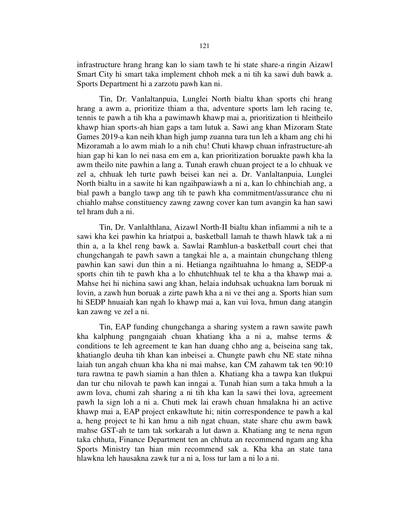infrastructure hrang hrang kan lo siam tawh te hi state share-a ringin Aizawl Smart City hi smart taka implement chhoh mek a ni tih ka sawi duh bawk a. Sports Department hi a zarzotu pawh kan ni.

 Tin, Dr. Vanlaltanpuia, Lunglei North bialtu khan sports chi hrang hrang a awm a, prioritize thiam a tha, adventure sports lam leh racing te, tennis te pawh a tih kha a pawimawh khawp mai a, prioritization ti hleitheilo khawp hian sports-ah hian gaps a tam lutuk a. Sawi ang khan Mizoram State Games 2019-a kan neih khan high jump zuanna tura tun leh a kham ang chi hi Mizoramah a lo awm miah lo a nih chu! Chuti khawp chuan infrastructure-ah hian gap hi kan lo nei nasa em em a, kan prioritization boruakte pawh kha la awm theilo nite pawhin a lang a. Tunah erawh chuan project te a lo chhuak ve zel a, chhuak leh turte pawh beisei kan nei a. Dr. Vanlaltanpuia, Lunglei North bialtu in a sawite hi kan ngaihpawiawh a ni a, kan lo chhinchiah ang, a bial pawh a banglo tawp ang tih te pawh kha commitment/assurance chu ni chiahlo mahse constituency zawng zawng cover kan tum avangin ka han sawi tel hram duh a ni.

 Tin, Dr. Vanlalthlana, Aizawl North-II bialtu khan infiammi a nih te a sawi kha kei pawhin ka hriatpui a, basketball lamah te thawh hlawk tak a ni thin a, a la khel reng bawk a. Sawlai Ramhlun-a basketball court chei that chungchangah te pawh sawn a tangkai hle a, a maintain chungchang thleng pawhin kan sawi dun thin a ni. Hetianga ngaihtuahna lo hmang a, SEDP-a sports chin tih te pawh kha a lo chhutchhuak tel te kha a tha khawp mai a. Mahse hei hi nichina sawi ang khan, helaia induhsak uchuakna lam boruak ni lovin, a zawh hun boruak a zirte pawh kha a ni ve thei ang a. Sports hian sum hi SEDP hnuaiah kan ngah lo khawp mai a, kan vui lova, hmun dang atangin kan zawng ve zel a ni.

 Tin, EAP funding chungchanga a sharing system a rawn sawite pawh kha kalphung pangngaiah chuan khatiang kha a ni a, mahse terms & conditions te leh agreement te kan han duang chho ang a, beiseina sang tak, khatianglo deuha tih khan kan inbeisei a. Chungte pawh chu NE state nihna laiah tun angah chuan kha kha ni mai mahse, kan CM zahawm tak ten 90:10 tura rawtna te pawh siamin a han thlen a. Khatiang kha a tawpa kan tlukpui dan tur chu nilovah te pawh kan inngai a. Tunah hian sum a taka hmuh a la awm lova, chumi zah sharing a ni tih kha kan la sawi thei lova, agreement pawh la sign loh a ni a. Chuti mek lai erawh chuan hmalakna hi an active khawp mai a, EAP project enkawltute hi; nitin correspondence te pawh a kal a, heng project te hi kan hmu a nih ngat chuan, state share chu awm bawk mahse GST-ah te tam tak sorkarah a lut dawn a. Khatiang ang te nena ngun taka chhuta, Finance Department ten an chhuta an recommend ngam ang kha Sports Ministry tan hian min recommend sak a. Kha kha an state tana hlawkna leh hausakna zawk tur a ni a, loss tur lam a ni lo a ni.